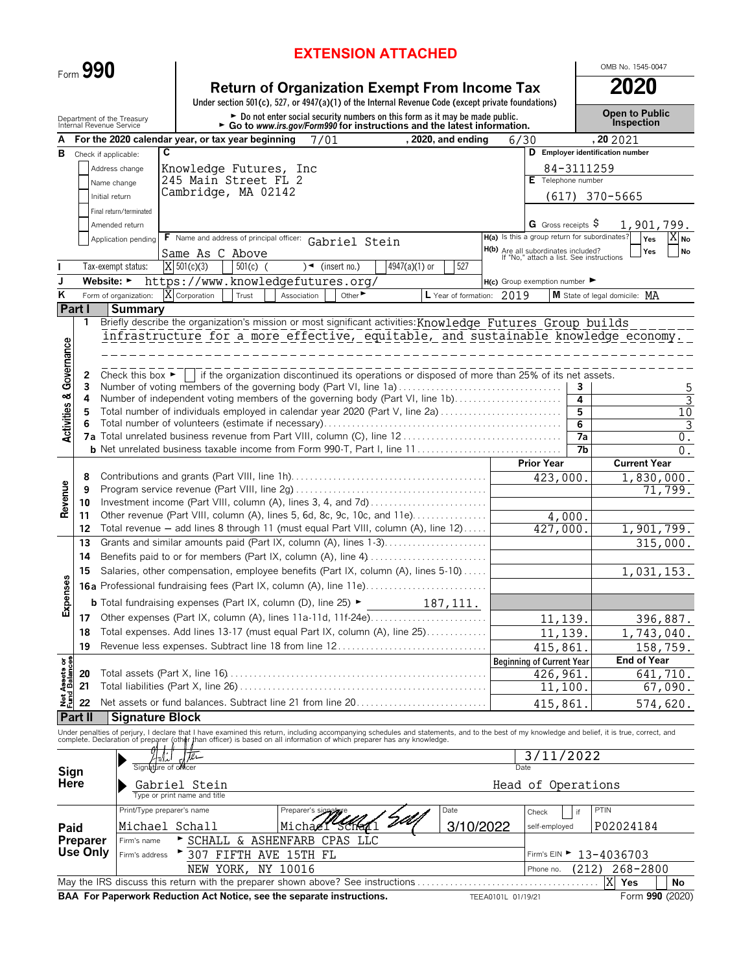|                                        | Form $990$ |                                                                                                                                                                                               |   |                                                        |                       |              |                            |                       |                                                                                                                                                                    |                      |           |      |                                                                                 |                                | OMB No. 1545-0047                           |                      |
|----------------------------------------|------------|-----------------------------------------------------------------------------------------------------------------------------------------------------------------------------------------------|---|--------------------------------------------------------|-----------------------|--------------|----------------------------|-----------------------|--------------------------------------------------------------------------------------------------------------------------------------------------------------------|----------------------|-----------|------|---------------------------------------------------------------------------------|--------------------------------|---------------------------------------------|----------------------|
|                                        |            |                                                                                                                                                                                               |   |                                                        |                       |              |                            |                       | <b>Return of Organization Exempt From Income Tax</b><br>Under section $501(c)$ , $527$ , or $4947(a)(1)$ of the Internal Revenue Code (except private foundations) |                      |           |      |                                                                                 |                                | 2020                                        |                      |
|                                        |            | Department of the Treasury<br>Internal Revenue Service                                                                                                                                        |   |                                                        |                       |              |                            |                       | ► Do not enter social security numbers on this form as it may be made public.<br>► Go to www.irs.gov/Form990 for instructions and the latest information.          |                      |           |      |                                                                                 |                                | <b>Open to Public</b>                       |                      |
|                                        |            |                                                                                                                                                                                               |   |                                                        |                       |              |                            |                       |                                                                                                                                                                    |                      |           |      |                                                                                 |                                | Inspection                                  |                      |
| в                                      |            | For the 2020 calendar year, or tax year beginning                                                                                                                                             | C |                                                        |                       |              | 7/01                       |                       |                                                                                                                                                                    | , 2020, and ending   |           | 6/30 |                                                                                 |                                | .202021<br>D Employer identification number |                      |
|                                        |            | Check if applicable:                                                                                                                                                                          |   |                                                        |                       |              |                            |                       |                                                                                                                                                                    |                      |           |      |                                                                                 |                                |                                             |                      |
|                                        |            | Address change                                                                                                                                                                                |   | Knowledge Futures, Inc<br>245 Main Street FL 2         |                       |              |                            |                       |                                                                                                                                                                    |                      |           |      |                                                                                 | 84-3111259<br>Telephone number |                                             |                      |
|                                        |            | Name change                                                                                                                                                                                   |   | Cambridge, MA 02142                                    |                       |              |                            |                       |                                                                                                                                                                    |                      |           |      |                                                                                 |                                |                                             |                      |
|                                        |            | Initial return                                                                                                                                                                                |   |                                                        |                       |              |                            |                       |                                                                                                                                                                    |                      |           |      |                                                                                 |                                | $(617)$ 370-5665                            |                      |
|                                        |            | Final return/terminated                                                                                                                                                                       |   |                                                        |                       |              |                            |                       |                                                                                                                                                                    |                      |           |      |                                                                                 |                                |                                             |                      |
|                                        |            | Amended return                                                                                                                                                                                |   |                                                        |                       |              |                            |                       |                                                                                                                                                                    |                      |           |      | G Gross receipts $\varsigma$<br>H(a) Is this a group return for subordinates?   |                                |                                             | 1,901,799.           |
|                                        |            | Application pending                                                                                                                                                                           |   | F Name and address of principal officer: Gabriel Stein |                       |              |                            |                       |                                                                                                                                                                    |                      |           |      |                                                                                 |                                | Yes<br>Yes                                  | X<br><b>No</b><br>No |
|                                        |            |                                                                                                                                                                                               |   | Same As C Above                                        |                       |              |                            |                       |                                                                                                                                                                    |                      |           |      | H(b) Are all subordinates included?<br>If "No," attach a list. See instructions |                                |                                             |                      |
|                                        |            | Tax-exempt status:                                                                                                                                                                            |   | $X$ 501(c)(3)                                          | $501(c)$ (            |              | $\rightarrow$ (insert no.) |                       | 4947(a)(1) or                                                                                                                                                      | 527                  |           |      |                                                                                 |                                |                                             |                      |
|                                        |            | Website: ►                                                                                                                                                                                    |   | https://www.knowledgefutures.org/                      |                       |              |                            |                       |                                                                                                                                                                    |                      |           |      | $H(c)$ Group exemption number $\blacktriangleright$                             |                                |                                             |                      |
| K                                      |            | Form of organization:                                                                                                                                                                         |   | X Corporation                                          | Trust                 | Association  |                            | Other <sup>&gt;</sup> |                                                                                                                                                                    | L Year of formation: |           | 2019 |                                                                                 |                                | M State of legal domicile: MA               |                      |
|                                        | Part I     | Summary                                                                                                                                                                                       |   |                                                        |                       |              |                            |                       |                                                                                                                                                                    |                      |           |      |                                                                                 |                                |                                             |                      |
|                                        | 1          | Briefly describe the organization's mission or most significant activities: Knowledge Futures Group builds                                                                                    |   |                                                        |                       |              |                            |                       |                                                                                                                                                                    |                      |           |      |                                                                                 |                                |                                             |                      |
|                                        |            | infrastructure for a more effective, equitable, and sustainable knowledge economy.                                                                                                            |   |                                                        |                       |              |                            |                       |                                                                                                                                                                    |                      |           |      |                                                                                 |                                |                                             |                      |
|                                        |            |                                                                                                                                                                                               |   |                                                        |                       |              |                            |                       |                                                                                                                                                                    |                      |           |      |                                                                                 |                                |                                             |                      |
| <b>Activities &amp; Governance</b>     |            |                                                                                                                                                                                               |   |                                                        |                       |              |                            |                       |                                                                                                                                                                    |                      |           |      |                                                                                 |                                |                                             |                      |
|                                        | 2          | Check this box $\blacktriangleright$ if the organization discontinued its operations or disposed of more than 25% of its net assets.                                                          |   |                                                        |                       |              |                            |                       |                                                                                                                                                                    |                      |           |      |                                                                                 |                                |                                             |                      |
|                                        | 3<br>4     | Number of voting members of the governing body (Part VI, line 1a)<br>Number of independent voting members of the governing body (Part VI, line 1b)                                            |   |                                                        |                       |              |                            |                       |                                                                                                                                                                    |                      |           |      |                                                                                 | 3<br>4                         |                                             |                      |
|                                        | 5          | Total number of individuals employed in calendar year 2020 (Part V, line 2a)                                                                                                                  |   |                                                        |                       |              |                            |                       |                                                                                                                                                                    |                      |           |      |                                                                                 | 5                              |                                             | 3<br>10              |
|                                        |            |                                                                                                                                                                                               |   |                                                        |                       |              |                            |                       |                                                                                                                                                                    |                      |           |      |                                                                                 | $6\overline{6}$                |                                             | 3                    |
|                                        | 7а         |                                                                                                                                                                                               |   |                                                        |                       |              |                            |                       |                                                                                                                                                                    |                      |           |      |                                                                                 | 7a                             |                                             | 0.                   |
|                                        |            |                                                                                                                                                                                               |   |                                                        |                       |              |                            |                       |                                                                                                                                                                    |                      |           |      |                                                                                 | 7b                             |                                             | 0.                   |
|                                        |            |                                                                                                                                                                                               |   |                                                        |                       |              |                            |                       |                                                                                                                                                                    |                      |           |      | <b>Prior Year</b>                                                               |                                | <b>Current Year</b>                         |                      |
|                                        | 8          |                                                                                                                                                                                               |   |                                                        |                       |              |                            |                       |                                                                                                                                                                    |                      |           |      | 423,000.                                                                        |                                |                                             | 1,830,000.           |
| Revenue                                | 9          |                                                                                                                                                                                               |   |                                                        |                       |              |                            |                       |                                                                                                                                                                    |                      |           |      |                                                                                 |                                |                                             | 71,799.              |
|                                        | 10         | Investment income (Part VIII, column (A), lines 3, 4, and 7d)                                                                                                                                 |   |                                                        |                       |              |                            |                       |                                                                                                                                                                    |                      |           |      |                                                                                 |                                |                                             |                      |
|                                        | 11         | Other revenue (Part VIII, column (A), lines 5, 6d, 8c, 9c, 10c, and 11e)                                                                                                                      |   |                                                        |                       |              |                            |                       |                                                                                                                                                                    |                      |           |      |                                                                                 | 4,000                          |                                             |                      |
|                                        | 12         | Total revenue – add lines 8 through 11 (must equal Part VIII, column (A), line 12)                                                                                                            |   |                                                        |                       |              |                            |                       |                                                                                                                                                                    |                      |           |      | 427,000.                                                                        |                                |                                             | 1,901,799.           |
|                                        | 13         | Grants and similar amounts paid (Part IX, column (A), lines 1-3)                                                                                                                              |   |                                                        |                       |              |                            |                       |                                                                                                                                                                    |                      |           |      |                                                                                 |                                |                                             | 315,000.             |
|                                        | 14         |                                                                                                                                                                                               |   |                                                        |                       |              |                            |                       |                                                                                                                                                                    |                      |           |      |                                                                                 |                                |                                             |                      |
|                                        | 15         | Salaries, other compensation, employee benefits (Part IX, column (A), lines 5-10)                                                                                                             |   |                                                        |                       |              |                            |                       |                                                                                                                                                                    |                      |           |      |                                                                                 |                                |                                             | 1,031,153.           |
|                                        |            |                                                                                                                                                                                               |   |                                                        |                       |              |                            |                       |                                                                                                                                                                    |                      |           |      |                                                                                 |                                |                                             |                      |
| penses                                 |            |                                                                                                                                                                                               |   |                                                        |                       |              |                            |                       |                                                                                                                                                                    |                      |           |      |                                                                                 |                                |                                             |                      |
|                                        |            | <b>b</b> Total fundraising expenses (Part IX, column (D), line 25) ►                                                                                                                          |   |                                                        |                       |              |                            |                       |                                                                                                                                                                    | 187, 111.            |           |      |                                                                                 |                                |                                             |                      |
| û                                      | 17         | Other expenses (Part IX, column (A), lines 11a-11d, 11f-24e)                                                                                                                                  |   |                                                        |                       |              |                            |                       |                                                                                                                                                                    |                      |           |      | 11,139.                                                                         |                                |                                             | 396,887.             |
|                                        | 18         | Total expenses. Add lines 13-17 (must equal Part IX, column (A), line 25)                                                                                                                     |   |                                                        |                       |              |                            |                       |                                                                                                                                                                    |                      |           |      | 11,139.                                                                         |                                |                                             | 1,743,040.           |
|                                        | 19         | Revenue less expenses. Subtract line 18 from line 12                                                                                                                                          |   |                                                        |                       |              |                            |                       |                                                                                                                                                                    |                      |           |      | 415,861.                                                                        |                                |                                             | 158,759.             |
|                                        |            |                                                                                                                                                                                               |   |                                                        |                       |              |                            |                       |                                                                                                                                                                    |                      |           |      | <b>Beginning of Current Year</b>                                                |                                | <b>End of Year</b>                          |                      |
| <b>Net Assets or<br/>Fund Balances</b> | 20         |                                                                                                                                                                                               |   |                                                        |                       |              |                            |                       |                                                                                                                                                                    |                      |           |      | 426,961                                                                         |                                |                                             | 641,710.             |
|                                        | 21         |                                                                                                                                                                                               |   |                                                        |                       |              |                            |                       |                                                                                                                                                                    |                      |           |      | 11,100.                                                                         |                                |                                             | 67,090.              |
|                                        | 22         | Net assets or fund balances. Subtract line 21 from line 20                                                                                                                                    |   |                                                        |                       |              |                            |                       |                                                                                                                                                                    |                      |           |      | 415,861                                                                         |                                |                                             | 574,620.             |
|                                        | Part II    | <b>Signature Block</b>                                                                                                                                                                        |   |                                                        |                       |              |                            |                       |                                                                                                                                                                    |                      |           |      |                                                                                 |                                |                                             |                      |
|                                        |            | Under penalties of perjury, I declare that I have examined this return, including accompanying schedules and statements, and to the best of my knowledge and belief, it is true, correct, and |   |                                                        |                       |              |                            |                       |                                                                                                                                                                    |                      |           |      |                                                                                 |                                |                                             |                      |
|                                        |            | complete. Declaration of preparer (other than officer) is based on all information of which preparer has any knowledge.                                                                       |   |                                                        |                       |              |                            |                       |                                                                                                                                                                    |                      |           |      |                                                                                 |                                |                                             |                      |
|                                        |            |                                                                                                                                                                                               |   | Tti                                                    |                       |              |                            |                       |                                                                                                                                                                    |                      |           |      | 3/11/2022                                                                       |                                |                                             |                      |
| Sign                                   |            | Signature of officer                                                                                                                                                                          |   |                                                        |                       |              |                            |                       |                                                                                                                                                                    |                      |           | Date |                                                                                 |                                |                                             |                      |
| Here                                   |            |                                                                                                                                                                                               |   | Gabriel Stein                                          |                       |              |                            |                       |                                                                                                                                                                    |                      |           |      | Head of Operations                                                              |                                |                                             |                      |
|                                        |            |                                                                                                                                                                                               |   | Type or print name and title                           |                       |              |                            |                       |                                                                                                                                                                    |                      |           |      |                                                                                 |                                |                                             |                      |
|                                        |            | Print/Type preparer's name                                                                                                                                                                    |   |                                                        |                       | Preparer's s |                            |                       |                                                                                                                                                                    | Date                 |           |      | Check                                                                           | if                             | PTIN                                        |                      |
| Paid                                   |            | Michael Schall                                                                                                                                                                                |   |                                                        |                       |              |                            | Michael Schall        |                                                                                                                                                                    |                      | 3/10/2022 |      | self-employed                                                                   |                                | P02024184                                   |                      |
|                                        | Preparer   | Firm's name                                                                                                                                                                                   |   | SCHALL & ASHENFARB CPAS LLC                            |                       |              |                            |                       |                                                                                                                                                                    |                      |           |      |                                                                                 |                                |                                             |                      |
|                                        | Use Only   | Firm's address                                                                                                                                                                                |   |                                                        | 307 FIFTH AVE 15TH FL |              |                            |                       |                                                                                                                                                                    |                      |           |      |                                                                                 |                                | Firm's EIN > 13-4036703                     |                      |
|                                        |            |                                                                                                                                                                                               |   |                                                        |                       |              |                            |                       |                                                                                                                                                                    |                      |           |      |                                                                                 |                                |                                             |                      |
|                                        |            |                                                                                                                                                                                               |   | NEW YORK,                                              |                       | NY 10016     |                            |                       |                                                                                                                                                                    |                      |           |      | Phone no.                                                                       | (212)                          | 268-2800                                    |                      |
|                                        |            | May the IRS discuss this return with the preparer shown above? See instructions                                                                                                               |   |                                                        |                       |              |                            |                       |                                                                                                                                                                    |                      |           |      |                                                                                 |                                | X<br>Yes                                    | No                   |

**BAA For Paperwork Reduction Act Notice, see the separate instructions.** TEEA0101L 01/19/21 Form 990 (2020)

## **EXTENSION ATTACHED**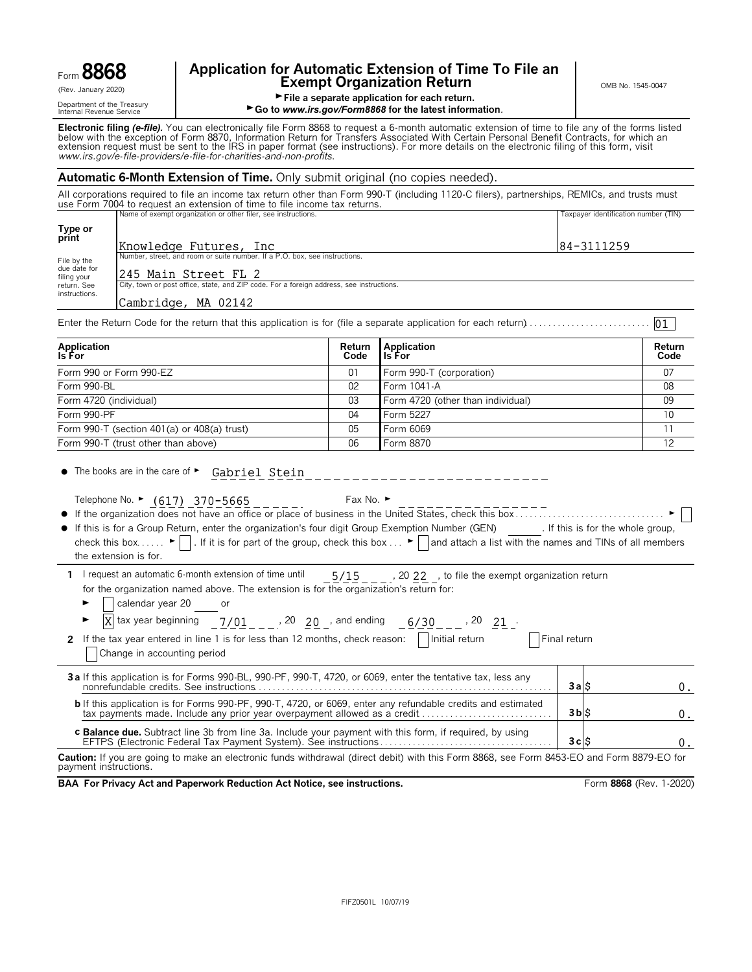## **Application for Automatic Extension of Time To File an Form 8868 Exempt Organization Return Exempt Organization Return**

Grieffile a separate application for each return.<br>
Department of the Treasury<br> **Co to www.irs.gov/Form8868 for the latest inform** 

▶ Go to *www.irs.gov/Form8868* for the latest information.

**Electronic filing** *(e-file).* You can electronically file Form 8868 to request a 6-month automatic extension of time to file any of the forms listed below with the exception of Form 8870, Information Return for Transfers Associated With Certain Personal Benefit Contracts, for which an<br>extension request must be sent to the IRS in paper format (see instructions). For mor *www.irs.gov/e*-*file*-*providers/e-file-for-charities-and-non-profits*.

#### **Automatic 6-Month Extension of Time.** Only submit original (no copies needed).

All corporations required to file an income tax return other than Form 990-T (including 1120-C filers), partnerships, REMICs, and trusts must use Form 7004 to request an extension of time to file income tax returns.

|                                                                                                         | Name of exempt organization or other filer, see instructions.              | Taxpayer identification number (TIN) |  |  |  |  |
|---------------------------------------------------------------------------------------------------------|----------------------------------------------------------------------------|--------------------------------------|--|--|--|--|
| Type or<br>print                                                                                        | Knowledge Futures, Inc                                                     | 84-3111259                           |  |  |  |  |
| File by the                                                                                             | Number, street, and room or suite number. If a P.O. box, see instructions. |                                      |  |  |  |  |
| due date for<br>filing your                                                                             | 1245 Main Street FL 2                                                      |                                      |  |  |  |  |
| City, town or post office, state, and ZIP code. For a foreign address, see instructions.<br>return, See |                                                                            |                                      |  |  |  |  |
| instructions.                                                                                           | Cambridge, MA 02142                                                        |                                      |  |  |  |  |

Enter the Return Code for the return that this application is for (file a separate application for each return). . . . . . . . . . . . . . . . . . . . . . . . . . . 01

| Application<br>Is For                         | Return<br>Code | Application<br>I Is For           | Return<br>Code |
|-----------------------------------------------|----------------|-----------------------------------|----------------|
| Form 990 or Form 990-EZ                       | 01             | Form 990-T (corporation)          | 07             |
| Form 990-BL                                   | 02             | Form 1041-A                       | 08             |
| Form 4720 (individual)                        | 03             | Form 4720 (other than individual) | 09             |
| Form 990-PF                                   | 04             | Form 5227                         | 10             |
| Form 990-T (section 401(a) or $408(a)$ trust) | 05             | Form 6069                         |                |
| Form 990-T (trust other than above)           | 06             | Form 8870                         | 12             |

 $\bullet$  The books are in the care of  $\bullet$   $\quad$   $\frac{Gabriel}{B}$  Stein

Telephone No. ► <u>(617) 370-5665</u> \_ \_ \_ \_ \_ \_ Fax No. ► ? If the organization does not have an office or place of business in the United States, check this box . . . . . . . . . . . . . . . . . . . . . . . . . . . . . . . . G

? If this is for a Group Return, enter the organization's four digit Group Exemption Number (GEN) . If this is for the whole group, check this box......  $\blacktriangleright \Box$ . If it is for part of the group, check this box...  $\blacktriangleright \Box$  and attach a list with the names and TINs of all members the extension is for.

| 1 I request an automatic 6-month extension of time until                              | 5/15 | , 20 22, to file the exempt organization return |
|---------------------------------------------------------------------------------------|------|-------------------------------------------------|
| for the organization named above. The extension is for the organization's return for: |      |                                                 |

calendar year 20 or

|  | $\blacktriangleright$ $\mid$ X $\mid$ tax year beginning                              | 7/01 | $,20$ $,20$ , and ending $,6/30$ |                     |
|--|---------------------------------------------------------------------------------------|------|----------------------------------|---------------------|
|  | 1 Initial return of the 1 is for less than 12 months, check reason: I linitial return |      |                                  | <b>Final return</b> |

| Change in accounting period |  |
|-----------------------------|--|

| 3a If this application is for Forms 990-BL, 990-PF, 990-T, 4720, or 6069, enter the tentative tax, less any                                                                                     | 3aS      |  |
|-------------------------------------------------------------------------------------------------------------------------------------------------------------------------------------------------|----------|--|
| <b>b</b> If this application is for Forms 990-PF, 990-T, 4720, or 6069, enter any refundable credits and estimated<br>tax payments made. Include any prior year overpayment allowed as a credit | $3b$ $s$ |  |
|                                                                                                                                                                                                 | 3clS     |  |
| Caution: If you are going to make an electronic funds withdrawal (direct debit) with this Form 8868, see Form 8453-EO and Form 8879-EO for                                                      |          |  |

payment instructions.

BAA For Privacy Act and Paperwork Reduction Act Notice, see instructions. The state of the Same Form 8868 (Rev. 1-2020)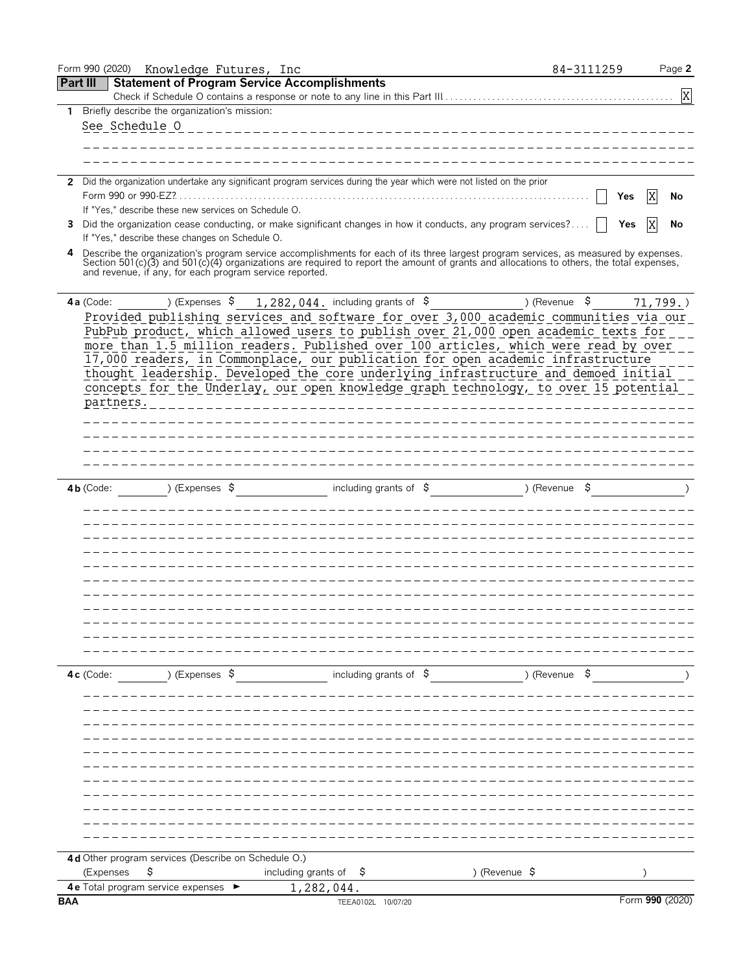|                 |                | Form 990 (2020) Knowledge Futures, Inc                  |                                                                                                                                                                                                                                                                                                                                                                                                                                              | 84-3111259    | Page 2          |
|-----------------|----------------|---------------------------------------------------------|----------------------------------------------------------------------------------------------------------------------------------------------------------------------------------------------------------------------------------------------------------------------------------------------------------------------------------------------------------------------------------------------------------------------------------------------|---------------|-----------------|
| <b>Part III</b> |                |                                                         | <b>Statement of Program Service Accomplishments</b>                                                                                                                                                                                                                                                                                                                                                                                          |               |                 |
|                 |                |                                                         |                                                                                                                                                                                                                                                                                                                                                                                                                                              |               | X               |
| $\mathbf{1}$    |                | Briefly describe the organization's mission:            |                                                                                                                                                                                                                                                                                                                                                                                                                                              |               |                 |
|                 | See Schedule O |                                                         |                                                                                                                                                                                                                                                                                                                                                                                                                                              |               |                 |
|                 |                |                                                         |                                                                                                                                                                                                                                                                                                                                                                                                                                              |               |                 |
|                 |                |                                                         |                                                                                                                                                                                                                                                                                                                                                                                                                                              |               |                 |
|                 |                |                                                         | 2 Did the organization undertake any significant program services during the year which were not listed on the prior                                                                                                                                                                                                                                                                                                                         |               |                 |
|                 |                |                                                         |                                                                                                                                                                                                                                                                                                                                                                                                                                              |               | ΙX<br>Yes<br>No |
|                 |                | If "Yes," describe these new services on Schedule O.    |                                                                                                                                                                                                                                                                                                                                                                                                                                              |               |                 |
| 3               |                |                                                         | Did the organization cease conducting, or make significant changes in how it conducts, any program services?                                                                                                                                                                                                                                                                                                                                 |               | X<br>Yes<br>No  |
|                 |                | If "Yes," describe these changes on Schedule O.         |                                                                                                                                                                                                                                                                                                                                                                                                                                              |               |                 |
| 4               |                | and revenue, if any, for each program service reported. | Describe the organization's program service accomplishments for each of its three largest program services, as measured by expenses.<br>Section 501(c)(3) and 501(c)(4) organizations are required to report the amount of grants and allocations to others, the total expenses,                                                                                                                                                             |               |                 |
|                 | $4a$ (Code:    |                                                         | ) (Expenses $\frac{1}{282,044}$ , including grants of $\frac{1}{2}$ (Revenue $\frac{1}{2}$                                                                                                                                                                                                                                                                                                                                                   |               | 71,799.         |
|                 |                |                                                         | Provided publishing services and software for over 3,000 academic communities via our                                                                                                                                                                                                                                                                                                                                                        |               |                 |
|                 | partners.      |                                                         | PubPub product, which allowed users to publish over 21,000 open academic texts for<br>more than 1.5 million readers. Published over 100 articles, which were read by over<br>17,000 readers, in Commonplace, our publication for open academic infrastructure<br>thought leadership. Developed the core underlying infrastructure and demoed initial<br>concepts for the Underlay, our open knowledge graph technology, to over 15 potential |               |                 |
|                 |                |                                                         |                                                                                                                                                                                                                                                                                                                                                                                                                                              |               |                 |
|                 |                |                                                         |                                                                                                                                                                                                                                                                                                                                                                                                                                              |               |                 |
|                 |                |                                                         |                                                                                                                                                                                                                                                                                                                                                                                                                                              |               |                 |
|                 |                |                                                         |                                                                                                                                                                                                                                                                                                                                                                                                                                              |               |                 |
|                 |                |                                                         |                                                                                                                                                                                                                                                                                                                                                                                                                                              |               |                 |
|                 | $4b$ (Code:    | ) (Expenses \$                                          | including grants of $\beta$                                                                                                                                                                                                                                                                                                                                                                                                                  | ) (Revenue \$ |                 |
|                 |                |                                                         |                                                                                                                                                                                                                                                                                                                                                                                                                                              |               |                 |
|                 |                |                                                         |                                                                                                                                                                                                                                                                                                                                                                                                                                              |               |                 |
|                 |                |                                                         |                                                                                                                                                                                                                                                                                                                                                                                                                                              |               |                 |
|                 |                |                                                         |                                                                                                                                                                                                                                                                                                                                                                                                                                              |               |                 |
|                 |                |                                                         |                                                                                                                                                                                                                                                                                                                                                                                                                                              |               |                 |
|                 |                |                                                         |                                                                                                                                                                                                                                                                                                                                                                                                                                              |               |                 |
|                 |                |                                                         |                                                                                                                                                                                                                                                                                                                                                                                                                                              |               |                 |
|                 |                |                                                         |                                                                                                                                                                                                                                                                                                                                                                                                                                              |               |                 |
|                 |                |                                                         |                                                                                                                                                                                                                                                                                                                                                                                                                                              |               |                 |
|                 |                |                                                         |                                                                                                                                                                                                                                                                                                                                                                                                                                              |               |                 |
|                 |                |                                                         |                                                                                                                                                                                                                                                                                                                                                                                                                                              |               |                 |
|                 | $4c$ (Code:    | ) (Expenses \$                                          | including grants of $\sharp$                                                                                                                                                                                                                                                                                                                                                                                                                 | ) (Revenue \$ |                 |
|                 |                |                                                         |                                                                                                                                                                                                                                                                                                                                                                                                                                              |               |                 |
|                 |                |                                                         |                                                                                                                                                                                                                                                                                                                                                                                                                                              |               |                 |
|                 |                |                                                         |                                                                                                                                                                                                                                                                                                                                                                                                                                              |               |                 |
|                 |                |                                                         |                                                                                                                                                                                                                                                                                                                                                                                                                                              |               |                 |
|                 |                |                                                         |                                                                                                                                                                                                                                                                                                                                                                                                                                              |               |                 |
|                 |                |                                                         |                                                                                                                                                                                                                                                                                                                                                                                                                                              |               |                 |
|                 |                |                                                         |                                                                                                                                                                                                                                                                                                                                                                                                                                              |               |                 |
|                 |                |                                                         |                                                                                                                                                                                                                                                                                                                                                                                                                                              |               |                 |
|                 |                |                                                         |                                                                                                                                                                                                                                                                                                                                                                                                                                              |               |                 |
|                 |                |                                                         |                                                                                                                                                                                                                                                                                                                                                                                                                                              |               |                 |
|                 |                |                                                         |                                                                                                                                                                                                                                                                                                                                                                                                                                              |               |                 |
|                 |                | 4 d Other program services (Describe on Schedule O.)    |                                                                                                                                                                                                                                                                                                                                                                                                                                              |               |                 |
|                 | (Expenses      | \$                                                      | including grants of<br>-Ş                                                                                                                                                                                                                                                                                                                                                                                                                    | ) (Revenue \$ |                 |
|                 |                | 4 e Total program service expenses                      | 1,282,044.                                                                                                                                                                                                                                                                                                                                                                                                                                   |               |                 |
| <b>BAA</b>      |                |                                                         | TEEA0102L 10/07/20                                                                                                                                                                                                                                                                                                                                                                                                                           |               | Form 990 (2020) |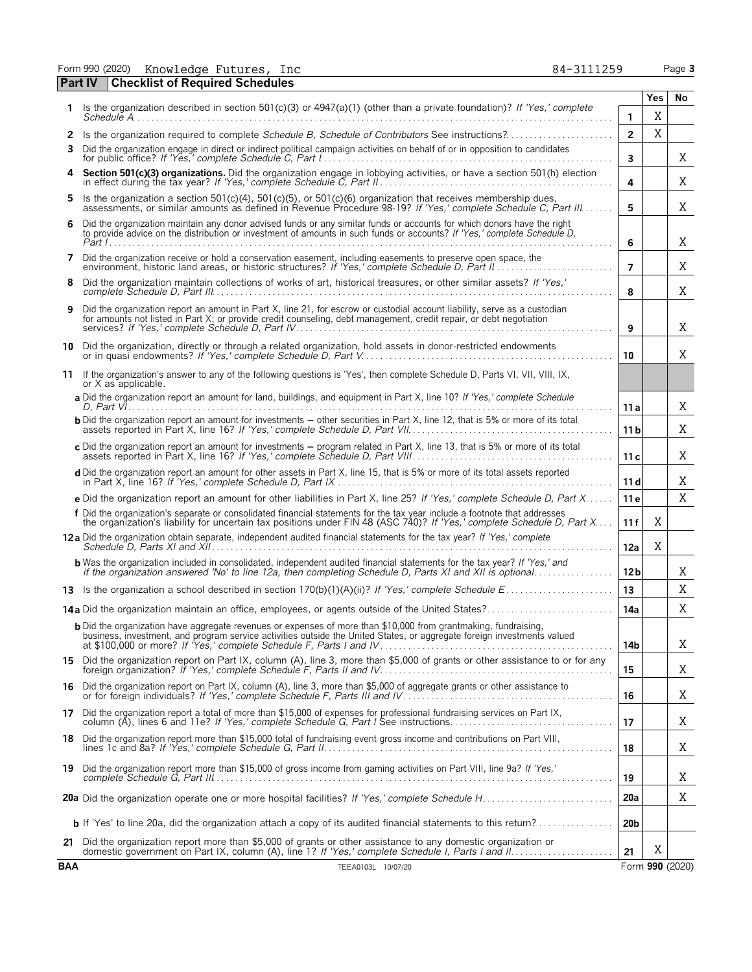Form 990 (2020) Page **3** Knowledge Futures, Inc 84-311259

|            | <b>Checklist of Required Schedules</b><br><b>Part IV</b>                                                                                                                                                                                            |                     |        |                 |
|------------|-----------------------------------------------------------------------------------------------------------------------------------------------------------------------------------------------------------------------------------------------------|---------------------|--------|-----------------|
| 1.         | Is the organization described in section 501(c)(3) or 4947(a)(1) (other than a private foundation)? If 'Yes,' complete                                                                                                                              |                     | Yes    | No              |
| 2          | Is the organization required to complete Schedule B, Schedule of Contributors See instructions?                                                                                                                                                     | 1<br>$\overline{2}$ | Χ<br>X |                 |
| 3          | Did the organization engage in direct or indirect political campaign activities on behalf of or in opposition to candidates                                                                                                                         | 3                   |        | X               |
| 4          | Section 501(c)(3) organizations. Did the organization engage in lobbying activities, or have a section 501(h) election in effect during the tax year? If 'Yes,' complete Schedule C, Part II                                                        | 4                   |        | Χ               |
| 5          | Is the organization a section 501(c)(4), 501(c)(5), or 501(c)(6) organization that receives membership dues,<br>assessments, or similar amounts as defined in Revenue Procedure 98-19? If 'Yes,' complete Schedule C. Part III                      | 5                   |        | X.              |
| 6          | Did the organization maintain any donor advised funds or any similar funds or accounts for which donors have the right<br>to provide advice on the distribution or investment of amounts in such funds or accounts? If 'Yes,' complete Schedule D.  | 6                   |        | Χ               |
| 7          | Did the organization receive or hold a conservation easement, including easements to preserve open space, the<br>environment, historic land areas, or historic structures? If 'Yes,' complete Schedule D, Part II.                                  | $\overline{7}$      |        | X               |
| 8          | Did the organization maintain collections of works of art, historical treasures, or other similar assets? If 'Yes,'                                                                                                                                 | 8                   |        | X               |
| 9          | Did the organization report an amount in Part X, line 21, for escrow or custodial account liability, serve as a custodian<br>for amounts not listed in Part X; or provide credit counseling, debt management, credit repair, or debt negotiation    | 9                   |        | Χ               |
| 10         | Did the organization, directly or through a related organization, hold assets in donor-restricted endowments                                                                                                                                        | 10                  |        | X               |
|            | 11 If the organization's answer to any of the following questions is 'Yes', then complete Schedule D, Parts VI, VII, VIII, IX,<br>or X as applicable.                                                                                               |                     |        |                 |
|            | a Did the organization report an amount for land, buildings, and equipment in Part X, line 10? If 'Yes,' complete Schedule                                                                                                                          | 11 a                |        | X               |
|            | <b>b</b> Did the organization report an amount for investments – other securities in Part X, line 12, that is 5% or more of its total                                                                                                               | 11 <sub>b</sub>     |        | Χ               |
|            | c Did the organization report an amount for investments - program related in Part X, line 13, that is 5% or more of its total                                                                                                                       | 11c                 |        | X               |
|            | d Did the organization report an amount for other assets in Part X, line 15, that is 5% or more of its total assets reported                                                                                                                        | 11d                 |        | Χ               |
|            | <b>e</b> Did the organization report an amount for other liabilities in Part X, line 25? If 'Yes,' complete Schedule D, Part X                                                                                                                      | 11 <sub>e</sub>     |        | X               |
|            | f Did the organization's separate or consolidated financial statements for the tax year include a footnote that addresses<br>the organization's liability for uncertain tax positions under FIN 48 (ASC 740)? If 'Yes,' complete Schedule D, Part X | 11f                 | Χ      |                 |
|            | 12a Did the organization obtain separate, independent audited financial statements for the tax year? If 'Yes,' complete                                                                                                                             | 12a                 | Χ      |                 |
|            | <b>b</b> Was the organization included in consolidated, independent audited financial statements for the tax year? If 'Yes,' and<br>if the organization answered 'No' to line 12a, then completing Schedule D, Parts XI and XII is optional         | 12 <sub>b</sub>     |        | X               |
|            |                                                                                                                                                                                                                                                     | 13                  |        | X               |
|            | 14a Did the organization maintain an office, employees, or agents outside of the United States?                                                                                                                                                     | 14a                 |        | X               |
|            | <b>b</b> Did the organization have aggregate revenues or expenses of more than \$10,000 from grantmaking, fundraising,<br>business, investment, and program service activities outside the United States, or aggregate foreign investments valued   | 14b                 |        | Χ               |
| 15         | Did the organization report on Part IX, column (A), line 3, more than \$5,000 of grants or other assistance to or for any                                                                                                                           | 15                  |        | Χ               |
| 16         | Did the organization report on Part IX, column (A), line 3, more than \$5,000 of aggregate grants or other assistance to<br>or for foreign individuals? If 'Yes,' complete Schedule F, Parts III and IV.                                            | 16                  |        | Χ               |
|            | 17 Did the organization report a total of more than \$15,000 of expenses for professional fundraising services on Part IX, column (A), lines 6 and 11e? If 'Yes,' complete Schedule G, Part I See instructions                                      | 17                  |        | Χ               |
|            | 18 Did the organization report more than \$15,000 total of fundraising event gross income and contributions on Part VIII,                                                                                                                           | 18                  |        | Χ               |
|            | 19 Did the organization report more than \$15,000 of gross income from gaming activities on Part VIII, line 9a? If 'Yes,'                                                                                                                           | 19                  |        | Χ               |
|            |                                                                                                                                                                                                                                                     | 20a                 |        | Χ               |
|            |                                                                                                                                                                                                                                                     | 20 <sub>b</sub>     |        |                 |
| 21         | Did the organization report more than \$5,000 of grants or other assistance to any domestic organization or<br>domestic government on Part IX, column (A), line 1? If 'Yes,' complete Schedule I, Parts I and II.                                   | 21                  | Χ      |                 |
| <b>BAA</b> | TEEA0103L 10/07/20                                                                                                                                                                                                                                  |                     |        | Form 990 (2020) |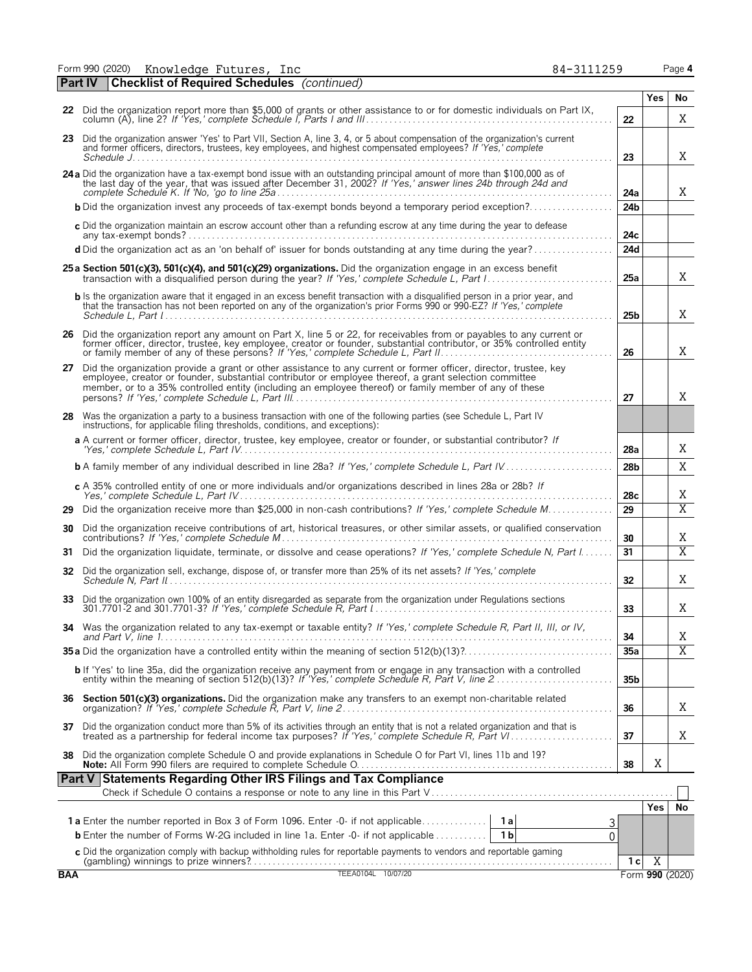Form 990 (2020) Knowledge Futures, Inc 84-3111259 Page **4** 

| Form 990 (2020) Knowledge Futures, Inc                                                                                                                                                                                                                            | 84-3111259 | Page 4 |    |
|-------------------------------------------------------------------------------------------------------------------------------------------------------------------------------------------------------------------------------------------------------------------|------------|--------|----|
| <b>Part IV</b><br><b>Checklist of Required Schedules</b> (continued)                                                                                                                                                                                              |            |        |    |
|                                                                                                                                                                                                                                                                   |            | Yes.   | No |
| 22                                                                                                                                                                                                                                                                | 22         |        |    |
| Did the organization answer 'Yes' to Part VII, Section A, line 3, 4, or 5 about compensation of the organization's current<br>23<br>and former officers, directors, trustees, key employees, and highest compensated employees? If 'Yes,' complete<br>Schedule J. | 23         |        | A  |
| 24 a Did the organization have a tax-exempt bond issue with an outstanding principal amount of more than \$100,000 as of<br>the last day of the year, that was issued after December 31, 2002? If 'Yes,' answer lines 24b through 24d and                         | 24a        |        | Χ  |
| <b>b</b> Did the organization invest any proceeds of tax-exempt bonds beyond a temporary period exception?                                                                                                                                                        | 24b        |        |    |
| c Did the organization maintain an escrow account other than a refunding escrow at any time during the year to defease                                                                                                                                            |            |        |    |

|    |                                                                                                                                                                                                                                                                                                                                       | 4на             |     | 77             |
|----|---------------------------------------------------------------------------------------------------------------------------------------------------------------------------------------------------------------------------------------------------------------------------------------------------------------------------------------|-----------------|-----|----------------|
|    | <b>b</b> Did the organization invest any proceeds of tax-exempt bonds beyond a temporary period exception?                                                                                                                                                                                                                            | 24b             |     |                |
|    | c Did the organization maintain an escrow account other than a refunding escrow at any time during the year to defease                                                                                                                                                                                                                | 24 <sub>c</sub> |     |                |
|    | d Did the organization act as an 'on behalf of' issuer for bonds outstanding at any time during the year?                                                                                                                                                                                                                             | 24d             |     |                |
|    | 25 a Section 501(c)(3), 501(c)(4), and 501(c)(29) organizations. Did the organization engage in an excess benefit                                                                                                                                                                                                                     | 25a             |     | X              |
|    | b Is the organization aware that it engaged in an excess benefit transaction with a disqualified person in a prior year, and that the transaction has not been reported on any of the organization's prior Forms 990 or 990-EZ                                                                                                        | 25 <sub>b</sub> |     | Χ              |
|    | 26 Did the organization report any amount on Part X, line 5 or 22, for receivables from or payables to any current or former officer, director, trustee, key employee, creator or founder, substantial contributor, or 35% con                                                                                                        | 26              |     | X              |
| 27 | Did the organization provide a grant or other assistance to any current or former officer, director, trustee, key<br>employee, creator or founder, substantial contributor or employee thereof, a grant selection committee<br>member, or to a 35% controlled entity (including an employee thereof) or family member of any of these | 27              |     | X.             |
|    | 28 Was the organization a party to a business transaction with one of the following parties (see Schedule L, Part IV<br>instructions, for applicable filing thresholds, conditions, and exceptions):                                                                                                                                  |                 |     |                |
|    | a A current or former officer, director, trustee, key employee, creator or founder, or substantial contributor? If                                                                                                                                                                                                                    | 28a             |     | X              |
|    | <b>b</b> A family member of any individual described in line 28a? If 'Yes,' complete Schedule L, Part IV                                                                                                                                                                                                                              | 28b             |     | X              |
|    | c A 35% controlled entity of one or more individuals and/or organizations described in lines 28a or 28b? If                                                                                                                                                                                                                           | 28c             |     | Χ              |
| 29 | Did the organization receive more than \$25,000 in non-cash contributions? If 'Yes,' complete Schedule M                                                                                                                                                                                                                              | 29              |     | $\overline{X}$ |
| 30 | Did the organization receive contributions of art, historical treasures, or other similar assets, or qualified conservation                                                                                                                                                                                                           | 30              |     | Χ              |
| 31 | Did the organization liquidate, terminate, or dissolve and cease operations? If 'Yes,' complete Schedule N, Part I                                                                                                                                                                                                                    | 31              |     | $\overline{X}$ |
| 32 | Did the organization sell, exchange, dispose of, or transfer more than 25% of its net assets? If 'Yes,' complete                                                                                                                                                                                                                      | 32              |     | X              |
| 33 |                                                                                                                                                                                                                                                                                                                                       | 33              |     | X              |
|    | 34 Was the organization related to any tax-exempt or taxable entity? If 'Yes,' complete Schedule R, Part II, III, or IV,                                                                                                                                                                                                              | 34              |     | Χ              |
|    |                                                                                                                                                                                                                                                                                                                                       | 35a             |     | $\overline{X}$ |
|    | b If 'Yes' to line 35a, did the organization receive any payment from or engage in any transaction with a controlled entity within the meaning of section 512(b)(13)? If 'Yes,' complete Schedule R, Part V, line 2                                                                                                                   | 35 <sub>b</sub> |     |                |
|    | 36 Section 501(c)(3) organizations. Did the organization make any transfers to an exempt non-charitable related                                                                                                                                                                                                                       | 36              |     | Χ              |
|    | 37 Did the organization conduct more than 5% of its activities through an entity that is not a related organization and that is<br>treated as a partnership for federal income tax purposes? If 'Yes,' complete Schedule R, Part VI                                                                                                   | 37              |     | X.             |
| 38 | Did the organization complete Schedule O and provide explanations in Schedule O for Part VI, lines 11b and 19?                                                                                                                                                                                                                        | 38              | Χ   |                |
|    | <b>Statements Regarding Other IRS Filings and Tax Compliance</b><br>Part V                                                                                                                                                                                                                                                            |                 |     |                |
|    |                                                                                                                                                                                                                                                                                                                                       |                 | Yes | No             |
|    | 1a Enter the number reported in Box 3 of Form 1096. Enter -0- if not applicable<br>1 a<br>З                                                                                                                                                                                                                                           |                 |     |                |
|    | <b>b</b> Enter the number of Forms W-2G included in line 1a. Enter -0- if not applicable<br>1 b<br>$\Omega$                                                                                                                                                                                                                           |                 |     |                |

 $\begin{array}{|c|c|c|}\n\hline\n1 c & X \\
\hline\n\text{Form } 990 & (2020)\n\end{array}$ 

|  |  | ۶ |
|--|--|---|
|  |  |   |
|  |  |   |

| m 990 (2020) Knowledge Futures, In |  |
|------------------------------------|--|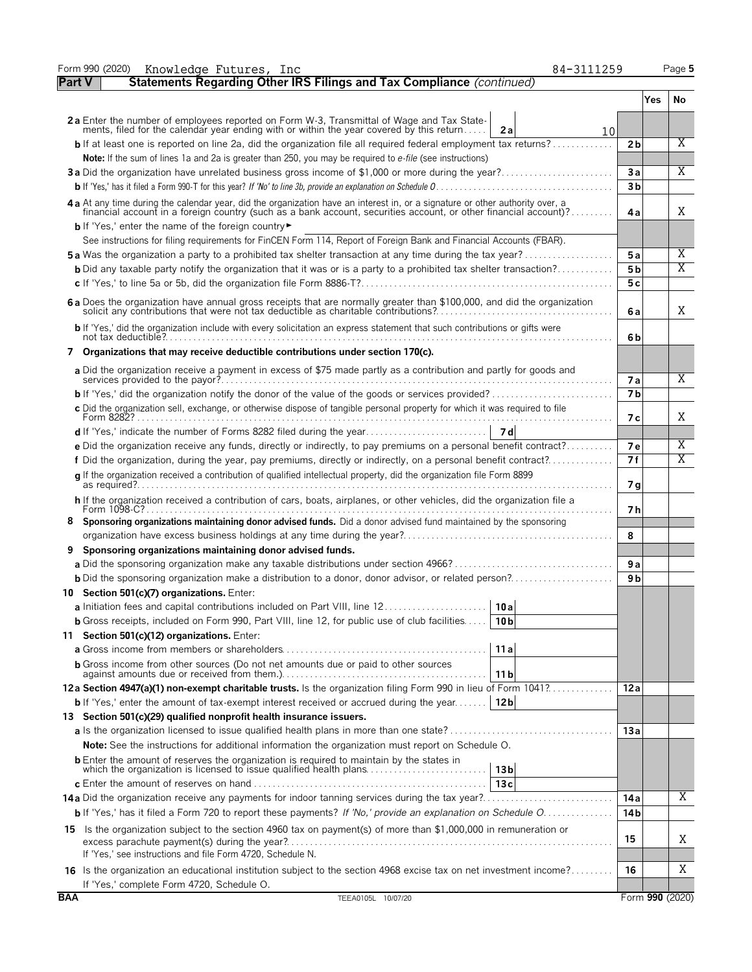|               | 84-3111259<br>Form 990 (2020)<br>Knowledge Futures, Inc                                                                                                                                                                                          |                 |     | Page 5          |
|---------------|--------------------------------------------------------------------------------------------------------------------------------------------------------------------------------------------------------------------------------------------------|-----------------|-----|-----------------|
| <b>Part V</b> | Statements Regarding Other IRS Filings and Tax Compliance (continued)                                                                                                                                                                            |                 |     |                 |
|               |                                                                                                                                                                                                                                                  |                 | Yes | No.             |
|               | 2a Enter the number of employees reported on Form W-3, Transmittal of Wage and Tax State-                                                                                                                                                        |                 |     |                 |
|               | ments, filed for the calendar year ending with or within the year covered by this return<br>2a<br>10                                                                                                                                             |                 |     |                 |
|               | <b>b</b> If at least one is reported on line 2a, did the organization file all required federal employment tax returns?                                                                                                                          | 2 <sub>b</sub>  |     | X               |
|               | <b>Note:</b> If the sum of lines 1a and 2a is greater than 250, you may be required to e-file (see instructions)                                                                                                                                 |                 |     |                 |
|               | 3a Did the organization have unrelated business gross income of \$1,000 or more during the year?                                                                                                                                                 | 3a              |     | X               |
|               |                                                                                                                                                                                                                                                  | 3 <sub>b</sub>  |     |                 |
|               | 4a At any time during the calendar year, did the organization have an interest in, or a signature or other authority over, a<br>financial account in a foreign country (such as a bank account, securities account, or other financial account)? | 4a              |     | Χ               |
|               | <b>b</b> If 'Yes,' enter the name of the foreign country                                                                                                                                                                                         |                 |     |                 |
|               | See instructions for filing requirements for FinCEN Form 114, Report of Foreign Bank and Financial Accounts (FBAR).                                                                                                                              |                 |     |                 |
|               | <b>5a</b> Was the organization a party to a prohibited tax shelter transaction at any time during the tax year?                                                                                                                                  | 5a              |     | X               |
|               | <b>b</b> Did any taxable party notify the organization that it was or is a party to a prohibited tax shelter transaction?                                                                                                                        | 5 <sub>b</sub>  |     | X               |
|               |                                                                                                                                                                                                                                                  | 5c              |     |                 |
|               |                                                                                                                                                                                                                                                  |                 |     |                 |
|               | 6 a Does the organization have annual gross receipts that are normally greater than \$100,000, and did the organization solicit any contributions that were not tax deductible as charitable contributions?                                      | 6a              |     | Χ               |
|               | b If 'Yes,' did the organization include with every solicitation an express statement that such contributions or gifts were                                                                                                                      | 6b              |     |                 |
| 7             | Organizations that may receive deductible contributions under section 170(c).                                                                                                                                                                    |                 |     |                 |
|               | a Did the organization receive a payment in excess of \$75 made partly as a contribution and partly for goods and                                                                                                                                | 7a              |     | Χ               |
|               |                                                                                                                                                                                                                                                  | 7 <sub>b</sub>  |     |                 |
|               | c Did the organization sell, exchange, or otherwise dispose of tangible personal property for which it was required to file                                                                                                                      | 7 с             |     | Χ               |
|               |                                                                                                                                                                                                                                                  |                 |     |                 |
|               | e Did the organization receive any funds, directly or indirectly, to pay premiums on a personal benefit contract?                                                                                                                                | <b>7e</b>       |     | X               |
|               | f Did the organization, during the year, pay premiums, directly or indirectly, on a personal benefit contract?                                                                                                                                   | 7f              |     | X               |
|               |                                                                                                                                                                                                                                                  |                 |     |                 |
|               | q If the organization received a contribution of qualified intellectual property, did the organization file Form 8899                                                                                                                            | 7 g             |     |                 |
|               | h If the organization received a contribution of cars, boats, airplanes, or other vehicles, did the organization file a                                                                                                                          | 7 h             |     |                 |
| 8             | Sponsoring organizations maintaining donor advised funds. Did a donor advised fund maintained by the sponsoring                                                                                                                                  |                 |     |                 |
|               |                                                                                                                                                                                                                                                  | 8               |     |                 |
| 9             | Sponsoring organizations maintaining donor advised funds.                                                                                                                                                                                        |                 |     |                 |
|               |                                                                                                                                                                                                                                                  | 9a              |     |                 |
|               | <b>b</b> Did the sponsoring organization make a distribution to a donor, donor advisor, or related person?                                                                                                                                       | 9 <sub>b</sub>  |     |                 |
|               | 10 Section 501(c)(7) organizations. Enter:                                                                                                                                                                                                       |                 |     |                 |
|               |                                                                                                                                                                                                                                                  |                 |     |                 |
|               | <b>b</b> Gross receipts, included on Form 990, Part VIII, line 12, for public use of club facilities<br>10 b                                                                                                                                     |                 |     |                 |
| 11            | Section 501(c)(12) organizations. Enter:                                                                                                                                                                                                         |                 |     |                 |
|               | 11 a                                                                                                                                                                                                                                             |                 |     |                 |
|               | <b>b</b> Gross income from other sources (Do not net amounts due or paid to other sources<br>11 <sub>b</sub>                                                                                                                                     |                 |     |                 |
|               | 12a Section 4947(a)(1) non-exempt charitable trusts. Is the organization filing Form 990 in lieu of Form 1041?                                                                                                                                   | 12a             |     |                 |
|               | <b>b</b> If 'Yes,' enter the amount of tax-exempt interest received or accrued during the year<br>12 <sub>b</sub>                                                                                                                                |                 |     |                 |
|               | 13 Section 501(c)(29) qualified nonprofit health insurance issuers.                                                                                                                                                                              |                 |     |                 |
|               |                                                                                                                                                                                                                                                  | 13a             |     |                 |
|               | <b>Note:</b> See the instructions for additional information the organization must report on Schedule O.                                                                                                                                         |                 |     |                 |
|               | <b>b</b> Enter the amount of reserves the organization is required to maintain by the states in                                                                                                                                                  |                 |     |                 |
|               | 13 <sub>b</sub><br>13c                                                                                                                                                                                                                           |                 |     |                 |
|               |                                                                                                                                                                                                                                                  |                 |     | Χ               |
|               |                                                                                                                                                                                                                                                  | 14a             |     |                 |
|               | <b>b</b> If 'Yes,' has it filed a Form 720 to report these payments? If 'No,' provide an explanation on Schedule O.                                                                                                                              | 14 <sub>b</sub> |     |                 |
|               | 15 Is the organization subject to the section 4960 tax on payment(s) of more than \$1,000,000 in remuneration or                                                                                                                                 | 15              |     | Χ               |
|               | If 'Yes,' see instructions and file Form 4720, Schedule N.                                                                                                                                                                                       |                 |     |                 |
|               | 16 Is the organization an educational institution subject to the section 4968 excise tax on net investment income?<br>If 'Yes,' complete Form 4720, Schedule O.                                                                                  | 16              |     | Χ               |
| <b>BAA</b>    | TEEA0105L 10/07/20                                                                                                                                                                                                                               |                 |     | Form 990 (2020) |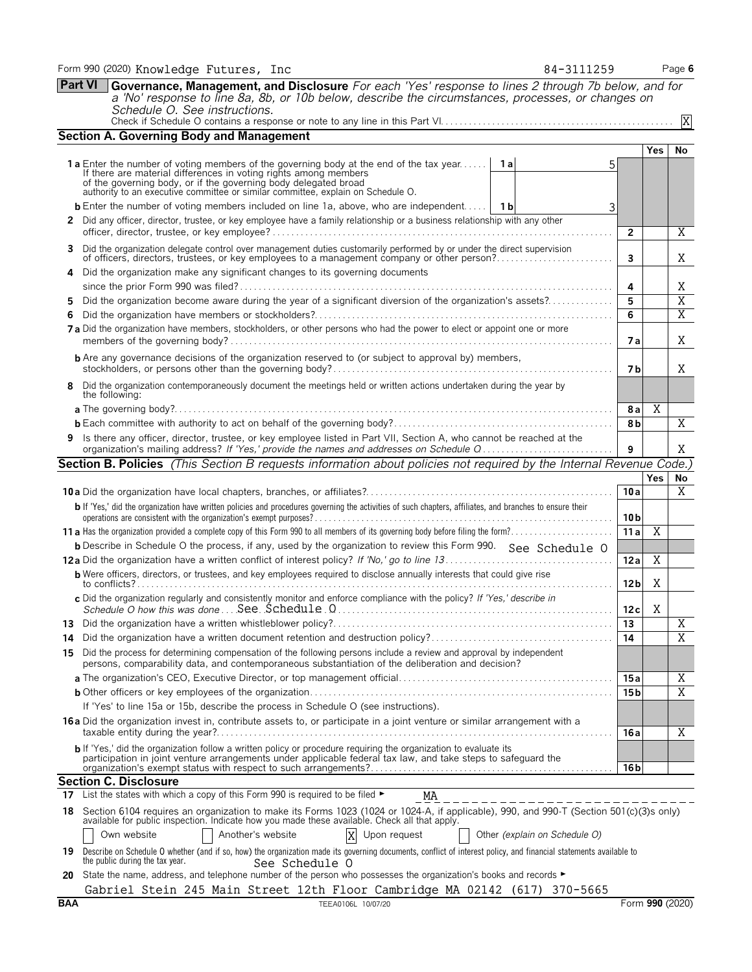| 19 | Describe on Schedule O whether (and if so, how) the organization made its governing documents, conflict of interest policy, and financial statements available to |
|----|-------------------------------------------------------------------------------------------------------------------------------------------------------------------|
|    | the public during the tax year.<br>See Schedule O                                                                                                                 |
|    | 20 State the name, address, and telephone number of the person who possesses the organization's books and records ►                                               |
|    | Gabriel Stein 245 Main Street 12th Floor Cambridge MA 02142 (617) 370-5665                                                                                        |

Own website **Another's website**  $X$  Upon request **Definition** Other *(explain on Schedule O)* 

| <b>Part VI</b><br>Governance, Management, and Disclosure For each 'Yes' response to lines 2 through 7b below, and for<br>a 'No' response to line 8a, 8b, or 10b below, describe the circumstances, processes, or changes on                                                                                                       |                           |
|-----------------------------------------------------------------------------------------------------------------------------------------------------------------------------------------------------------------------------------------------------------------------------------------------------------------------------------|---------------------------|
| Schedule O. See instructions.                                                                                                                                                                                                                                                                                                     |                           |
|                                                                                                                                                                                                                                                                                                                                   | X                         |
| <b>Section A. Governing Body and Management</b>                                                                                                                                                                                                                                                                                   |                           |
|                                                                                                                                                                                                                                                                                                                                   | Yes I<br>No               |
| 1 <b>a</b> Enter the number of voting members of the governing body at the end of the tax year 1 <b>a</b> If there are material differences in voting rights among members<br>of the governing body, or if the governing body delegated broad<br>authority to an executive committee or similar committee, explain on Schedule O. | 5                         |
| <b>b</b> Enter the number of voting members included on line 1a, above, who are independent 1 <b>1b</b>                                                                                                                                                                                                                           | 3                         |
| 2 Did any officer, director, trustee, or key employee have a family relationship or a business relationship with any other                                                                                                                                                                                                        | X<br>2                    |
| Did the organization delegate control over management duties customarily performed by or under the direct supervision<br>3.<br>of officers, directors, trustees, or key employees to a management company or other person?                                                                                                        | 3<br>X                    |
| Did the organization make any significant changes to its governing documents<br>4                                                                                                                                                                                                                                                 |                           |
|                                                                                                                                                                                                                                                                                                                                   | Χ<br>4                    |
| Did the organization become aware during the year of a significant diversion of the organization's assets?<br>5.                                                                                                                                                                                                                  | $\overline{X}$<br>5       |
| 6                                                                                                                                                                                                                                                                                                                                 | $\overline{X}$<br>6       |
| 7 a Did the organization have members, stockholders, or other persons who had the power to elect or appoint one or more                                                                                                                                                                                                           | X<br><b>7a</b>            |
| <b>b</b> Are any governance decisions of the organization reserved to (or subject to approval by) members,                                                                                                                                                                                                                        | 7 <b>b</b><br>Χ           |
| Did the organization contemporaneously document the meetings held or written actions undertaken during the year by<br>8<br>the following:                                                                                                                                                                                         |                           |
|                                                                                                                                                                                                                                                                                                                                   | Χ<br>8 a                  |
|                                                                                                                                                                                                                                                                                                                                   | X<br>8 <sub>b</sub>       |
| Is there any officer, director, trustee, or key employee listed in Part VII, Section A, who cannot be reached at the<br>9<br>organization's mailing address? If 'Yes,' provide the names and addresses on Schedule Q                                                                                                              | X<br>9                    |
| Section B. Policies (This Section B requests information about policies not required by the Internal Revenue Code.)                                                                                                                                                                                                               |                           |
|                                                                                                                                                                                                                                                                                                                                   | Yes<br>No                 |
|                                                                                                                                                                                                                                                                                                                                   | X<br>10a                  |
| b If 'Yes,' did the organization have written policies and procedures governing the activities of such chapters, affiliates, and branches to ensure their                                                                                                                                                                         | 10 <sub>b</sub>           |
|                                                                                                                                                                                                                                                                                                                                   | $\overline{X}$<br>11a     |
| <b>b</b> Describe in Schedule O the process, if any, used by the organization to review this Form 990. See Schedule O                                                                                                                                                                                                             |                           |
|                                                                                                                                                                                                                                                                                                                                   | Χ<br>12a                  |
| <b>b</b> Were officers, directors, or trustees, and key employees required to disclose annually interests that could give rise                                                                                                                                                                                                    | 12 <sub>b</sub><br>X<br>. |
|                                                                                                                                                                                                                                                                                                                                   | X<br>12c                  |
|                                                                                                                                                                                                                                                                                                                                   | 13 <sup>7</sup><br>Χ      |
|                                                                                                                                                                                                                                                                                                                                   | Χ<br>14                   |
| 15 Did the process for determining compensation of the following persons include a review and approval by independent<br>persons, comparability data, and contemporaneous substantiation of the deliberation and decision?                                                                                                        |                           |
|                                                                                                                                                                                                                                                                                                                                   | 15a<br>Χ                  |
|                                                                                                                                                                                                                                                                                                                                   | Χ<br>15 <sub>b</sub>      |
| If 'Yes' to line 15a or 15b, describe the process in Schedule O (see instructions).                                                                                                                                                                                                                                               |                           |
| 16a Did the organization invest in, contribute assets to, or participate in a joint venture or similar arrangement with a                                                                                                                                                                                                         | X<br>16 a                 |
| <b>b</b> If 'Yes,' did the organization follow a written policy or procedure requiring the organization to evaluate its<br>participation in joint venture arrangements under applicable federal tax law, and take steps to safeguard the                                                                                          |                           |
|                                                                                                                                                                                                                                                                                                                                   | 16 b                      |
| <b>Section C. Disclosure</b>                                                                                                                                                                                                                                                                                                      |                           |
|                                                                                                                                                                                                                                                                                                                                   |                           |
| List the states with which a copy of this Form 990 is required to be filed ►<br>17<br>MA<br>Section 6104 requires an organization to make its Forms 1023 (1024 or 1024-A, if applicable), 990, and 990-T (Section 501(c)(3)s only)                                                                                                | _______________________   |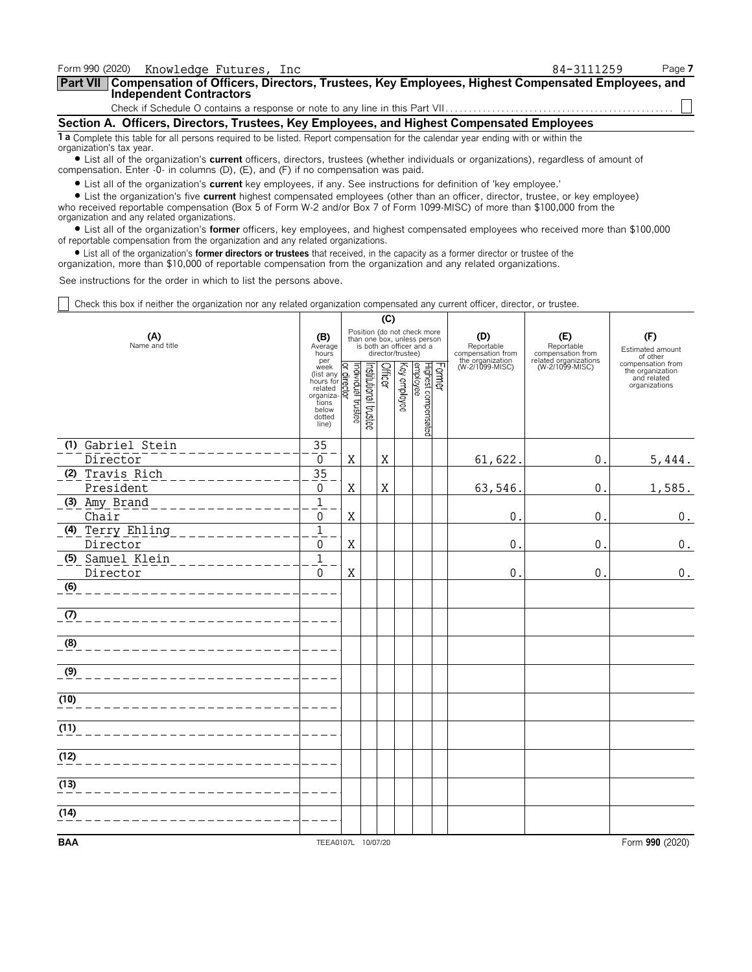Form 990 (2020) Page **7** Knowledge Futures, Inc 84-3111259 **Part VII Compensation of Officers, Directors, Trustees, Key Employees, Highest Compensated Employees, and Independent Contractors** Check if Schedule O contains a response or note to any line in this Part VII.. **Section A. Officers, Directors, Trustees, Key Employees, and Highest Compensated Employees**

**1 a** Complete this table for all persons required to be listed. Report compensation for the calendar year ending with or within the organization's tax year.

? List all of the organization's **current** officers, directors, trustees (whether individuals or organizations), regardless of amount of compensation. Enter -0- in columns (D), (E), and (F) if no compensation was paid.

? List all of the organization's **current** key employees, if any. See instructions for definition of 'key employee.'

? List the organization's five **current** highest compensated employees (other than an officer, director, trustee, or key employee) who received reportable compensation (Box 5 of Form W-2 and/or Box 7 of Form 1099-MISC) of more than \$100,000 from the organization and any related organizations.

? List all of the organization's **former** officers, key employees, and highest compensated employees who received more than \$100,000 of reportable compensation from the organization and any related organizations.

? List all of the organization's **former directors or trustees** that received, in the capacity as a former director or trustee of the organization, more than \$10,000 of reportable compensation from the organization and any related organizations.

See instructions for the order in which to list the persons above.

Check this box if neither the organization nor any related organization compensated any current officer, director, or trustee.

|                                              |                                                                                                                                                                                                                                                                                                                                  | (C)                                                                                                         |                       |             |              |                                 |        |                                        |                                          |                                                                       |  |
|----------------------------------------------|----------------------------------------------------------------------------------------------------------------------------------------------------------------------------------------------------------------------------------------------------------------------------------------------------------------------------------|-------------------------------------------------------------------------------------------------------------|-----------------------|-------------|--------------|---------------------------------|--------|----------------------------------------|------------------------------------------|-----------------------------------------------------------------------|--|
| (A)<br>Name and title                        | (B)<br>Average<br>hours<br>per                                                                                                                                                                                                                                                                                                   | Position (do not check more<br>than one box, unless person<br>is both an officer and a<br>director/trustee) |                       |             |              |                                 |        | (D)<br>Reportable<br>compensation from | (E)<br>Reportable<br>compensation from   | (F)<br>Estimated amount<br>of other                                   |  |
|                                              | per<br>(list any der Citations)<br>thours for detailed<br>telated<br>ine)<br>different<br>$\frac{1}{2}$<br>$\frac{1}{2}$<br>$\frac{1}{2}$<br>$\frac{1}{2}$<br>$\frac{1}{2}$<br>$\frac{1}{2}$<br>$\frac{1}{2}$<br>$\frac{1}{2}$<br>$\frac{1}{2}$<br>$\frac{1}{2}$<br>$\frac{1}{2}$<br>$\frac{1}{2}$<br>$\frac{1}{2}$<br><br>line) |                                                                                                             | Institutional trustee | Officer     | Key employee | Highest compensated<br>employee | Former | the organization<br>(W-2/1099-MISC)    | related organizations<br>(W-2/1099-MISC) | compensation from<br>the organization<br>and related<br>organizations |  |
| (1) Gabriel Stein<br>Director                | 35<br>0                                                                                                                                                                                                                                                                                                                          | X                                                                                                           |                       | X           |              |                                 |        | 61,622.                                | $\overline{0}$                           | 5,444.                                                                |  |
| (2) Travis Rich                              | 35                                                                                                                                                                                                                                                                                                                               |                                                                                                             |                       |             |              |                                 |        |                                        |                                          |                                                                       |  |
| President                                    | 0                                                                                                                                                                                                                                                                                                                                | $\mathbf X$                                                                                                 |                       | $\mathbf X$ |              |                                 |        | 63,546.                                | $\mathbf{0}$                             | 1,585.                                                                |  |
| (3) Amy Brand<br>Chair                       | $\mathbf{1}$<br>$\Omega$                                                                                                                                                                                                                                                                                                         | X                                                                                                           |                       |             |              |                                 |        | 0                                      | 0                                        | $0$ .                                                                 |  |
| (4) Terry Ehling<br>Director                 | $\mathbf{1}$<br>$\Omega$                                                                                                                                                                                                                                                                                                         | Χ                                                                                                           |                       |             |              |                                 |        | $\mathbf 0$                            | $\mathbf 0$                              | $\boldsymbol{0}$ .                                                    |  |
| (5) Samuel Klein<br>____________<br>Director | $\overline{1}$<br>$\Omega$                                                                                                                                                                                                                                                                                                       | X                                                                                                           |                       |             |              |                                 |        | $\mathbf 0$                            | $\mathbf 0$                              | $0$ .                                                                 |  |
| (6)                                          |                                                                                                                                                                                                                                                                                                                                  |                                                                                                             |                       |             |              |                                 |        |                                        |                                          |                                                                       |  |
| (7)                                          |                                                                                                                                                                                                                                                                                                                                  |                                                                                                             |                       |             |              |                                 |        |                                        |                                          |                                                                       |  |
| (8)                                          |                                                                                                                                                                                                                                                                                                                                  |                                                                                                             |                       |             |              |                                 |        |                                        |                                          |                                                                       |  |
| (9)                                          |                                                                                                                                                                                                                                                                                                                                  |                                                                                                             |                       |             |              |                                 |        |                                        |                                          |                                                                       |  |
| (10)                                         |                                                                                                                                                                                                                                                                                                                                  |                                                                                                             |                       |             |              |                                 |        |                                        |                                          |                                                                       |  |
| (11)                                         |                                                                                                                                                                                                                                                                                                                                  |                                                                                                             |                       |             |              |                                 |        |                                        |                                          |                                                                       |  |
| (12)                                         |                                                                                                                                                                                                                                                                                                                                  |                                                                                                             |                       |             |              |                                 |        |                                        |                                          |                                                                       |  |
| (13)                                         |                                                                                                                                                                                                                                                                                                                                  |                                                                                                             |                       |             |              |                                 |        |                                        |                                          |                                                                       |  |
| (14)                                         |                                                                                                                                                                                                                                                                                                                                  |                                                                                                             |                       |             |              |                                 |        |                                        |                                          |                                                                       |  |
| <b>BAA</b>                                   | TEEA0107L 10/07/20                                                                                                                                                                                                                                                                                                               |                                                                                                             |                       |             |              |                                 |        |                                        |                                          | Form 990 (2020)                                                       |  |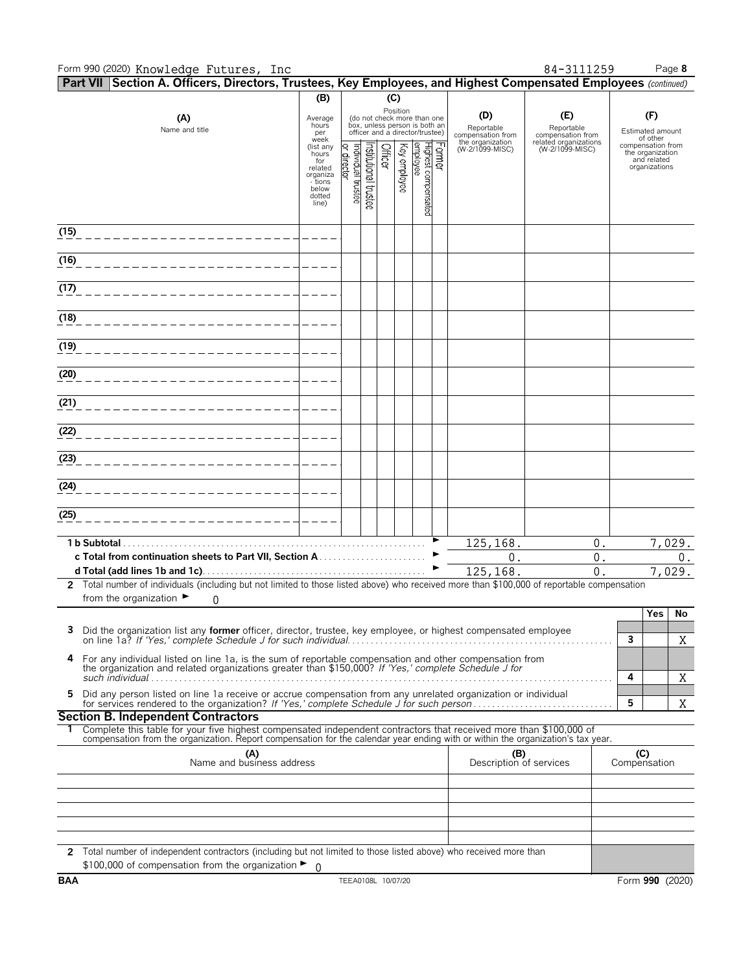#### Form 990 (2020) Page **8** Knowledge Futures, Inc 84-311259

|               | Part VII   Section A. Officers, Directors, Trustees, Key Employees, and Highest Compensated Employees (continued)                                                                                                                                      |                                                                                                                   |                   |                           |         |                          |                                                                                                                                    |        |                                                                               |                                                                                    |   |                                                                                                              |    |
|---------------|--------------------------------------------------------------------------------------------------------------------------------------------------------------------------------------------------------------------------------------------------------|-------------------------------------------------------------------------------------------------------------------|-------------------|---------------------------|---------|--------------------------|------------------------------------------------------------------------------------------------------------------------------------|--------|-------------------------------------------------------------------------------|------------------------------------------------------------------------------------|---|--------------------------------------------------------------------------------------------------------------|----|
|               |                                                                                                                                                                                                                                                        | (B)                                                                                                               |                   |                           | (C)     |                          |                                                                                                                                    |        |                                                                               |                                                                                    |   |                                                                                                              |    |
|               | (A)<br>Name and title                                                                                                                                                                                                                                  | Average<br>hours<br>per<br>week<br>(list any<br>hours<br>for<br>related<br>organiza<br>- tions<br>below<br>dotted | ndividual trustee | nstitutional<br>I trustee | Officer | Position<br>Key employee | (do not check more than one<br>box, unless person is both an<br>officer and a director/trustee)<br>employee<br>Highest compensatec | Former | (D)<br>Reportable<br>compensation from<br>the organization<br>(W-2/1099-MISC) | (E)<br>Reportable<br>compensation from<br>related organizations<br>(W-2/1099-MISC) |   | (F)<br>Estimated amount<br>of other<br>compensation from<br>the organization<br>and related<br>organizations |    |
| (15)          |                                                                                                                                                                                                                                                        | line)                                                                                                             |                   |                           |         |                          |                                                                                                                                    |        |                                                                               |                                                                                    |   |                                                                                                              |    |
| (16)          |                                                                                                                                                                                                                                                        |                                                                                                                   |                   |                           |         |                          |                                                                                                                                    |        |                                                                               |                                                                                    |   |                                                                                                              |    |
|               |                                                                                                                                                                                                                                                        |                                                                                                                   |                   |                           |         |                          |                                                                                                                                    |        |                                                                               |                                                                                    |   |                                                                                                              |    |
| (17)          |                                                                                                                                                                                                                                                        |                                                                                                                   |                   |                           |         |                          |                                                                                                                                    |        |                                                                               |                                                                                    |   |                                                                                                              |    |
| (18)          |                                                                                                                                                                                                                                                        |                                                                                                                   |                   |                           |         |                          |                                                                                                                                    |        |                                                                               |                                                                                    |   |                                                                                                              |    |
| (19)          |                                                                                                                                                                                                                                                        |                                                                                                                   |                   |                           |         |                          |                                                                                                                                    |        |                                                                               |                                                                                    |   |                                                                                                              |    |
| (20)          |                                                                                                                                                                                                                                                        |                                                                                                                   |                   |                           |         |                          |                                                                                                                                    |        |                                                                               |                                                                                    |   |                                                                                                              |    |
| (21)          |                                                                                                                                                                                                                                                        |                                                                                                                   |                   |                           |         |                          |                                                                                                                                    |        |                                                                               |                                                                                    |   |                                                                                                              |    |
| (22)          |                                                                                                                                                                                                                                                        |                                                                                                                   |                   |                           |         |                          |                                                                                                                                    |        |                                                                               |                                                                                    |   |                                                                                                              |    |
| (23)          |                                                                                                                                                                                                                                                        |                                                                                                                   |                   |                           |         |                          |                                                                                                                                    |        |                                                                               |                                                                                    |   |                                                                                                              |    |
|               |                                                                                                                                                                                                                                                        |                                                                                                                   |                   |                           |         |                          |                                                                                                                                    |        |                                                                               |                                                                                    |   |                                                                                                              |    |
| (24)          |                                                                                                                                                                                                                                                        |                                                                                                                   |                   |                           |         |                          |                                                                                                                                    |        |                                                                               |                                                                                    |   |                                                                                                              |    |
| (25)          |                                                                                                                                                                                                                                                        |                                                                                                                   |                   |                           |         |                          |                                                                                                                                    |        |                                                                               |                                                                                    |   |                                                                                                              |    |
| 1 b Subtotal. |                                                                                                                                                                                                                                                        |                                                                                                                   |                   |                           |         |                          |                                                                                                                                    |        | 125,168.                                                                      | 0.                                                                                 |   | 7,029.                                                                                                       |    |
|               |                                                                                                                                                                                                                                                        |                                                                                                                   |                   |                           |         |                          |                                                                                                                                    |        | 0.                                                                            | 0.                                                                                 |   |                                                                                                              | 0. |
|               |                                                                                                                                                                                                                                                        |                                                                                                                   |                   |                           |         |                          |                                                                                                                                    |        | 125,168.                                                                      | $\overline{0}$ .                                                                   |   | 7,029.                                                                                                       |    |
|               | 2 Total number of individuals (including but not limited to those listed above) who received more than \$100,000 of reportable compensation<br>from the organization $\blacktriangleright$<br>O                                                        |                                                                                                                   |                   |                           |         |                          |                                                                                                                                    |        |                                                                               |                                                                                    |   |                                                                                                              |    |
|               |                                                                                                                                                                                                                                                        |                                                                                                                   |                   |                           |         |                          |                                                                                                                                    |        |                                                                               |                                                                                    |   | Yes                                                                                                          | No |
|               | Did the organization list any former officer, director, trustee, key employee, or highest compensated employee                                                                                                                                         |                                                                                                                   |                   |                           |         |                          |                                                                                                                                    |        |                                                                               |                                                                                    | 3 |                                                                                                              | X  |
| 4             | For any individual listed on line 1a, is the sum of reportable compensation and other compensation from<br>the organization and related organizations greater than \$150,000? If 'Yes,' complete Schedule J for                                        |                                                                                                                   |                   |                           |         |                          |                                                                                                                                    |        |                                                                               |                                                                                    | 4 |                                                                                                              | Χ  |
| 5.            | Did any person listed on line 1a receive or accrue compensation from any unrelated organization or individual                                                                                                                                          |                                                                                                                   |                   |                           |         |                          |                                                                                                                                    |        |                                                                               |                                                                                    | 5 |                                                                                                              | Χ  |
|               | <b>Section B. Independent Contractors</b>                                                                                                                                                                                                              |                                                                                                                   |                   |                           |         |                          |                                                                                                                                    |        |                                                                               |                                                                                    |   |                                                                                                              |    |
|               | Complete this table for your five highest compensated independent contractors that received more than \$100,000 of<br>compensation from the organization. Report compensation for the calendar year ending with or within the organization's tax year. |                                                                                                                   |                   |                           |         |                          |                                                                                                                                    |        |                                                                               |                                                                                    |   |                                                                                                              |    |
|               | (A)<br>Name and business address                                                                                                                                                                                                                       |                                                                                                                   |                   |                           |         |                          |                                                                                                                                    |        | (B)<br>Description of services                                                |                                                                                    |   | (C)<br>Compensation                                                                                          |    |
|               |                                                                                                                                                                                                                                                        |                                                                                                                   |                   |                           |         |                          |                                                                                                                                    |        |                                                                               |                                                                                    |   |                                                                                                              |    |
|               |                                                                                                                                                                                                                                                        |                                                                                                                   |                   |                           |         |                          |                                                                                                                                    |        |                                                                               |                                                                                    |   |                                                                                                              |    |
|               |                                                                                                                                                                                                                                                        |                                                                                                                   |                   |                           |         |                          |                                                                                                                                    |        |                                                                               |                                                                                    |   |                                                                                                              |    |
|               | 2 Total number of independent contractors (including but not limited to those listed above) who received more than                                                                                                                                     |                                                                                                                   |                   |                           |         |                          |                                                                                                                                    |        |                                                                               |                                                                                    |   |                                                                                                              |    |
|               | \$100,000 of compensation from the organization $\blacktriangleright$ 0                                                                                                                                                                                |                                                                                                                   |                   |                           |         |                          |                                                                                                                                    |        |                                                                               |                                                                                    |   |                                                                                                              |    |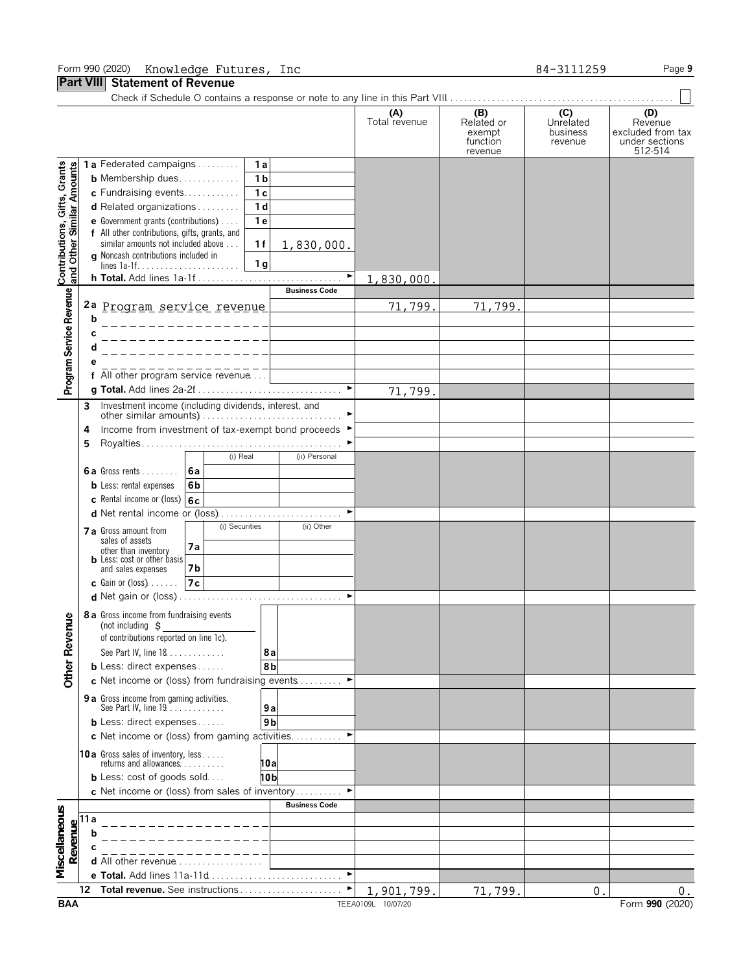#### Form 990 (2020) Page **9** Knowledge Futures, Inc 84-3111259

#### **Part VIII Statement of Revenue**

Check if Schedule O contains a response or note to any line in this Part VIII. . . . . . . . . . . . . . . . . **(A) (B) (C) (D) Related or Unrelated Revenue Revenue Revenue Revenue Revenue Revenue Revenue Revenue Revenue Revenue Revenue Revenue Revenue Revenue Revenue Revenue Revenue Reve** exempt business excluded from tax<br>function revenue under sections function revenue under sections<br>revenue 512-514 512-514 **1 a** Federated campaigns. . . . . . . . . . **1 a** Contributions, Gifts, Grants and Other Similar Amounts **b** Membership dues. . . . . . . . . . . . . **1 b c** Fundraising events. . . . . . . . . . . . **1 c d** Related organizations . . . . . . . . . **1 d e** Government grants (contributions). . . . . **1 e f** All other contributions, gifts, grants, and similar amounts not included above . . . **1 1** 1,830,000. **g** Noncash contributions included in lines 1a-1f. . . . . . . . . . . . . . . . . . . . . . **1 g h** Total. Add lines 1a-1f. 1,830,000. Program Service Revenue **Business Code 2 a** Program service revenue71,799. 71,799. **b c d e f** All other program service revenue. . . . **g Total.** Add lines 2a-2f. . . . . . . . . . . . . . . . . . . . . . . . . . . . . . . . G 71,799. **3** Investment income (including dividends, interest, and other similar amounts). . . . . . . . . . . . . . . . . . . . . . . . . . . . . . . G 4 Income from investment of tax-exempt bond proceeds  $\blacktriangleright$ **5** Royalties . . . . . . . . . . . (i) Real (ii) Personal **6 a** Gross rents . . . . . . . . **6a b** Less: rental expenses **6b c** Rental income or (loss) **6c d** Net rental income or (loss). **7 a** Gross amount from sales of assets  $\begin{bmatrix} (i) \text{ Securities} \\ (ii) \text{ Other} \end{bmatrix}$ sales of assets<br>other than inventory **7a b** Less: cost or other basis and sales expenses **7b c** Gain or (loss). . . . . . . **7c d** Net gain or (loss) . . . . . . . . . . . . . . . . . . . . . . . . . . . . . . . . . . . G **8 a** Gross income from fundraising events **Other Revenue** (not including \$ of contributions reported on line 1c). See Part IV, line 18. . . . . . . . . . . . . **8 a b** Less: direct expenses . . . . . . **8b c** Net income or (loss) from fundraising events . . . . . . . . **9 a** Gross income from gaming activities. See Part IV, line 19. . . . . . . . . . . . . **9 a b** Less: direct expenses . . . . . . **9b c** Net income or (loss) from gaming activities. **10a** Gross sales of inventory, less. . . . . returns and allowances. . . . . . . . . . **10a b** Less: cost of goods sold.... **10b c** Net income or (loss) from sales of inventory . . . . . . . . . **Business Code** Miscellaneous **11a** Revenue **b c d** All other revenue... **e** Total. Add lines 11a-11d. **12 Total revenue.** See instructions . . . . . . . . . . . . . . . . . . . . . . G 1,901,799. | 71,799. | 0. | 0. | 0. **BAA** TEEA0109L 10/07/20 Form **990** (2020)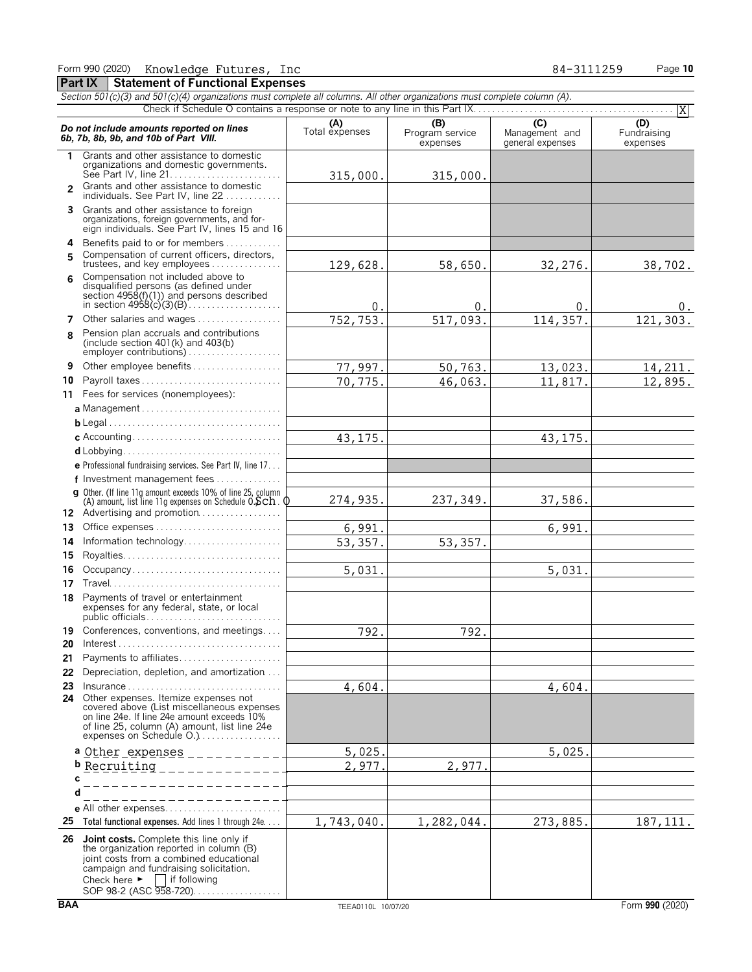**Part IX Statement of Functional Expenses**

*Section 501(c)(3) and 501(c)(4) organizations must complete all columns. All other organizations must complete column (A).*

|                |                                                                                                                                                                                                                                                                      |                       |                                    |                                                                  | X                              |
|----------------|----------------------------------------------------------------------------------------------------------------------------------------------------------------------------------------------------------------------------------------------------------------------|-----------------------|------------------------------------|------------------------------------------------------------------|--------------------------------|
|                | Do not include amounts reported on lines<br>6b, 7b, 8b, 9b, and 10b of Part VIII.                                                                                                                                                                                    | (A)<br>Total expenses | (B)<br>Program service<br>expenses | $\overline{(\mathcal{C})}$<br>Management and<br>general expenses | (D)<br>Fundraising<br>expenses |
| 1              | Grants and other assistance to domestic<br>organizations and domestic governments.                                                                                                                                                                                   | 315,000.              | 315,000.                           |                                                                  |                                |
| $\mathfrak{p}$ | Grants and other assistance to domestic<br>individuals. See Part IV, line 22                                                                                                                                                                                         |                       |                                    |                                                                  |                                |
| 3              | Grants and other assistance to foreign<br>organizations, foreign governments, and for-<br>eign individuals. See Part IV, lines 15 and 16                                                                                                                             |                       |                                    |                                                                  |                                |
| 4              | Benefits paid to or for members                                                                                                                                                                                                                                      |                       |                                    |                                                                  |                                |
| 5              | Compensation of current officers, directors,                                                                                                                                                                                                                         | 129,628.              | 58,650.                            | 32,276.                                                          | 38,702.                        |
| 6              | Compensation not included above to<br>disqualified persons (as defined under<br>section $4958(f)(1)$ ) and persons described                                                                                                                                         | 0.                    | 0.                                 | 0.                                                               | 0.                             |
| 7              | Other salaries and wages                                                                                                                                                                                                                                             | 752,753.              | 517,093.                           | 114,357.                                                         | 121,303.                       |
| 8              | Pension plan accruals and contributions<br>(include section $401(k)$ and $403(b)$ )                                                                                                                                                                                  |                       |                                    |                                                                  |                                |
| 9              | Other employee benefits                                                                                                                                                                                                                                              | 77,997.               | 50,763.                            | 13,023.                                                          | 14,211.                        |
| 10             | Payroll taxes                                                                                                                                                                                                                                                        | 70,775.               | 46,063.                            | 11,817.                                                          | 12,895.                        |
| 11             | Fees for services (nonemployees):                                                                                                                                                                                                                                    |                       |                                    |                                                                  |                                |
|                |                                                                                                                                                                                                                                                                      |                       |                                    |                                                                  |                                |
|                |                                                                                                                                                                                                                                                                      |                       |                                    |                                                                  |                                |
|                |                                                                                                                                                                                                                                                                      | 43, 175.              |                                    | 43, 175.                                                         |                                |
|                |                                                                                                                                                                                                                                                                      |                       |                                    |                                                                  |                                |
|                | e Professional fundraising services. See Part IV, line 17                                                                                                                                                                                                            |                       |                                    |                                                                  |                                |
|                | f Investment management fees                                                                                                                                                                                                                                         |                       |                                    |                                                                  |                                |
|                | g Other. (If line 11g amount exceeds 10% of line 25, column<br>(A) amount, list line 11g expenses on Schedule $0.5$ Ch. $0$<br>12 Advertising and promotion                                                                                                          | 274,935.              | 237,349.                           | 37,586.                                                          |                                |
| 13             |                                                                                                                                                                                                                                                                      | 6,991.                |                                    | 6,991.                                                           |                                |
| 14             | Information technology                                                                                                                                                                                                                                               | 53, 357.              | 53, 357.                           |                                                                  |                                |
| 15             |                                                                                                                                                                                                                                                                      |                       |                                    |                                                                  |                                |
| 16             | Occupancy                                                                                                                                                                                                                                                            | 5,031.                |                                    | 5,031.                                                           |                                |
| 17             |                                                                                                                                                                                                                                                                      |                       |                                    |                                                                  |                                |
| 18             | Payments of travel or entertainment<br>expenses for any federal, state, or local                                                                                                                                                                                     |                       |                                    |                                                                  |                                |
| 19             | Conferences, conventions, and meetings                                                                                                                                                                                                                               | 792.                  | 792.                               |                                                                  |                                |
| 20             |                                                                                                                                                                                                                                                                      |                       |                                    |                                                                  |                                |
|                | 21 Payments to affiliates                                                                                                                                                                                                                                            |                       |                                    |                                                                  |                                |
| 22 -           | Depreciation, depletion, and amortization                                                                                                                                                                                                                            |                       |                                    |                                                                  |                                |
|                |                                                                                                                                                                                                                                                                      | 4,604.                |                                    | 4,604.                                                           |                                |
|                | 24 Other expenses. Itemize expenses not<br>covered above (List miscellaneous expenses<br>on line 24e. If line 24e amount exceeds 10%<br>of line 25, column (A) amount, list line 24e<br>expenses on Schedule O.)                                                     |                       |                                    |                                                                  |                                |
|                | a <u>Other expenses</u> ____________                                                                                                                                                                                                                                 | 5,025                 |                                    | 5,025                                                            |                                |
|                | b Recruiting _______________                                                                                                                                                                                                                                         | 2,977                 | 2,977                              |                                                                  |                                |
| c              |                                                                                                                                                                                                                                                                      |                       |                                    |                                                                  |                                |
|                | d<br>__________                                                                                                                                                                                                                                                      |                       |                                    |                                                                  |                                |
|                | e All other expenses                                                                                                                                                                                                                                                 |                       |                                    |                                                                  |                                |
| 25             | Total functional expenses. Add lines 1 through 24e                                                                                                                                                                                                                   | 1,743,040.            | 1,282,044.                         | 273,885.                                                         | 187, 111.                      |
|                | 26 Joint costs. Complete this line only if<br>the organization reported in column (B)<br>joint costs from a combined educational<br>campaign and fundraising solicitation.<br>Check here $\blacktriangleright$ $\blacksquare$ if following<br>SOP 98-2 (ASC 958-720) |                       |                                    |                                                                  |                                |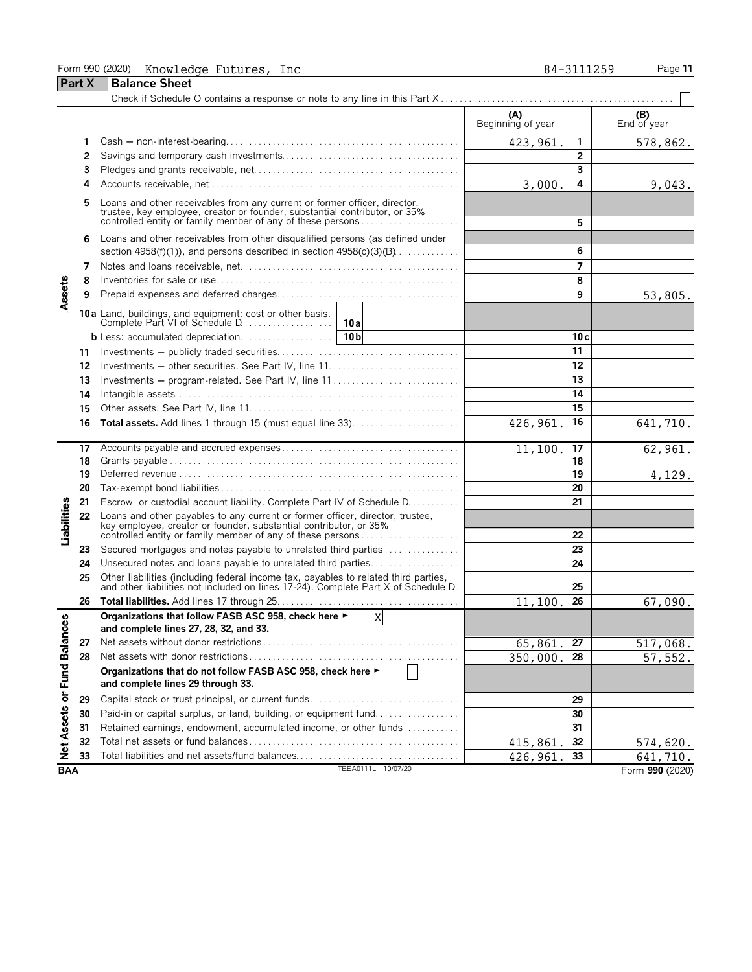#### Form 990 (2020) Page **11** Knowledge Futures, Inc 84-3111259

 $\Box$ 

**Part X Balance Sheet** 

|                    |          |                                                                                                                                                                                                                       | (A)<br>Beginning of year |                       | (B)<br>End of year |
|--------------------|----------|-----------------------------------------------------------------------------------------------------------------------------------------------------------------------------------------------------------------------|--------------------------|-----------------------|--------------------|
|                    | 1        |                                                                                                                                                                                                                       | 423,961                  | 1                     | 578,862.           |
|                    | 2        |                                                                                                                                                                                                                       |                          | $\overline{2}$        |                    |
|                    | 3        |                                                                                                                                                                                                                       |                          | 3                     |                    |
|                    | 4        |                                                                                                                                                                                                                       | 3,000.                   | 4                     | 9,043.             |
|                    | 5        | Loans and other receivables from any current or former officer, director,<br>trustee, key employee, creator or founder, substantial contributor, or 35%<br>controlled entity or family member of any of these persons |                          | 5                     |                    |
|                    | 6        | Loans and other receivables from other disqualified persons (as defined under<br>section $4958(f)(1)$ , and persons described in section $4958(c)(3)(B)$                                                              |                          | 6                     |                    |
|                    | 7        |                                                                                                                                                                                                                       |                          | $\overline{7}$        |                    |
|                    | 8        |                                                                                                                                                                                                                       |                          | 8                     |                    |
| Assets             | 9        |                                                                                                                                                                                                                       |                          | 9                     | 53,805.            |
|                    |          | 10a Land, buildings, and equipment: cost or other basis.                                                                                                                                                              |                          |                       |                    |
|                    |          |                                                                                                                                                                                                                       |                          | 10c                   |                    |
|                    | 11       |                                                                                                                                                                                                                       |                          | 11                    |                    |
|                    | 12       |                                                                                                                                                                                                                       |                          | 12                    |                    |
|                    | 13       | Investments – program-related. See Part IV, line 11                                                                                                                                                                   |                          | 13                    |                    |
|                    | 14       |                                                                                                                                                                                                                       |                          | 14                    |                    |
|                    | 15       |                                                                                                                                                                                                                       |                          | 15                    |                    |
|                    | 16       | <b>Total assets.</b> Add lines 1 through 15 (must equal line 33)                                                                                                                                                      | 426,961                  | 16                    | 641,710.           |
|                    | 17       |                                                                                                                                                                                                                       | 11,100                   | 17                    | 62,961.            |
|                    | 18       |                                                                                                                                                                                                                       |                          | 18                    |                    |
|                    | 19       |                                                                                                                                                                                                                       |                          | 19                    | 4,129.             |
|                    | 20       |                                                                                                                                                                                                                       |                          | 20                    |                    |
|                    | 21       | Escrow or custodial account liability. Complete Part IV of Schedule D.                                                                                                                                                |                          | 21                    |                    |
| Liabilities        | 22       | Loans and other payables to any current or former officer, director, trustee,<br>key employee, creator or founder, substantial contributor, or 35%<br>controlled entity or family member of any of these persons      |                          | 22                    |                    |
|                    | 23       | Secured mortgages and notes payable to unrelated third parties                                                                                                                                                        |                          | 23                    |                    |
|                    | 24       | Unsecured notes and loans payable to unrelated third parties                                                                                                                                                          |                          | 24                    |                    |
|                    | 25       | Other liabilities (including federal income tax, payables to related third parties, and other liabilities not included on lines 17-24). Complete Part X of Schedule D.                                                |                          | 25                    |                    |
|                    | 26       |                                                                                                                                                                                                                       | 11,100                   | 26                    | 67,090.            |
| <b>Balances</b>    |          | Organizations that follow FASB ASC 958, check here ►<br>X<br>and complete lines 27, 28, 32, and 33.                                                                                                                   |                          |                       |                    |
|                    | 27<br>28 |                                                                                                                                                                                                                       | 65,861.                  | $\overline{27}$<br>28 | 517,068.           |
|                    |          | Organizations that do not follow FASB ASC 958, check here ►                                                                                                                                                           | 350,000.                 |                       | 57,552.            |
| Net Assets or Fund |          | and complete lines 29 through 33.                                                                                                                                                                                     |                          |                       |                    |
|                    | 29       | Capital stock or trust principal, or current funds                                                                                                                                                                    |                          | 29                    |                    |
|                    | 30       | Paid-in or capital surplus, or land, building, or equipment fund                                                                                                                                                      |                          | 30                    |                    |
|                    | 31       | Retained earnings, endowment, accumulated income, or other funds                                                                                                                                                      |                          | 31                    |                    |
|                    | 32       |                                                                                                                                                                                                                       | 415,861                  | 32                    | 574,620.           |
|                    | 33       | Total liabilities and net assets/fund balances                                                                                                                                                                        | 426,961                  | 33                    | 641,710.           |
| <b>BAA</b>         |          | TEEA0111L 10/07/20                                                                                                                                                                                                    |                          |                       | Form 990 (2020)    |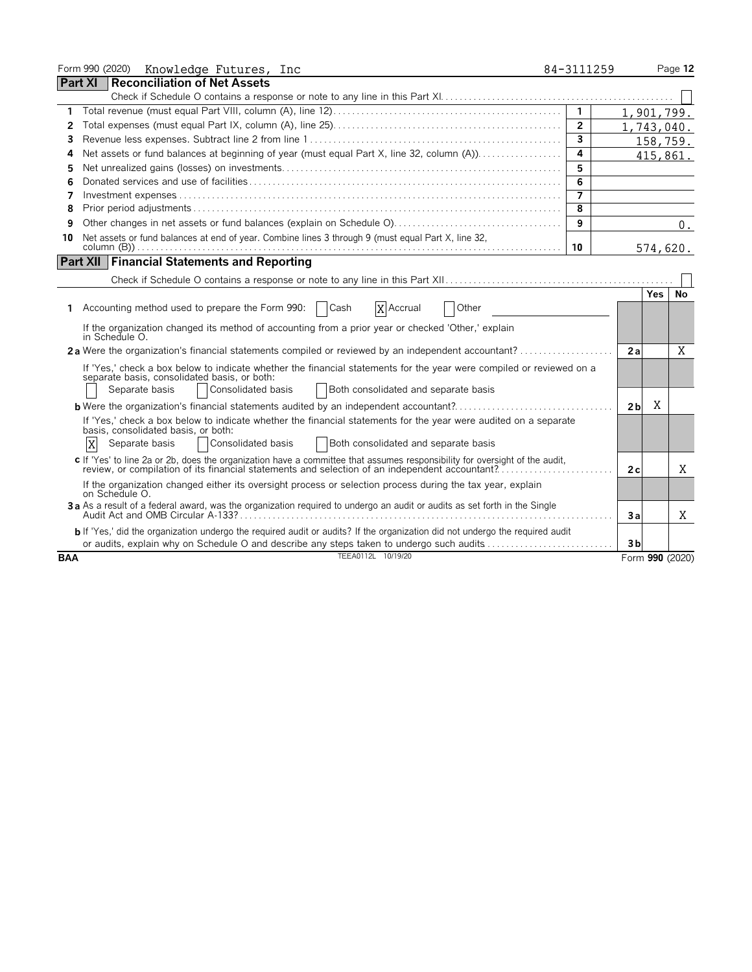|              | Form 990 (2020) Knowledge Futures, Inc                                                                                                                                                                                                               | 84-3111259              |                |            | Page 12         |
|--------------|------------------------------------------------------------------------------------------------------------------------------------------------------------------------------------------------------------------------------------------------------|-------------------------|----------------|------------|-----------------|
|              | <b>Part XI Reconciliation of Net Assets</b>                                                                                                                                                                                                          |                         |                |            |                 |
|              |                                                                                                                                                                                                                                                      |                         |                |            |                 |
|              |                                                                                                                                                                                                                                                      | $\mathbf{1}$            | 1,901,799.     |            |                 |
| $\mathbf{2}$ |                                                                                                                                                                                                                                                      | $\overline{2}$          |                | 1,743,040. |                 |
| 3            |                                                                                                                                                                                                                                                      | $\overline{\mathbf{3}}$ |                | 158,759.   |                 |
| 4            | Net assets or fund balances at beginning of year (must equal Part X, line 32, column (A))                                                                                                                                                            | $\overline{\mathbf{A}}$ |                | 415,861.   |                 |
| 5            |                                                                                                                                                                                                                                                      | 5                       |                |            |                 |
| 6            |                                                                                                                                                                                                                                                      | 6                       |                |            |                 |
| 7            |                                                                                                                                                                                                                                                      | 7                       |                |            |                 |
| 8            |                                                                                                                                                                                                                                                      | 8                       |                |            |                 |
| 9            |                                                                                                                                                                                                                                                      | 9                       |                |            | 0.              |
| 10           | Net assets or fund balances at end of year. Combine lines 3 through 9 (must equal Part X, line 32,                                                                                                                                                   |                         |                |            |                 |
|              |                                                                                                                                                                                                                                                      | 10                      |                | 574,620.   |                 |
|              | <b>Part XII Financial Statements and Reporting</b>                                                                                                                                                                                                   |                         |                |            |                 |
|              |                                                                                                                                                                                                                                                      |                         |                |            |                 |
|              |                                                                                                                                                                                                                                                      |                         |                | Yes        | <b>No</b>       |
| 1            | Accounting method used to prepare the Form 990:<br>Cash<br>X Accrual<br><b>Other</b>                                                                                                                                                                 |                         |                |            |                 |
|              | If the organization changed its method of accounting from a prior year or checked 'Other,' explain<br>in Schedule O.                                                                                                                                 |                         |                |            |                 |
|              | 2a Were the organization's financial statements compiled or reviewed by an independent accountant?                                                                                                                                                   |                         | 2a             |            | X               |
|              | If 'Yes,' check a box below to indicate whether the financial statements for the year were compiled or reviewed on a<br>separate basis, consolidated basis, or both:<br>Consolidated basis<br>Both consolidated and separate basis<br>Separate basis |                         |                |            |                 |
|              | <b>b</b> Were the organization's financial statements audited by an independent accountant?                                                                                                                                                          |                         | 2 <sub>b</sub> | X          |                 |
|              | If 'Yes,' check a box below to indicate whether the financial statements for the year were audited on a separate<br>basis, consolidated basis, or both:<br>X<br>Separate basis<br>Consolidated basis<br>Both consolidated and separate basis         |                         |                |            |                 |
|              | c If 'Yes' to line 2a or 2b, does the organization have a committee that assumes responsibility for oversight of the audit,<br>review, or compilation of its financial statements and selection of an independent accountant?                        |                         | 2с             |            | X               |
|              | If the organization changed either its oversight process or selection process during the tax year, explain<br>on Schedule O.                                                                                                                         |                         |                |            |                 |
|              | 3a As a result of a federal award, was the organization required to undergo an audit or audits as set forth in the Single                                                                                                                            |                         | Зa             |            | X               |
|              | b If 'Yes,' did the organization undergo the required audit or audits? If the organization did not undergo the required audit                                                                                                                        |                         |                |            |                 |
|              | or audits, explain why on Schedule O and describe any steps taken to undergo such audits                                                                                                                                                             |                         | 3 <sub>b</sub> |            |                 |
| <b>BAA</b>   | TEEA0112L 10/19/20                                                                                                                                                                                                                                   |                         |                |            | Form 990 (2020) |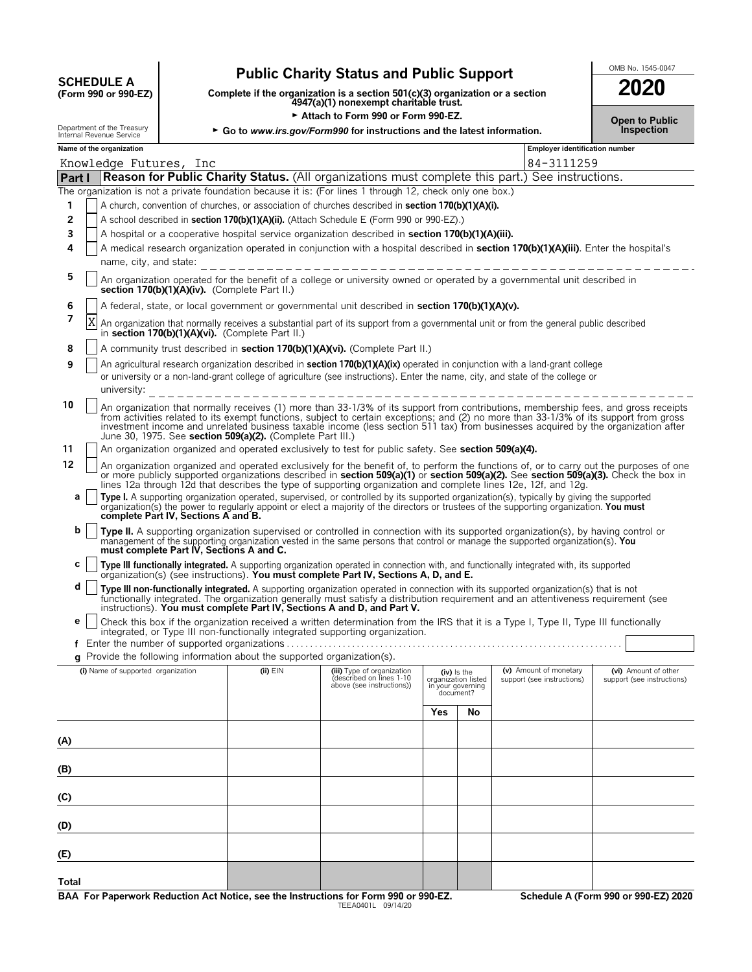# **OMB No. 1545-0047**<br>
Complete if the organization is a section 501(c)(3) organization or a section<br> **SCOLE A** Complete if the organization is a section 501(c)(3) organization or a section

**COMPOTE A**<br>(Form 990 or 990-EZ) Complete if the organization is a section 501(c)(3) organization or a section<br>4947(a)(1) nonexempt charitable trust. Department of the Treasury **Department of the Treasury Contingly 1990 Feed of the Treasury Contingly Contingly Contingly Contingly Contingly Contingly Contingly Contingly Contingly Contingly Contingly Contingly Contin** 

|        | Name of the organization                                                                                                                                                                                                                                                                                                                                                                                                                                                         |              |                                                                                     |                                                                      |    | <b>Employer identification number</b>                |                                                    |
|--------|----------------------------------------------------------------------------------------------------------------------------------------------------------------------------------------------------------------------------------------------------------------------------------------------------------------------------------------------------------------------------------------------------------------------------------------------------------------------------------|--------------|-------------------------------------------------------------------------------------|----------------------------------------------------------------------|----|------------------------------------------------------|----------------------------------------------------|
|        | Knowledge Futures, Inc                                                                                                                                                                                                                                                                                                                                                                                                                                                           |              |                                                                                     |                                                                      |    | 84-3111259                                           |                                                    |
| Part I | <b>Reason for Public Charity Status.</b> (All organizations must complete this part.) See instructions.                                                                                                                                                                                                                                                                                                                                                                          |              |                                                                                     |                                                                      |    |                                                      |                                                    |
|        | The organization is not a private foundation because it is: (For lines 1 through 12, check only one box.)                                                                                                                                                                                                                                                                                                                                                                        |              |                                                                                     |                                                                      |    |                                                      |                                                    |
| 1      | A church, convention of churches, or association of churches described in <b>section 170(b)(1)(A)(i).</b>                                                                                                                                                                                                                                                                                                                                                                        |              |                                                                                     |                                                                      |    |                                                      |                                                    |
| 2      | A school described in section 170(b)(1)(A)(ii). (Attach Schedule E (Form 990 or 990-EZ).)                                                                                                                                                                                                                                                                                                                                                                                        |              |                                                                                     |                                                                      |    |                                                      |                                                    |
| 3      | A hospital or a cooperative hospital service organization described in section 170(b)(1)(A)(iii).                                                                                                                                                                                                                                                                                                                                                                                |              |                                                                                     |                                                                      |    |                                                      |                                                    |
| 4      | A medical research organization operated in conjunction with a hospital described in section 170(b)(1)(A)(iii). Enter the hospital's                                                                                                                                                                                                                                                                                                                                             |              |                                                                                     |                                                                      |    |                                                      |                                                    |
| 5      | name, city, and state:<br>An organization operated for the benefit of a college or university owned or operated by a governmental unit described in                                                                                                                                                                                                                                                                                                                              |              |                                                                                     |                                                                      |    |                                                      |                                                    |
|        | section 170(b)(1)(A)(iv). (Complete Part II.)                                                                                                                                                                                                                                                                                                                                                                                                                                    |              |                                                                                     |                                                                      |    |                                                      |                                                    |
| 6<br>7 | A federal, state, or local government or governmental unit described in section 170(b)(1)(A)(v).                                                                                                                                                                                                                                                                                                                                                                                 |              |                                                                                     |                                                                      |    |                                                      |                                                    |
|        | Χ<br>An organization that normally receives a substantial part of its support from a governmental unit or from the general public described<br>in section 170(b)(1)(A)(vi). (Complete Part II.)                                                                                                                                                                                                                                                                                  |              |                                                                                     |                                                                      |    |                                                      |                                                    |
| 8      | A community trust described in section 170(b)(1)(A)(vi). (Complete Part II.)                                                                                                                                                                                                                                                                                                                                                                                                     |              |                                                                                     |                                                                      |    |                                                      |                                                    |
| 9      | An agricultural research organization described in section 170(b)(1)(A)(ix) operated in conjunction with a land-grant college<br>or university or a non-land-grant college of agriculture (see instructions). Enter the name, city, and state of the college or<br>university:                                                                                                                                                                                                   |              |                                                                                     |                                                                      |    |                                                      |                                                    |
| 10     | An organization that normally receives (1) more than 33-1/3% of its support from contributions, membership fees, and gross receipts<br>from activities related to its exempt functions, subject to certain exceptions; and (2) no more than 33-1/3% of its support from gross<br>investment income and unrelated business taxable income (less section 511 tax) from businesses acquired by the organization after<br>June 30, 1975. See section 509(a)(2). (Complete Part III.) |              |                                                                                     |                                                                      |    |                                                      |                                                    |
| 11     | An organization organized and operated exclusively to test for public safety. See section 509(a)(4).                                                                                                                                                                                                                                                                                                                                                                             |              |                                                                                     |                                                                      |    |                                                      |                                                    |
| 12     | An organization organized and operated exclusively for the benefit of, to perform the functions of, or to carry out the purposes of one<br>or more publicly supported organizations described in section 509(a)(1) or section 509(a)(2). See section 509(a)(3). Check the box in<br>lines 12a through 12d that describes the type of supporting organization and complete lines 12e, 12f, and 12g.                                                                               |              |                                                                                     |                                                                      |    |                                                      |                                                    |
| a      | Type I. A supporting organization operated, supervised, or controlled by its supported organization(s), typically by giving the supported<br>organization(s) the power to regularly appoint or elect a majority of the directors or trustees of the supporting organization. You must<br>complete Part IV, Sections A and B.                                                                                                                                                     |              |                                                                                     |                                                                      |    |                                                      |                                                    |
| b      | <b>Type II.</b> A supporting organization supervised or controlled in connection with its supported organization(s), by having control or<br>management of the supporting organization vested in the same persons that control or manage the supported organization(s). You<br>must complete Part IV, Sections A and C.                                                                                                                                                          |              |                                                                                     |                                                                      |    |                                                      |                                                    |
| c      | Type III functionally integrated. A supporting organization operated in connection with, and functionally integrated with, its supported<br>organization(s) (see instructions). You must complete Part IV, Sections A, D, and E.                                                                                                                                                                                                                                                 |              |                                                                                     |                                                                      |    |                                                      |                                                    |
| d      | Type III non-functionally integrated. A supporting organization operated in connection with its supported organization(s) that is not<br>functionally integrated. The organization generally must satisfy a distribution requirement and an attentiveness requirement (see                                                                                                                                                                                                       |              |                                                                                     |                                                                      |    |                                                      |                                                    |
| е      | instructions). You must complete Part IV, Sections A and D, and Part V.<br>Check this box if the organization received a written determination from the IRS that it is a Type I, Type II, Type III functionally<br>integrated, or Type III non-functionally integrated supporting organization.                                                                                                                                                                                  |              |                                                                                     |                                                                      |    |                                                      |                                                    |
|        |                                                                                                                                                                                                                                                                                                                                                                                                                                                                                  |              |                                                                                     |                                                                      |    |                                                      |                                                    |
|        | Provide the following information about the supported organization(s).                                                                                                                                                                                                                                                                                                                                                                                                           |              |                                                                                     |                                                                      |    |                                                      |                                                    |
|        | (i) Name of supported organization                                                                                                                                                                                                                                                                                                                                                                                                                                               | $(ii)$ $EIN$ | (iii) Type of organization<br>(described on lines 1-10<br>above (see instructions)) | (iv) Is the<br>organization listed<br>in your governing<br>document? |    | (v) Amount of monetary<br>support (see instructions) | (vi) Amount of other<br>support (see instructions) |
|        |                                                                                                                                                                                                                                                                                                                                                                                                                                                                                  |              |                                                                                     | Yes                                                                  | No |                                                      |                                                    |
|        |                                                                                                                                                                                                                                                                                                                                                                                                                                                                                  |              |                                                                                     |                                                                      |    |                                                      |                                                    |
| (A)    |                                                                                                                                                                                                                                                                                                                                                                                                                                                                                  |              |                                                                                     |                                                                      |    |                                                      |                                                    |
| (B)    |                                                                                                                                                                                                                                                                                                                                                                                                                                                                                  |              |                                                                                     |                                                                      |    |                                                      |                                                    |
| (C)    |                                                                                                                                                                                                                                                                                                                                                                                                                                                                                  |              |                                                                                     |                                                                      |    |                                                      |                                                    |
| (D)    |                                                                                                                                                                                                                                                                                                                                                                                                                                                                                  |              |                                                                                     |                                                                      |    |                                                      |                                                    |
|        |                                                                                                                                                                                                                                                                                                                                                                                                                                                                                  |              |                                                                                     |                                                                      |    |                                                      |                                                    |
| (E)    |                                                                                                                                                                                                                                                                                                                                                                                                                                                                                  |              |                                                                                     |                                                                      |    |                                                      |                                                    |
| Total  |                                                                                                                                                                                                                                                                                                                                                                                                                                                                                  |              |                                                                                     |                                                                      |    |                                                      |                                                    |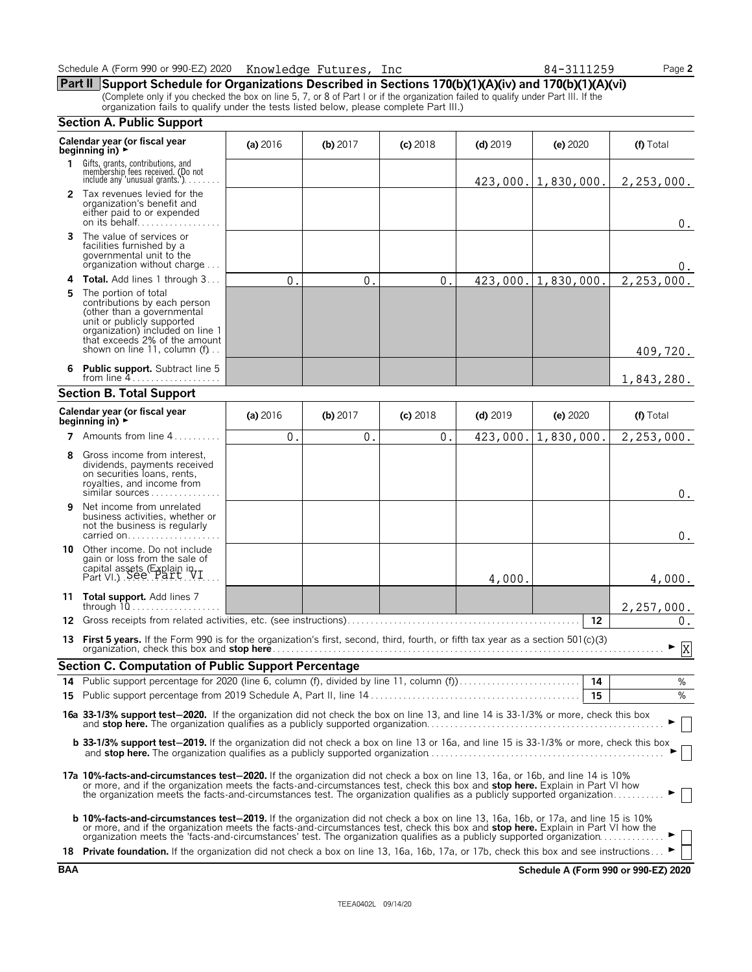**Part II Support Schedule for Organizations Described in Sections 170(b)(1)(A)(iv) and 170(b)(1)(A)(vi)** (Complete only if you checked the box on line 5, 7, or 8 of Part I or if the organization failed to qualify under Part III. If the<br>organization fails to qualify under the tests listed below, please complete Part III.)

|                                                              | <b>Section A. Public Support</b>                                                                                                                                                                                                                                                                                                                                                                        |               |            |            |            |                         |                                      |  |
|--------------------------------------------------------------|---------------------------------------------------------------------------------------------------------------------------------------------------------------------------------------------------------------------------------------------------------------------------------------------------------------------------------------------------------------------------------------------------------|---------------|------------|------------|------------|-------------------------|--------------------------------------|--|
| Calendar year (or fiscal year<br>beginning in) $\rightarrow$ |                                                                                                                                                                                                                                                                                                                                                                                                         | (a) 2016      | $(b)$ 2017 | $(c)$ 2018 | $(d)$ 2019 | (e) 2020                | (f) Total                            |  |
| 1                                                            | Gifts, grants, contributions, and<br>membership fees received. (Do not<br>include any 'unusual grants.')                                                                                                                                                                                                                                                                                                |               |            |            |            | $423,000.$   1,830,000. | 2,253,000.                           |  |
|                                                              | 2 Tax revenues levied for the<br>organization's benefit and<br>either paid to or expended<br>on its behalf                                                                                                                                                                                                                                                                                              |               |            |            |            |                         | $0$ .                                |  |
| 3                                                            | The value of services or<br>facilities furnished by a<br>governmental unit to the<br>organization without charge                                                                                                                                                                                                                                                                                        |               |            |            |            |                         | Ο.                                   |  |
| 4                                                            | <b>Total.</b> Add lines 1 through 3                                                                                                                                                                                                                                                                                                                                                                     | $\mathbf 0$ . | 0.         | 0.         | 423,000.   | 1,830,000.              | 2,253,000.                           |  |
| 5                                                            | The portion of total<br>contributions by each person<br>(other than a governmental<br>unit or publicly supported<br>organization) included on line 1<br>that exceeds 2% of the amount<br>shown on line 11, column (f)                                                                                                                                                                                   |               |            |            |            |                         | 409,720.                             |  |
| 6                                                            | <b>Public support.</b> Subtract line 5                                                                                                                                                                                                                                                                                                                                                                  |               |            |            |            |                         | 1,843,280.                           |  |
|                                                              | <b>Section B. Total Support</b>                                                                                                                                                                                                                                                                                                                                                                         |               |            |            |            |                         |                                      |  |
|                                                              | Calendar year (or fiscal year<br>beginning in) $\rightarrow$                                                                                                                                                                                                                                                                                                                                            | (a) 2016      | $(b)$ 2017 | $(c)$ 2018 | $(d)$ 2019 | (e) 2020                | (f) Total                            |  |
|                                                              | <b>7</b> Amounts from line $4, \ldots, \ldots$                                                                                                                                                                                                                                                                                                                                                          | 0.            | 0.         | 0.         | 423,000.   | 1,830,000.              | 2, 253, 000.                         |  |
| 8                                                            | Gross income from interest,<br>dividends, payments received<br>on securities loans, rents,<br>royalties, and income from<br>similar sources                                                                                                                                                                                                                                                             |               |            |            |            |                         | $0$ .                                |  |
| 9                                                            | Net income from unrelated<br>business activities, whether or<br>not the business is regularly<br>carried on                                                                                                                                                                                                                                                                                             |               |            |            |            |                         | 0.                                   |  |
|                                                              | <b>10</b> Other income. Do not include<br>gain or loss from the sale of<br>capital assets (Explain in Part VI.) See Part VI.                                                                                                                                                                                                                                                                            |               |            |            | 4,000.     |                         | 4,000.                               |  |
|                                                              | 11 Total support. Add lines 7                                                                                                                                                                                                                                                                                                                                                                           |               |            |            |            |                         | 2,257,000.                           |  |
| 12                                                           |                                                                                                                                                                                                                                                                                                                                                                                                         |               |            |            |            | 12                      | $0$ .                                |  |
|                                                              | 13 First 5 years. If the Form 990 is for the organization's first, second, third, fourth, or fifth tax year as a section 501(c)(3)                                                                                                                                                                                                                                                                      |               |            |            |            |                         | X                                    |  |
|                                                              | <b>Section C. Computation of Public Support Percentage</b>                                                                                                                                                                                                                                                                                                                                              |               |            |            |            |                         |                                      |  |
|                                                              | 14 Public support percentage for 2020 (line 6, column (f), divided by line 11, column (f)                                                                                                                                                                                                                                                                                                               |               |            |            |            | 14                      | ℅                                    |  |
|                                                              |                                                                                                                                                                                                                                                                                                                                                                                                         |               |            |            |            | 15                      | %                                    |  |
|                                                              | 16a 33-1/3% support test-2020. If the organization did not check the box on line 13, and line 14 is 33-1/3% or more, check this box<br>b 33-1/3% support test-2019. If the organization did not check a box on line 13 or 16a, and line 15 is 33-1/3% or more, check this box                                                                                                                           |               |            |            |            |                         |                                      |  |
|                                                              |                                                                                                                                                                                                                                                                                                                                                                                                         |               |            |            |            |                         |                                      |  |
|                                                              | 17a 10%-facts-and-circumstances test-2020. If the organization did not check a box on line 13, 16a, or 16b, and line 14 is 10%<br>or more, and if the organization meets the facts-and-circumstances test, check this box and stop here. Explain in Part VI how<br>the organization meets the facts-and-circumstances test. The organization qualifies as a publicly supported organization             |               |            |            |            |                         |                                      |  |
|                                                              | <b>b 10%-facts-and-circumstances test-2019.</b> If the organization did not check a box on line 13, 16a, 16b, or 17a, and line 15 is 10%<br>or more, and if the organization meets the facts-and-circumstances test, check this box and stop here. Explain in Part VI how the<br>organization meets the 'facts-and-circumstances' test. The organization qualifies as a publicly supported organization |               |            |            |            |                         |                                      |  |
|                                                              | 18 Private foundation. If the organization did not check a box on line 13, 16a, 16b, 17a, or 17b, check this box and see instructions                                                                                                                                                                                                                                                                   |               |            |            |            |                         |                                      |  |
| <b>BAA</b>                                                   |                                                                                                                                                                                                                                                                                                                                                                                                         |               |            |            |            |                         | Schedule A (Form 990 or 990-EZ) 2020 |  |

| л.<br>dС |  |
|----------|--|
|          |  |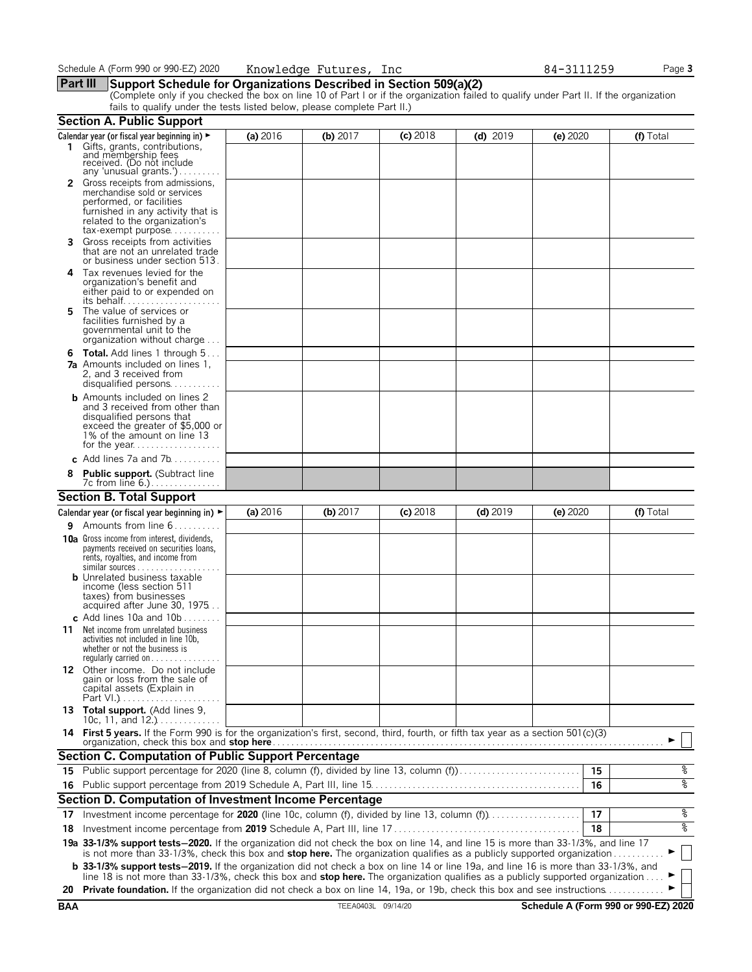Knowledge Futures, Inc 84-3111259

**Part III Support Schedule for Organizations Described in Section 509(a)(2)** (Complete only if you checked the box on line 10 of Part I or if the organization failed to qualify under Part II. If the organization fails to qualify under the tests listed below, please complete Part II.)

|    | <b>Section A. Public Support</b>                                                                                                                                                                                                                                                     |          |          |            |            |            |           |
|----|--------------------------------------------------------------------------------------------------------------------------------------------------------------------------------------------------------------------------------------------------------------------------------------|----------|----------|------------|------------|------------|-----------|
|    | Calendar year (or fiscal year beginning in) >                                                                                                                                                                                                                                        | (a) 2016 | (b) 2017 | $(c)$ 2018 | $(d)$ 2019 | (e) $2020$ | (f) Total |
|    | 1 Gifts, grants, contributions,<br>and membership fees<br>received. (Do not include                                                                                                                                                                                                  |          |          |            |            |            |           |
| 2  | any 'unusual grants.')<br>Gross receipts from admissions,<br>merchandise sold or services<br>performed, or facilities<br>furnished in any activity that is<br>related to the organization's<br>$tax\text{-}exempt$ purpose                                                           |          |          |            |            |            |           |
| 3  | Gross receipts from activities<br>that are not an unrelated trade<br>or business under section 513.                                                                                                                                                                                  |          |          |            |            |            |           |
| 4  | Tax revenues levied for the<br>organization's benefit and<br>either paid to or expended on<br>its behalf                                                                                                                                                                             |          |          |            |            |            |           |
| 5. | The value of services or<br>facilities furnished by a<br>governmental unit to the<br>organization without charge                                                                                                                                                                     |          |          |            |            |            |           |
|    | <b>6 Total.</b> Add lines 1 through 5<br><b>7a</b> Amounts included on lines 1,<br>2, and 3 received from<br>disqualified persons                                                                                                                                                    |          |          |            |            |            |           |
|    | <b>b</b> Amounts included on lines 2<br>and 3 received from other than<br>disqualified persons that<br>exceed the greater of \$5,000 or<br>1% of the amount on line 13                                                                                                               |          |          |            |            |            |           |
|    | c Add lines $7a$ and $7b$                                                                                                                                                                                                                                                            |          |          |            |            |            |           |
|    | <b>Public support.</b> (Subtract line<br>7c from line $6.$ )                                                                                                                                                                                                                         |          |          |            |            |            |           |
|    | <b>Section B. Total Support</b>                                                                                                                                                                                                                                                      |          |          |            |            |            |           |
|    | Calendar year (or fiscal year beginning in) $\blacktriangleright$                                                                                                                                                                                                                    | (a) 2016 | (b) 2017 | $(c)$ 2018 | $(d)$ 2019 | (e) 2020   | (f) Total |
|    | <b>9</b> Amounts from line $6$                                                                                                                                                                                                                                                       |          |          |            |            |            |           |
|    | <b>10a</b> Gross income from interest, dividends,<br>payments received on securities loans,<br>rents, royalties, and income from<br>similar sources $\dots \dots \dots$                                                                                                              |          |          |            |            |            |           |
|    | <b>b</b> Unrelated business taxable<br>income (less section 511<br>taxes) from businesses<br>acquired after June 30, 1975                                                                                                                                                            |          |          |            |            |            |           |
| 11 | c Add lines 10a and $10b$<br>Net income from unrelated business<br>activities not included in line 10b.<br>whether or not the business is<br>regularly carried on $\dots\dots\dots\dots\dots$                                                                                        |          |          |            |            |            |           |
|    | 12 Other income. Do not include<br>gain or loss from the sale of<br>capital assets (Explain in<br>Part VI.)                                                                                                                                                                          |          |          |            |            |            |           |
|    | 13 Total support. (Add lines 9,<br>10c, 11, and $12.$ )                                                                                                                                                                                                                              |          |          |            |            |            |           |
|    | 14 First 5 years. If the Form 990 is for the organization's first, second, third, fourth, or fifth tax year as a section 501(c)(3)                                                                                                                                                   |          |          |            |            |            |           |
|    | <b>Section C. Computation of Public Support Percentage</b>                                                                                                                                                                                                                           |          |          |            |            |            |           |
|    | 15 Public support percentage for 2020 (line 8, column (f), divided by line 13, column (f)                                                                                                                                                                                            |          |          |            |            | 15         | %         |
|    |                                                                                                                                                                                                                                                                                      |          |          |            |            | 16         | နွ        |
|    | Section D. Computation of Investment Income Percentage                                                                                                                                                                                                                               |          |          |            |            |            |           |
| 17 |                                                                                                                                                                                                                                                                                      |          |          |            |            | 17         | န့        |
| 18 |                                                                                                                                                                                                                                                                                      |          |          |            |            | 18         | %         |
|    | 19a 33-1/3% support tests-2020. If the organization did not check the box on line 14, and line 15 is more than 33-1/3%, and line 17<br>is not more than 33-1/3%, check this box and stop here. The organization qualifies as a publicly supported organization                       |          |          |            |            |            |           |
|    | <b>b</b> 33-1/3% support tests-2019. If the organization did not check a box on line 14 or line 19a, and line 16 is more than 33-1/3%, and<br>line 18 is not more than 33-1/3%, check this box and <b>stop here.</b> The organization qualifies as a publicly supported organization |          |          |            |            |            |           |
|    | 20 Private foundation. If the organization did not check a box on line 14, 19a, or 19b, check this box and see instructions                                                                                                                                                          |          |          |            |            |            |           |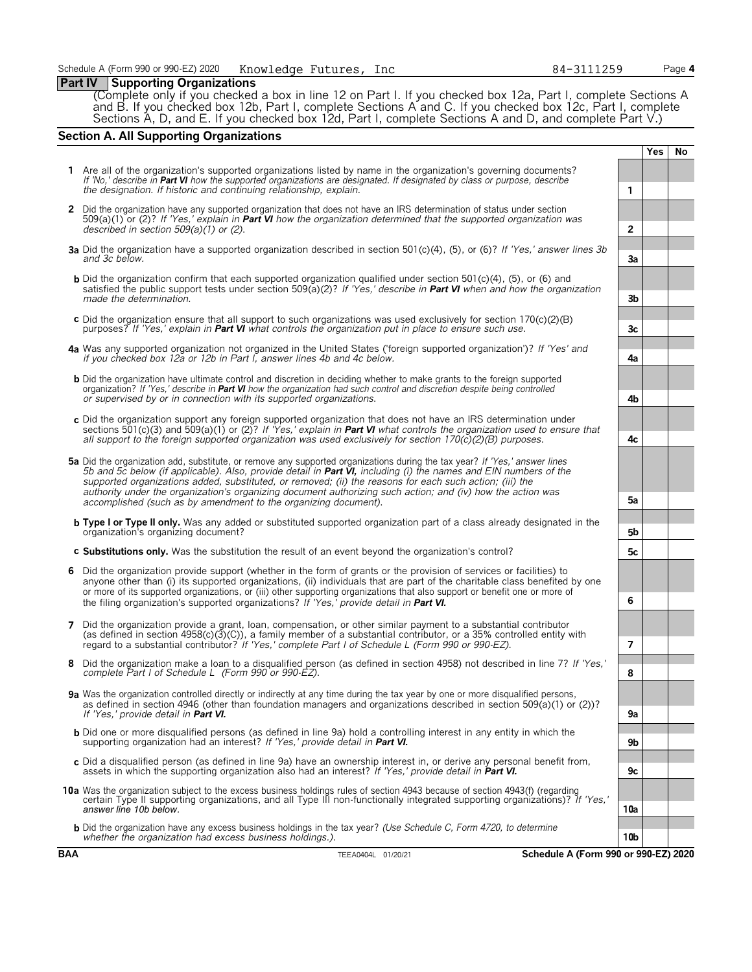**Section A. All Supporting Organizations**

(Complete only if you checked a box in line 12 on Part I. If you checked box 12a, Part I, complete Sections A and B. If you checked box 12b, Part I, complete Sections A and C. If you checked box 12c, Part I, complete Sections A, D, and E. If you checked box 12d, Part I, complete Sections A and D, and complete Part V.)

|            |                                                                                                                                                                                                                                                                                                                                                                                                                                                                                                                                                      |                | <b>Yes</b> | No |
|------------|------------------------------------------------------------------------------------------------------------------------------------------------------------------------------------------------------------------------------------------------------------------------------------------------------------------------------------------------------------------------------------------------------------------------------------------------------------------------------------------------------------------------------------------------------|----------------|------------|----|
|            | 1 Are all of the organization's supported organizations listed by name in the organization's governing documents?<br>If 'No,' describe in Part VI how the supported organizations are designated. If designated by class or purpose, describe<br>the designation. If historic and continuing relationship, explain.                                                                                                                                                                                                                                  | 1              |            |    |
|            | 2 Did the organization have any supported organization that does not have an IRS determination of status under section<br>509(a)(1) or (2)? If 'Yes,' explain in <b>Part VI</b> how the organization determined that the supported organization was                                                                                                                                                                                                                                                                                                  |                |            |    |
|            | described in section $509(a)(1)$ or (2).<br>3a Did the organization have a supported organization described in section 501(c)(4), (5), or (6)? If 'Yes,' answer lines 3b                                                                                                                                                                                                                                                                                                                                                                             | $\overline{2}$ |            |    |
|            | and 3c below.                                                                                                                                                                                                                                                                                                                                                                                                                                                                                                                                        | 3a             |            |    |
|            | <b>b</b> Did the organization confirm that each supported organization qualified under section $501(c)(4)$ , (5), or (6) and<br>satisfied the public support tests under section 509(a)(2)? If 'Yes,' describe in Part VI when and how the organization<br>made the determination.                                                                                                                                                                                                                                                                   | 3 <sub>b</sub> |            |    |
|            | <b>c</b> Did the organization ensure that all support to such organizations was used exclusively for section 170(c)(2)(B)<br>purposes? If 'Yes,' explain in <b>Part VI</b> what controls the organization put in place to ensure such use.                                                                                                                                                                                                                                                                                                           | 3c             |            |    |
|            | 4a Was any supported organization not organized in the United States ('foreign supported organization')? If 'Yes' and<br>if you checked box 12a or 12b in Part I, answer lines 4b and 4c below.                                                                                                                                                                                                                                                                                                                                                      | 4a             |            |    |
|            | <b>b</b> Did the organization have ultimate control and discretion in deciding whether to make grants to the foreign supported<br>organization? If 'Yes,' describe in Part VI how the organization had such control and discretion despite being controlled<br>or supervised by or in connection with its supported organizations.                                                                                                                                                                                                                   | 4b             |            |    |
|            | $\epsilon$ Did the organization support any foreign supported organization that does not have an IRS determination under<br>sections 501(c)(3) and 509(a)(1) or (2)? If 'Yes,' explain in <b>Part VI</b> what controls the organization used to ensure that<br>all support to the foreign supported organization was used exclusively for section $170(c)(2)(B)$ purposes.                                                                                                                                                                           | 4c             |            |    |
|            | 5a Did the organization add, substitute, or remove any supported organizations during the tax year? If 'Yes,' answer lines<br>5b and 5c below (if applicable). Also, provide detail in <b>Part VI</b> , including (i) the names and EIN numbers of the<br>supported organizations added, substituted, or removed; (ii) the reasons for each such action; (iii) the<br>authority under the organization's organizing document authorizing such action; and (iv) how the action was<br>accomplished (such as by amendment to the organizing document). | 5a             |            |    |
|            | <b>b</b> Type I or Type II only. Was any added or substituted supported organization part of a class already designated in the<br>organization's organizing document?                                                                                                                                                                                                                                                                                                                                                                                | 5b             |            |    |
|            | c Substitutions only. Was the substitution the result of an event beyond the organization's control?                                                                                                                                                                                                                                                                                                                                                                                                                                                 | 5с             |            |    |
| 6          | Did the organization provide support (whether in the form of grants or the provision of services or facilities) to<br>anyone other than (i) its supported organizations, (ii) individuals that are part of the charitable class benefited by one<br>or more of its supported organizations, or (iii) other supporting organizations that also support or benefit one or more of<br>the filing organization's supported organizations? If 'Yes,' provide detail in Part VI.                                                                           | 6              |            |    |
| 7          | Did the organization provide a grant, loan, compensation, or other similar payment to a substantial contributor<br>(as defined in section 4958(c)(3)(C)), a family member of a substantial contributor, or a 35% controlled entity with<br>regard to a substantial contributor? If 'Yes,' complete Part I of Schedule L (Form 990 or 990-EZ).                                                                                                                                                                                                        | $\overline{7}$ |            |    |
| 8          | Did the organization make a loan to a disqualified person (as defined in section 4958) not described in line 7? If 'Yes,'<br>complete Part I of Schedule L (Form 990 or 990-EZ).                                                                                                                                                                                                                                                                                                                                                                     | 8              |            |    |
|            | 9a Was the organization controlled directly or indirectly at any time during the tax year by one or more disqualified persons,<br>as defined in section 4946 (other than foundation managers and organizations described in section 509(a)(1) or (2))?<br>If 'Yes,' provide detail in Part VI.                                                                                                                                                                                                                                                       | 9a             |            |    |
|            | <b>b</b> Did one or more disqualified persons (as defined in line 9a) hold a controlling interest in any entity in which the<br>supporting organization had an interest? If 'Yes,' provide detail in Part VI.                                                                                                                                                                                                                                                                                                                                        | 9b             |            |    |
|            | c Did a disqualified person (as defined in line 9a) have an ownership interest in, or derive any personal benefit from,<br>assets in which the supporting organization also had an interest? If 'Yes,' provide detail in Part VI.                                                                                                                                                                                                                                                                                                                    | 9с             |            |    |
|            | 10a Was the organization subject to the excess business holdings rules of section 4943 because of section 4943(f) (regarding<br>certain Type II supporting organizations, and all Type III non-functionally integrated supporting organizations)? If 'Yes,'<br>answer line 10b below.                                                                                                                                                                                                                                                                | 10a            |            |    |
|            | <b>b</b> Did the organization have any excess business holdings in the tax year? (Use Schedule C, Form 4720, to determine<br>whether the organization had excess business holdings.).                                                                                                                                                                                                                                                                                                                                                                | 10b            |            |    |
| <b>BAA</b> | Schedule A (Form 990 or 990-EZ) 2020<br>TEEA0404L 01/20/21                                                                                                                                                                                                                                                                                                                                                                                                                                                                                           |                |            |    |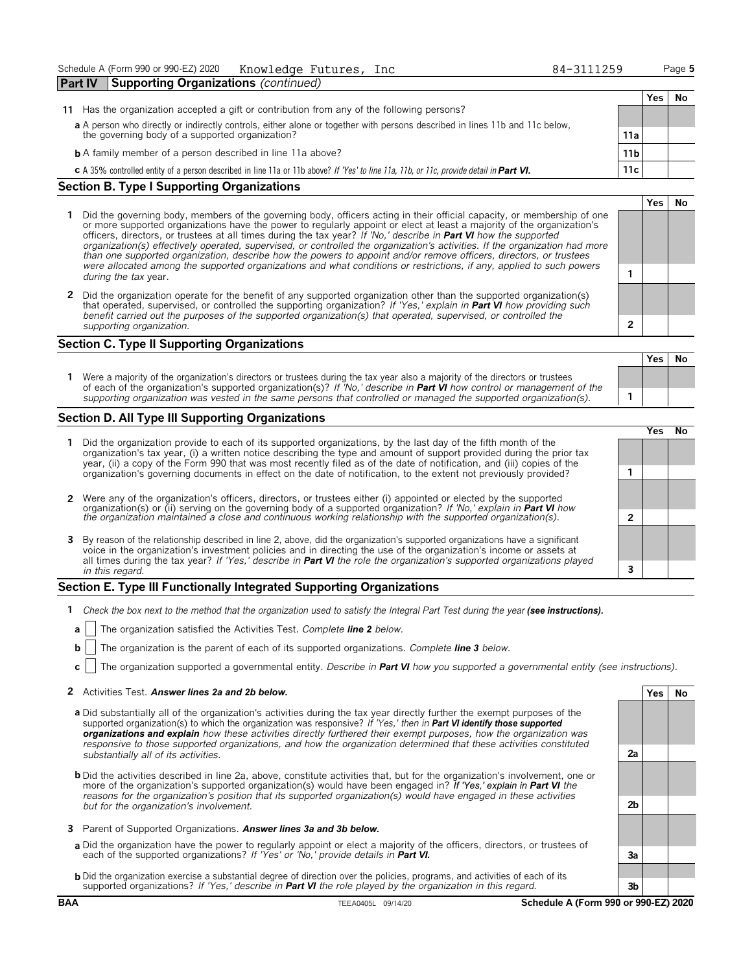| <b>Part IV</b><br><b>Supporting Organizations (continued)</b>                                                                                         |      |     |    |
|-------------------------------------------------------------------------------------------------------------------------------------------------------|------|-----|----|
|                                                                                                                                                       |      | Yes | Νo |
| Has the organization accepted a gift or contribution from any of the following persons?<br>11                                                         |      |     |    |
| a A person who directly or indirectly controls, either alone or together with persons described in lines 11b and 11c below,                           |      |     |    |
| the governing body of a supported organization?                                                                                                       | 11a  |     |    |
| <b>b</b> A family member of a person described in line 11a above?                                                                                     | 11b  |     |    |
| <b>c</b> A 35% controlled entity of a person described in line 11a or 11b above? If 'Yes' to line 11a, 11b, or 11c, provide detail in <b>Part VI.</b> | 11c. |     |    |
| Costian D. Tune I Cunnauting Overnigations                                                                                                            |      |     |    |

#### **Section B. Type I Supporting Organizations**

- **1** Did the governing body, members of the governing body, officers acting in their official capacity, or membership of one or more supported organizations have the power to regularly appoint or elect at least a majority of the organization's officers, directors, or trustees at all times during the tax year? *If 'No,' describe in Part VI how the supported organization(s) effectively operated, supervised, or controlled the organization's activities. If the organization had more than one supported organization, describe how the powers to appoint and/or remove officers, directors, or trustees were allocated among the supported organizations and what conditions or restrictions, if any, applied to such powers* **<sup>1</sup>** *during the tax* year.
- **2** Did the organization operate for the benefit of any supported organization other than the supported organization(s) that operated, supervised, or controlled the supporting organization? *If 'Yes,' explain in Part VI how providing such benefit carried out the purposes of the supported organization(s) that operated, supervised, or controlled the supporting organization.* **2**

#### **Section C. Type II Supporting Organizations**

**1** Were a majority of the organization's directors or trustees during the tax year also a majority of the directors or trustees of each of the organization's supported organization(s)? *If 'No,' describe in Part VI how control or management of the supporting organization was vested in the same persons that controlled or managed the supported organization(s).* **1**

#### **Section D. All Type III Supporting Organizations**

|   |                                                                                                                                                                                                                                                                                                                                                                              | ∕es |  |
|---|------------------------------------------------------------------------------------------------------------------------------------------------------------------------------------------------------------------------------------------------------------------------------------------------------------------------------------------------------------------------------|-----|--|
|   | Did the organization provide to each of its supported organizations, by the last day of the fifth month of the<br>organization's tax year, (i) a written notice describing the type and amount of support provided during the prior tax<br>year, (ii) a copy of the Form 990 that was most recently filed as of the date of notification, and (iii) copies of the            |     |  |
|   | organization's governing documents in effect on the date of notification, to the extent not previously provided?                                                                                                                                                                                                                                                             |     |  |
|   | 2 Were any of the organization's officers, directors, or trustees either (i) appointed or elected by the supported                                                                                                                                                                                                                                                           |     |  |
|   | organization(s) or (ii) serving on the governing body of a supported organization? If 'No,' explain in Part VI how the organization(s) or (ii) serving on the governing body of a supported organization? If 'No,' explain in                                                                                                                                                |     |  |
| 3 | By reason of the relationship described in line 2, above, did the organization's supported organizations have a significant<br>voice in the organization's investment policies and in directing the use of the organization's income or assets at<br>all times during the tax year? If 'Yes,' describe in Part VI the role the organization's supported organizations played |     |  |
|   | in this regard.                                                                                                                                                                                                                                                                                                                                                              |     |  |

#### **Section E. Type III Functionally Integrated Supporting Organizations**

- **1** *Check the box next to the method that the organization used to satisfy the Integral Part Test during the year (see instructions).*
	- **a** The organization satisfied the Activities Test. *Complete line 2 below.*
	- **b** The organization is the parent of each of its supported organizations. *Complete line 3 below.*
	- **c** The organization supported a governmental entity. *Describe in Part VI how you supported a governmental entity (see instructions).*

#### **2** Activities Test. *Answer lines 2a and 2b below.* **Yes No**

- **a** Did substantially all of the organization's activities during the tax year directly further the exempt purposes of the supported organization(s) to which the organization was responsive? *If 'Yes,' then in Part VI identify those supported organizations and explain how these activities directly furthered their exempt purposes, how the organization was responsive to those supported organizations, and how the organization determined that these activities constituted substantially all of its activities.* **2a**
- **b** Did the activities described in line 2a, above, constitute activities that, but for the organization's involvement, one or more of the organization's supported organization(s) would have been engaged in? *If 'Yes,' explain in Part VI the reasons for the organization's position that its supported organization(s) would have engaged in these activities but for the organization's involvement.* **2b**
- **3** Parent of Supported Organizations. *Answer lines 3a and 3b below.*
	- a Did the organization have the power to regularly appoint or elect a majority of the officers, directors, or trustees of<br>each of the supported organizations? If 'Yes' or 'No,' provide details in **Part VI.**
	- b Did the organization exercise a substantial degree of direction over the policies, programs, and activities of each of its<br>supported organizations? If 'Yes,' describe in Part VI the role played by the organization in thi



**Yes No**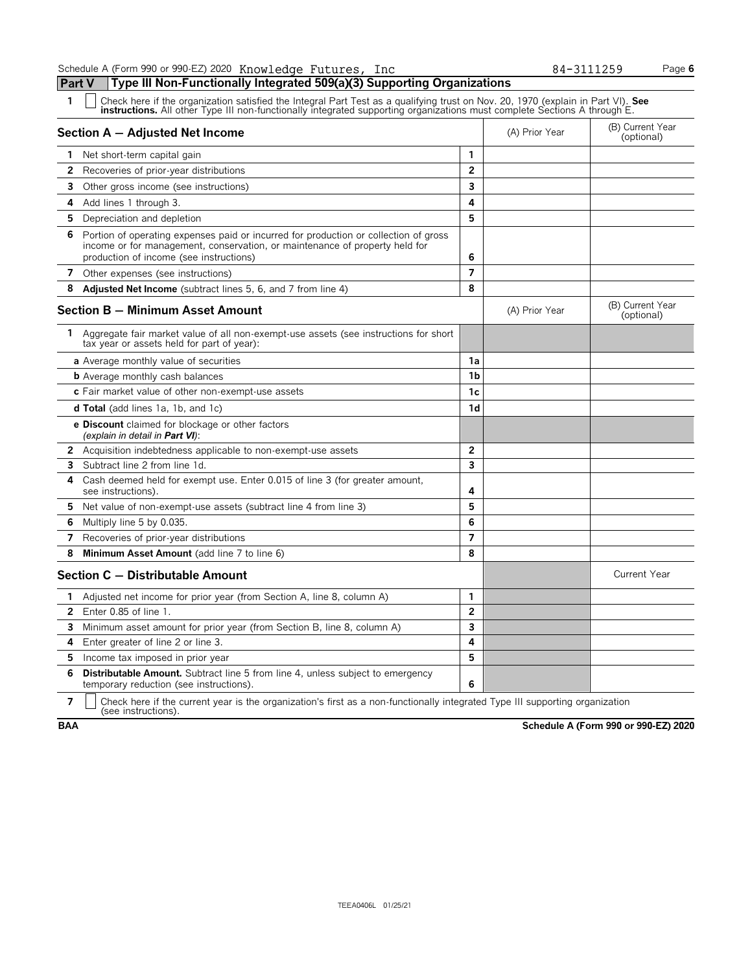Schedule A (Form 990 or 990-EZ) 2020 Knowledge Futures, Inc 84-3111259 Page **6 Part V Type III Non-Functionally Integrated 509(a)(3) Supporting Organizations**

1 Denck here if the organization satisfied the Integral Part Test as a qualifying trust on Nov. 20, 1970 (explain in Part VI). See instructions. All other Type III non-functionally integrated supporting organizations must

|                | Section A - Adjusted Net Income                                                                                                                                                                                | (A) Prior Year | (B) Current Year<br>(optional) |                                |
|----------------|----------------------------------------------------------------------------------------------------------------------------------------------------------------------------------------------------------------|----------------|--------------------------------|--------------------------------|
| 1              | Net short-term capital gain                                                                                                                                                                                    | 1              |                                |                                |
| 2              | Recoveries of prior-year distributions                                                                                                                                                                         | $\overline{2}$ |                                |                                |
| 3              | Other gross income (see instructions)                                                                                                                                                                          | 3              |                                |                                |
| 4              | Add lines 1 through 3.                                                                                                                                                                                         | 4              |                                |                                |
| 5              | Depreciation and depletion                                                                                                                                                                                     | 5              |                                |                                |
| 6              | Portion of operating expenses paid or incurred for production or collection of gross<br>income or for management, conservation, or maintenance of property held for<br>production of income (see instructions) | 6              |                                |                                |
| $\overline{7}$ | Other expenses (see instructions)                                                                                                                                                                              | 7              |                                |                                |
| 8              | <b>Adjusted Net Income</b> (subtract lines 5, 6, and 7 from line 4)                                                                                                                                            | 8              |                                |                                |
|                | <b>Section B - Minimum Asset Amount</b>                                                                                                                                                                        |                | (A) Prior Year                 | (B) Current Year<br>(optional) |
| 1.             | Aggregate fair market value of all non-exempt-use assets (see instructions for short<br>tax year or assets held for part of year):                                                                             |                |                                |                                |
|                | a Average monthly value of securities                                                                                                                                                                          | 1a             |                                |                                |
|                | <b>b</b> Average monthly cash balances                                                                                                                                                                         | 1b             |                                |                                |
|                | c Fair market value of other non-exempt-use assets                                                                                                                                                             | 1c             |                                |                                |
|                | <b>d Total</b> (add lines 1a, 1b, and 1c)                                                                                                                                                                      | 1 <sub>d</sub> |                                |                                |
|                | <b>e Discount</b> claimed for blockage or other factors<br>(explain in detail in <b>Part VI</b> ):                                                                                                             |                |                                |                                |
|                | <b>2</b> Acquisition indebtedness applicable to non-exempt-use assets                                                                                                                                          | $\overline{2}$ |                                |                                |
| 3              | Subtract line 2 from line 1d.                                                                                                                                                                                  | 3              |                                |                                |
| 4              | Cash deemed held for exempt use. Enter 0.015 of line 3 (for greater amount,<br>see instructions).                                                                                                              | 4              |                                |                                |
| 5              | Net value of non-exempt-use assets (subtract line 4 from line 3)                                                                                                                                               | 5              |                                |                                |
| 6              | Multiply line 5 by 0.035.                                                                                                                                                                                      | 6              |                                |                                |
| 7              | Recoveries of prior-year distributions                                                                                                                                                                         | $\overline{7}$ |                                |                                |
| 8              | Minimum Asset Amount (add line 7 to line 6)                                                                                                                                                                    | 8              |                                |                                |
|                | Section C - Distributable Amount                                                                                                                                                                               |                |                                | <b>Current Year</b>            |
| 1.             | Adjusted net income for prior year (from Section A, line 8, column A)                                                                                                                                          | 1              |                                |                                |
| $\mathbf{2}$   | Enter 0.85 of line 1.                                                                                                                                                                                          | $\overline{2}$ |                                |                                |
| 3.             | Minimum asset amount for prior year (from Section B, line 8, column A)                                                                                                                                         | 3              |                                |                                |
| 4              | Enter greater of line 2 or line 3.                                                                                                                                                                             | 4              |                                |                                |
| 5              | Income tax imposed in prior year                                                                                                                                                                               | 5              |                                |                                |
| 6              | <b>Distributable Amount.</b> Subtract line 5 from line 4, unless subject to emergency<br>temporary reduction (see instructions).                                                                               | 6              |                                |                                |
| $\overline{7}$ | Check here if the current year is the organization's first as a non-functionally integrated Type III supporting organization<br>(see instructions).                                                            |                |                                |                                |

**BAA Schedule A (Form 990 or 990-EZ) 2020**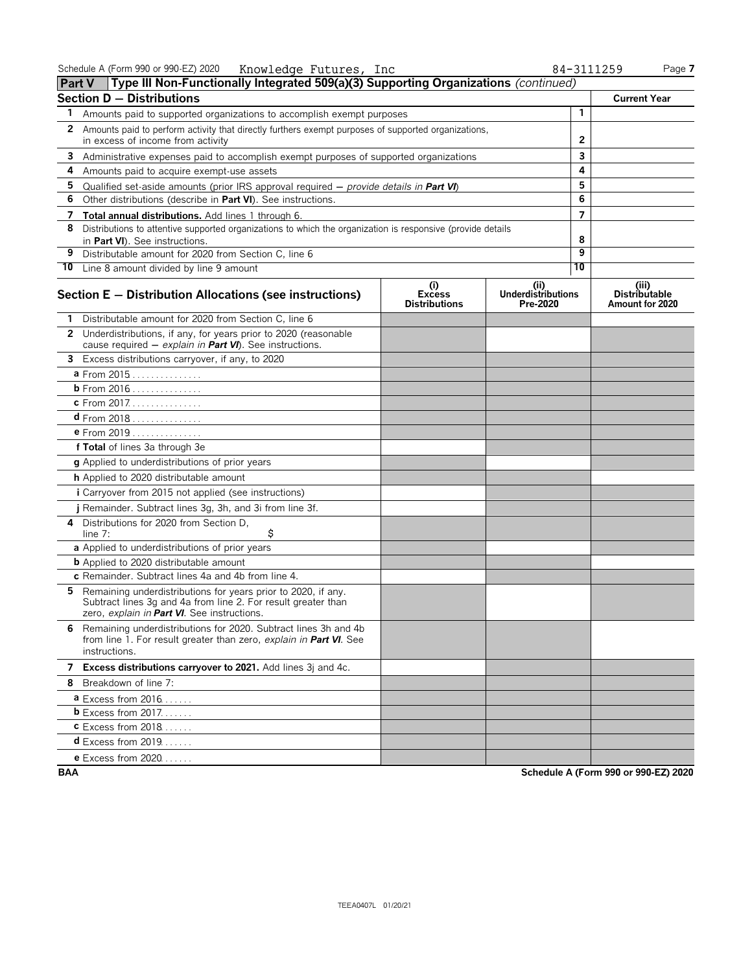Schedule A (Form 990 or 990-EZ) 2020 Page **7** Knowledge Futures, Inc 84-3111259

|  | 84-3111259 | Page |
|--|------------|------|

| <b>Part V</b> | (Type III Non-Functionally Integrated 509(a)(3) Supporting Organizations (continued)                                                                                                  |                                              |                                              |                |                                                  |
|---------------|---------------------------------------------------------------------------------------------------------------------------------------------------------------------------------------|----------------------------------------------|----------------------------------------------|----------------|--------------------------------------------------|
|               | Section D - Distributions                                                                                                                                                             |                                              |                                              |                | <b>Current Year</b>                              |
| 1             | Amounts paid to supported organizations to accomplish exempt purposes                                                                                                                 |                                              |                                              | 1              |                                                  |
|               | 2 Amounts paid to perform activity that directly furthers exempt purposes of supported organizations,                                                                                 |                                              |                                              |                |                                                  |
|               | in excess of income from activity                                                                                                                                                     |                                              |                                              | 2              |                                                  |
|               | 3 Administrative expenses paid to accomplish exempt purposes of supported organizations                                                                                               |                                              |                                              | 3              |                                                  |
| 4             | Amounts paid to acquire exempt-use assets                                                                                                                                             |                                              |                                              | 4              |                                                  |
| 5.            | Qualified set-aside amounts (prior IRS approval required – provide details in Part VI)                                                                                                |                                              |                                              | 5              |                                                  |
| 6             | Other distributions (describe in Part VI). See instructions.                                                                                                                          |                                              |                                              | 6              |                                                  |
|               | 7 Total annual distributions. Add lines 1 through 6.                                                                                                                                  |                                              |                                              | $\overline{7}$ |                                                  |
| 8             | Distributions to attentive supported organizations to which the organization is responsive (provide details<br>in Part VI). See instructions.                                         |                                              |                                              | 8              |                                                  |
| 9             | Distributable amount for 2020 from Section C, line 6                                                                                                                                  |                                              |                                              | 9              |                                                  |
| 10            | Line 8 amount divided by line 9 amount                                                                                                                                                |                                              |                                              | 10             |                                                  |
|               | Section $E -$ Distribution Allocations (see instructions)                                                                                                                             | (i)<br><b>Excess</b><br><b>Distributions</b> | (i)<br><b>Underdistributions</b><br>Pre-2020 |                | (iii)<br><b>Distributable</b><br>Amount for 2020 |
| 1             | Distributable amount for 2020 from Section C, line 6                                                                                                                                  |                                              |                                              |                |                                                  |
|               | 2 Underdistributions, if any, for years prior to 2020 (reasonable<br>cause required - explain in Part VI). See instructions.                                                          |                                              |                                              |                |                                                  |
| 3             | Excess distributions carryover, if any, to 2020                                                                                                                                       |                                              |                                              |                |                                                  |
|               | <b>a</b> From 2015                                                                                                                                                                    |                                              |                                              |                |                                                  |
|               | <b>b</b> From 2016                                                                                                                                                                    |                                              |                                              |                |                                                  |
|               | c From 2017                                                                                                                                                                           |                                              |                                              |                |                                                  |
|               | d From 2018                                                                                                                                                                           |                                              |                                              |                |                                                  |
|               | e From 2019                                                                                                                                                                           |                                              |                                              |                |                                                  |
|               | f Total of lines 3a through 3e                                                                                                                                                        |                                              |                                              |                |                                                  |
|               | g Applied to underdistributions of prior years                                                                                                                                        |                                              |                                              |                |                                                  |
|               | <b>h</b> Applied to 2020 distributable amount                                                                                                                                         |                                              |                                              |                |                                                  |
|               | <b>i</b> Carryover from 2015 not applied (see instructions)                                                                                                                           |                                              |                                              |                |                                                  |
|               | j Remainder. Subtract lines 3g, 3h, and 3i from line 3f.                                                                                                                              |                                              |                                              |                |                                                  |
|               | 4 Distributions for 2020 from Section D,<br>\$<br>line 7:                                                                                                                             |                                              |                                              |                |                                                  |
|               | a Applied to underdistributions of prior years                                                                                                                                        |                                              |                                              |                |                                                  |
|               | <b>b</b> Applied to 2020 distributable amount                                                                                                                                         |                                              |                                              |                |                                                  |
|               | c Remainder. Subtract lines 4a and 4b from line 4.                                                                                                                                    |                                              |                                              |                |                                                  |
| 5.            | Remaining underdistributions for years prior to 2020, if any.<br>Subtract lines 3g and 4a from line 2. For result greater than<br>zero, explain in <b>Part VI</b> . See instructions. |                                              |                                              |                |                                                  |
|               | Remaining underdistributions for 2020. Subtract lines 3h and 4b<br>from line 1. For result greater than zero, explain in Part VI. See<br>instructions.                                |                                              |                                              |                |                                                  |
|               | 7 Excess distributions carryover to 2021. Add lines 3j and 4c.                                                                                                                        |                                              |                                              |                |                                                  |
|               | 8 Breakdown of line 7:                                                                                                                                                                |                                              |                                              |                |                                                  |
|               | <b>a</b> Excess from 2016                                                                                                                                                             |                                              |                                              |                |                                                  |
|               | <b>b</b> Excess from $2017$                                                                                                                                                           |                                              |                                              |                |                                                  |
|               | <b>c</b> Excess from 2018                                                                                                                                                             |                                              |                                              |                |                                                  |
|               | $d$ Excess from 2019.                                                                                                                                                                 |                                              |                                              |                |                                                  |
|               | <b>e</b> Excess from 2020                                                                                                                                                             |                                              |                                              |                |                                                  |

**BAA Schedule A (Form 990 or 990-EZ) 2020**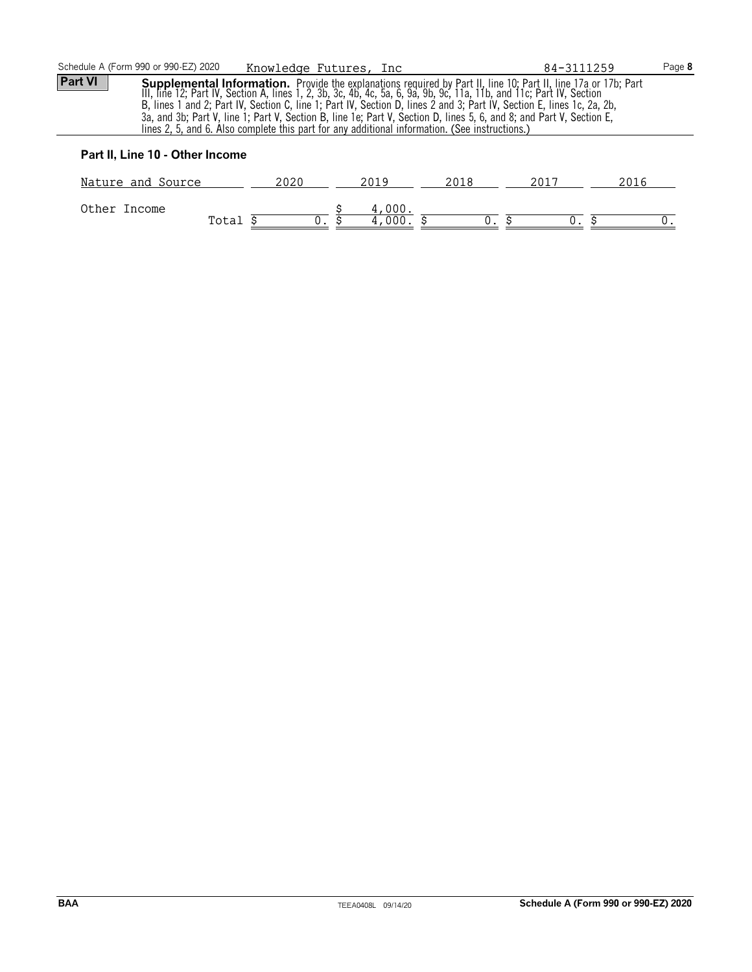#### **Part II, Line 10 - Other Income**

| Nature and Source | 2020 |      | 2018 | $201^-$ | 2016 |
|-------------------|------|------|------|---------|------|
| Other Income      |      | 000  |      |         |      |
| Total             | ິ.   | 000. |      | u.      |      |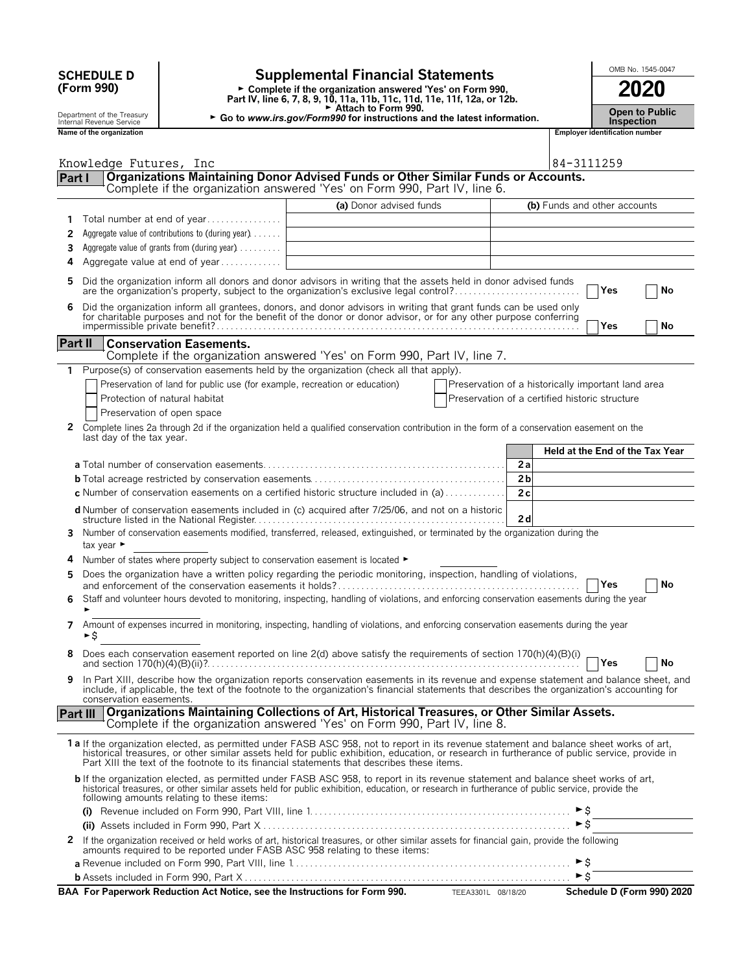|         | <b>SCHEDULE D</b><br>(Form 990)                        |                                                                               | <b>Supplemental Financial Statements</b><br>Complete if the organization answered 'Yes' on Form 990,<br>Part IV, line 6, 7, 8, 9, 10, 11a, 11b, 11c, 11d, 11e, 11f, 12a, or 12b.<br>Attach to Form 990.                                                                                                                                                                                |                                                | OMB No. 1545-0047<br>2020<br><b>Open to Public</b> |
|---------|--------------------------------------------------------|-------------------------------------------------------------------------------|----------------------------------------------------------------------------------------------------------------------------------------------------------------------------------------------------------------------------------------------------------------------------------------------------------------------------------------------------------------------------------------|------------------------------------------------|----------------------------------------------------|
|         | Department of the Treasury<br>Internal Revenue Service |                                                                               | ► Go to www.irs.gov/Form990 for instructions and the latest information.                                                                                                                                                                                                                                                                                                               |                                                | <b>Inspection</b>                                  |
|         | Name of the organization                               |                                                                               |                                                                                                                                                                                                                                                                                                                                                                                        |                                                | Employer identification number                     |
|         | Knowledge Futures, Inc                                 |                                                                               |                                                                                                                                                                                                                                                                                                                                                                                        |                                                | 84-3111259                                         |
| Part I  |                                                        |                                                                               | Organizations Maintaining Donor Advised Funds or Other Similar Funds or Accounts.                                                                                                                                                                                                                                                                                                      |                                                |                                                    |
|         |                                                        |                                                                               | Complete if the organization answered 'Yes' on Form 990, Part IV, line 6.                                                                                                                                                                                                                                                                                                              |                                                |                                                    |
| 1       |                                                        | Total number at end of year                                                   | (a) Donor advised funds                                                                                                                                                                                                                                                                                                                                                                |                                                | (b) Funds and other accounts                       |
| 2       |                                                        | Aggregate value of contributions to (during year)                             |                                                                                                                                                                                                                                                                                                                                                                                        |                                                |                                                    |
| 3       |                                                        | Aggregate value of grants from (during year)                                  |                                                                                                                                                                                                                                                                                                                                                                                        |                                                |                                                    |
| 4       |                                                        |                                                                               |                                                                                                                                                                                                                                                                                                                                                                                        |                                                |                                                    |
| 5       |                                                        |                                                                               | Did the organization inform all donors and donor advisors in writing that the assets held in donor advised funds<br>are the organization's property, subject to the organization's exclusive legal control?                                                                                                                                                                            |                                                | Yes<br>No                                          |
| 6       |                                                        |                                                                               | Did the organization inform all grantees, donors, and donor advisors in writing that grant funds can be used only<br>for charitable purposes and not for the benefit of the donor or donor advisor, or for any other purpose conferring                                                                                                                                                |                                                | Yes<br>No                                          |
| Part II |                                                        | <b>Conservation Easements.</b>                                                | Complete if the organization answered 'Yes' on Form 990, Part IV, line 7.                                                                                                                                                                                                                                                                                                              |                                                |                                                    |
|         |                                                        |                                                                               | 1 Purpose(s) of conservation easements held by the organization (check all that apply).                                                                                                                                                                                                                                                                                                |                                                |                                                    |
|         |                                                        | Preservation of land for public use (for example, recreation or education)    |                                                                                                                                                                                                                                                                                                                                                                                        |                                                | Preservation of a historically important land area |
|         |                                                        | Protection of natural habitat                                                 |                                                                                                                                                                                                                                                                                                                                                                                        | Preservation of a certified historic structure |                                                    |
|         |                                                        | Preservation of open space                                                    |                                                                                                                                                                                                                                                                                                                                                                                        |                                                |                                                    |
| 2       | last day of the tax year.                              |                                                                               | Complete lines 2a through 2d if the organization held a qualified conservation contribution in the form of a conservation easement on the                                                                                                                                                                                                                                              |                                                |                                                    |
|         |                                                        |                                                                               |                                                                                                                                                                                                                                                                                                                                                                                        |                                                | Held at the End of the Tax Year                    |
|         |                                                        |                                                                               |                                                                                                                                                                                                                                                                                                                                                                                        | 2a                                             |                                                    |
|         |                                                        |                                                                               | c Number of conservation easements on a certified historic structure included in (a)                                                                                                                                                                                                                                                                                                   | 2 <sub>b</sub><br>2c                           |                                                    |
|         |                                                        |                                                                               | d Number of conservation easements included in (c) acquired after 7/25/06, and not on a historic                                                                                                                                                                                                                                                                                       | 2d                                             |                                                    |
| 3       | tax year ►                                             |                                                                               | Number of conservation easements modified, transferred, released, extinguished, or terminated by the organization during the                                                                                                                                                                                                                                                           |                                                |                                                    |
| 4       |                                                        | Number of states where property subject to conservation easement is located ► |                                                                                                                                                                                                                                                                                                                                                                                        |                                                |                                                    |
| 5       |                                                        |                                                                               | Does the organization have a written policy regarding the periodic monitoring, inspection, handling of violations,<br>Staff and volunteer hours devoted to monitoring, inspecting, handling of violations, and enforcing conservation easements during the year                                                                                                                        |                                                | No<br>Yes                                          |
|         |                                                        |                                                                               |                                                                                                                                                                                                                                                                                                                                                                                        |                                                |                                                    |
| 7       | ►\$                                                    |                                                                               | Amount of expenses incurred in monitoring, inspecting, handling of violations, and enforcing conservation easements during the year                                                                                                                                                                                                                                                    |                                                |                                                    |
| 8       |                                                        |                                                                               |                                                                                                                                                                                                                                                                                                                                                                                        |                                                | $\Gamma$ Yes<br>No                                 |
| 9       | conservation easements.                                |                                                                               | In Part XIII, describe how the organization reports conservation easements in its revenue and expense statement and balance sheet, and<br>include, if applicable, the text of the footnote to the organization's financial statements that describes the organization's accounting for                                                                                                 |                                                |                                                    |
|         | <b>Part III</b>                                        |                                                                               | <b>Organizations Maintaining Collections of Art, Historical Treasures, or Other Similar Assets.</b><br>Complete if the organization answered 'Yes' on Form 990, Part IV, line 8.                                                                                                                                                                                                       |                                                |                                                    |
|         |                                                        |                                                                               | 1a If the organization elected, as permitted under FASB ASC 958, not to report in its revenue statement and balance sheet works of art,<br>historical treasures, or other similar assets held for public exhibition, education, or research in furtherance of public service, provide in<br>Part XIII the text of the footnote to its financial statements that describes these items. |                                                |                                                    |
|         |                                                        | following amounts relating to these items:                                    | b If the organization elected, as permitted under FASB ASC 958, to report in its revenue statement and balance sheet works of art,<br>historical treasures, or other similar assets held for public exhibition, education, or research in furtherance of public service, provide the                                                                                                   |                                                |                                                    |
|         |                                                        |                                                                               |                                                                                                                                                                                                                                                                                                                                                                                        |                                                |                                                    |
|         |                                                        |                                                                               |                                                                                                                                                                                                                                                                                                                                                                                        |                                                | $\triangleright$ \$                                |
| 2       |                                                        |                                                                               | If the organization received or held works of art, historical treasures, or other similar assets for financial gain, provide the following<br>amounts required to be reported under FASB ASC 958 relating to these items:                                                                                                                                                              |                                                |                                                    |
|         |                                                        |                                                                               |                                                                                                                                                                                                                                                                                                                                                                                        |                                                |                                                    |
|         |                                                        |                                                                               |                                                                                                                                                                                                                                                                                                                                                                                        |                                                |                                                    |

**BAA For Paperwork Reduction Act Notice, see the Instructions for Form 990.** TEEA3301L 08/18/20 Schedule D (Form 990) 2020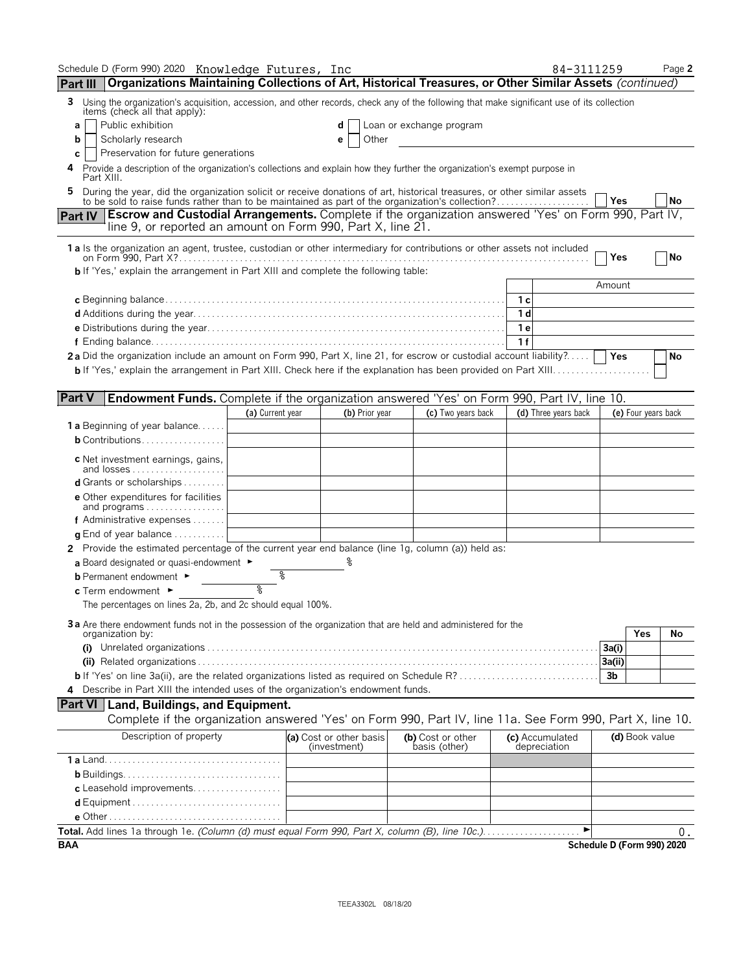| Schedule D (Form 990) 2020 Knowledge Futures, Inc                                                                                                                                                                                 |                  |                                         |                                    |                | 84-3111259                      |                            | Page 2    |
|-----------------------------------------------------------------------------------------------------------------------------------------------------------------------------------------------------------------------------------|------------------|-----------------------------------------|------------------------------------|----------------|---------------------------------|----------------------------|-----------|
| Organizations Maintaining Collections of Art, Historical Treasures, or Other Similar Assets (continued)<br><b>Part III</b>                                                                                                        |                  |                                         |                                    |                |                                 |                            |           |
| 3<br>Using the organization's acquisition, accession, and other records, check any of the following that make significant use of its collection<br>items (check all that apply):                                                  |                  |                                         |                                    |                |                                 |                            |           |
| Public exhibition<br>a                                                                                                                                                                                                            |                  | d                                       | Loan or exchange program           |                |                                 |                            |           |
| Scholarly research<br>b                                                                                                                                                                                                           |                  | Other<br>е                              |                                    |                |                                 |                            |           |
| Preservation for future generations<br>с                                                                                                                                                                                          |                  |                                         |                                    |                |                                 |                            |           |
| Provide a description of the organization's collections and explain how they further the organization's exempt purpose in<br>Part XIII.                                                                                           |                  |                                         |                                    |                |                                 |                            |           |
| During the year, did the organization solicit or receive donations of art, historical treasures, or other similar assets<br>5<br>to be sold to raise funds rather than to be maintained as part of the organization's collection? |                  |                                         |                                    |                |                                 | Yes                        | <b>No</b> |
| <b>Escrow and Custodial Arrangements.</b> Complete if the organization answered 'Yes' on Form 990, Part IV,<br><b>Part IV</b><br>line 9, or reported an amount on Form 990, Part X, line 21.                                      |                  |                                         |                                    |                |                                 |                            |           |
| 1 a Is the organization an agent, trustee, custodian or other intermediary for contributions or other assets not included                                                                                                         |                  |                                         |                                    |                |                                 | Yes                        | <b>No</b> |
| <b>b</b> If 'Yes,' explain the arrangement in Part XIII and complete the following table:                                                                                                                                         |                  |                                         |                                    |                |                                 |                            |           |
|                                                                                                                                                                                                                                   |                  |                                         |                                    |                |                                 | Amount                     |           |
|                                                                                                                                                                                                                                   |                  |                                         |                                    | 1 c            |                                 |                            |           |
|                                                                                                                                                                                                                                   |                  |                                         |                                    | 1 <sub>d</sub> |                                 |                            |           |
|                                                                                                                                                                                                                                   |                  |                                         |                                    | 1e             |                                 |                            |           |
|                                                                                                                                                                                                                                   |                  |                                         |                                    | 1f             |                                 |                            |           |
| 2a Did the organization include an amount on Form 990, Part X, line 21, for escrow or custodial account liability?                                                                                                                |                  |                                         |                                    |                |                                 | Yes                        | No        |
|                                                                                                                                                                                                                                   |                  |                                         |                                    |                |                                 |                            |           |
| Endowment Funds. Complete if the organization answered 'Yes' on Form 990, Part IV, line 10.<br><b>Part V</b>                                                                                                                      |                  |                                         |                                    |                |                                 |                            |           |
|                                                                                                                                                                                                                                   | (a) Current year | (b) Prior year                          | (c) Two vears back                 |                | (d) Three years back            | (e) Four years back        |           |
| <b>1 a</b> Beginning of year balance                                                                                                                                                                                              |                  |                                         |                                    |                |                                 |                            |           |
| <b>b</b> Contributions                                                                                                                                                                                                            |                  |                                         |                                    |                |                                 |                            |           |
| <b>c</b> Net investment earnings, gains,<br>and losses                                                                                                                                                                            |                  |                                         |                                    |                |                                 |                            |           |
| <b>d</b> Grants or scholarships $\ldots \ldots \ldots$                                                                                                                                                                            |                  |                                         |                                    |                |                                 |                            |           |
| e Other expenditures for facilities                                                                                                                                                                                               |                  |                                         |                                    |                |                                 |                            |           |
| and programs                                                                                                                                                                                                                      |                  |                                         |                                    |                |                                 |                            |           |
| f Administrative expenses                                                                                                                                                                                                         |                  |                                         |                                    |                |                                 |                            |           |
| <b>g</b> End of year balance $\ldots$                                                                                                                                                                                             |                  |                                         |                                    |                |                                 |                            |           |
| 2 Provide the estimated percentage of the current year end balance (line 1g, column (a)) held as:                                                                                                                                 |                  |                                         |                                    |                |                                 |                            |           |
| a Board designated or quasi-endowment >                                                                                                                                                                                           |                  |                                         |                                    |                |                                 |                            |           |
| <b>b</b> Permanent endowment ►                                                                                                                                                                                                    | နွ               |                                         |                                    |                |                                 |                            |           |
| $c$ Term endowment $\blacktriangleright$                                                                                                                                                                                          | ٥,               |                                         |                                    |                |                                 |                            |           |
| The percentages on lines 2a, 2b, and 2c should equal 100%.                                                                                                                                                                        |                  |                                         |                                    |                |                                 |                            |           |
| 3 a Are there endowment funds not in the possession of the organization that are held and administered for the                                                                                                                    |                  |                                         |                                    |                |                                 |                            |           |
| organization by:                                                                                                                                                                                                                  |                  |                                         |                                    |                |                                 | Yes                        | No        |
|                                                                                                                                                                                                                                   |                  |                                         |                                    |                |                                 | 3a(i)                      |           |
|                                                                                                                                                                                                                                   |                  |                                         |                                    |                |                                 | 3a(ii)                     |           |
|                                                                                                                                                                                                                                   |                  |                                         |                                    |                |                                 | 3 <sub>b</sub>             |           |
| 4 Describe in Part XIII the intended uses of the organization's endowment funds.                                                                                                                                                  |                  |                                         |                                    |                |                                 |                            |           |
| <b>Part VI</b> Land, Buildings, and Equipment.                                                                                                                                                                                    |                  |                                         |                                    |                |                                 |                            |           |
| Complete if the organization answered 'Yes' on Form 990, Part IV, line 11a. See Form 990, Part X, line 10.                                                                                                                        |                  |                                         |                                    |                |                                 |                            |           |
| Description of property                                                                                                                                                                                                           |                  | (a) Cost or other basis<br>(investment) | (b) Cost or other<br>basis (other) |                | (c) Accumulated<br>depreciation | (d) Book value             |           |
|                                                                                                                                                                                                                                   |                  |                                         |                                    |                |                                 |                            |           |
|                                                                                                                                                                                                                                   |                  |                                         |                                    |                |                                 |                            |           |
|                                                                                                                                                                                                                                   |                  |                                         |                                    |                |                                 |                            |           |
|                                                                                                                                                                                                                                   |                  |                                         |                                    |                |                                 |                            |           |
|                                                                                                                                                                                                                                   |                  |                                         |                                    |                |                                 |                            |           |
| Total. Add lines 1a through 1e. (Column (d) must equal Form 990, Part X, column (B), line 10c.)                                                                                                                                   |                  |                                         |                                    |                |                                 |                            | О.        |
| <b>BAA</b>                                                                                                                                                                                                                        |                  |                                         |                                    |                |                                 | Schedule D (Form 990) 2020 |           |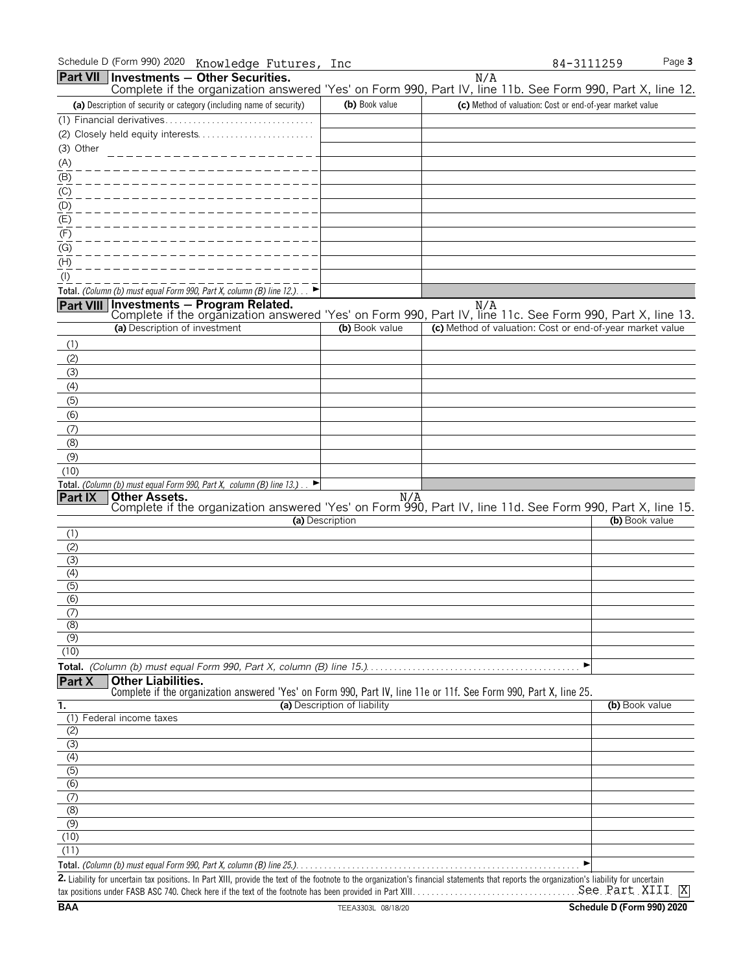Schedule D (Form 990) 2020 Knowledge Futures, Inc 84-3111259 Page 3

| <b>Part VII   Investments - Other Securities.</b><br>Complete if the organization answered 'Yes' on Form 990, Part IV, line 11b. See Form 990, Part X, line 12.                             |                              | N/A                                                       |                |
|---------------------------------------------------------------------------------------------------------------------------------------------------------------------------------------------|------------------------------|-----------------------------------------------------------|----------------|
| (a) Description of security or category (including name of security)                                                                                                                        | (b) Book value               | (c) Method of valuation: Cost or end-of-year market value |                |
|                                                                                                                                                                                             |                              |                                                           |                |
|                                                                                                                                                                                             |                              |                                                           |                |
| (3) Other                                                                                                                                                                                   |                              |                                                           |                |
| (A)                                                                                                                                                                                         |                              |                                                           |                |
| (B)                                                                                                                                                                                         |                              |                                                           |                |
| (C)                                                                                                                                                                                         |                              |                                                           |                |
| (D)                                                                                                                                                                                         |                              |                                                           |                |
| (E)                                                                                                                                                                                         |                              |                                                           |                |
| (F)                                                                                                                                                                                         |                              |                                                           |                |
| (G)                                                                                                                                                                                         |                              |                                                           |                |
| (H)                                                                                                                                                                                         |                              |                                                           |                |
| $($ l $)$                                                                                                                                                                                   |                              |                                                           |                |
| Total. (Column (b) must equal Form 990, Part X, column (B) line 12.). $\Box$                                                                                                                |                              |                                                           |                |
| Part VIII Investments - Program Related.                                                                                                                                                    |                              | N/A                                                       |                |
| Complete if the organization answered 'Yes' on Form 990, Part IV, line 11c. See Form 990, Part X, line 13.                                                                                  |                              |                                                           |                |
| (a) Description of investment                                                                                                                                                               | (b) Book value               | (c) Method of valuation: Cost or end-of-year market value |                |
| (1)                                                                                                                                                                                         |                              |                                                           |                |
| (2)                                                                                                                                                                                         |                              |                                                           |                |
| (3)                                                                                                                                                                                         |                              |                                                           |                |
| (4)                                                                                                                                                                                         |                              |                                                           |                |
| (5)                                                                                                                                                                                         |                              |                                                           |                |
| (6)                                                                                                                                                                                         |                              |                                                           |                |
| (7)                                                                                                                                                                                         |                              |                                                           |                |
| (8)                                                                                                                                                                                         |                              |                                                           |                |
| (9)                                                                                                                                                                                         |                              |                                                           |                |
| (10)                                                                                                                                                                                        |                              |                                                           |                |
| Total. (Column (b) must equal Form 990, Part X, column (B) line 13.).<br>▶<br><b>Part IX</b><br><b>Other Assets.</b>                                                                        | N/A                          |                                                           |                |
| Complete if the organization answered 'Yes' on Form 990, Part IV, line 11d. See Form 990, Part X, line 15.                                                                                  |                              |                                                           |                |
|                                                                                                                                                                                             | (a) Description              |                                                           | (b) Book value |
| (1)                                                                                                                                                                                         |                              |                                                           |                |
| (2)                                                                                                                                                                                         |                              |                                                           |                |
| (3)                                                                                                                                                                                         |                              |                                                           |                |
| (4)                                                                                                                                                                                         |                              |                                                           |                |
| (5)                                                                                                                                                                                         |                              |                                                           |                |
| (6)<br>(7)                                                                                                                                                                                  |                              |                                                           |                |
| (8)                                                                                                                                                                                         |                              |                                                           |                |
| $\overline{(9)}$                                                                                                                                                                            |                              |                                                           |                |
| (10)                                                                                                                                                                                        |                              |                                                           |                |
|                                                                                                                                                                                             |                              | ▶                                                         |                |
| <b>Other Liabilities.</b><br>Part X                                                                                                                                                         |                              |                                                           |                |
| Complete if the organization answered 'Yes' on Form 990, Part IV, line 11e or 11f. See Form 990, Part X, line 25.                                                                           |                              |                                                           |                |
| $\overline{1}$                                                                                                                                                                              | (a) Description of liability |                                                           | (b) Book value |
| Federal income taxes<br>(1)                                                                                                                                                                 |                              |                                                           |                |
| (2)                                                                                                                                                                                         |                              |                                                           |                |
| $\overline{3}$<br>(4)                                                                                                                                                                       |                              |                                                           |                |
| (5)                                                                                                                                                                                         |                              |                                                           |                |
| (6)                                                                                                                                                                                         |                              |                                                           |                |
| (7)                                                                                                                                                                                         |                              |                                                           |                |
| (8)                                                                                                                                                                                         |                              |                                                           |                |
| (9)                                                                                                                                                                                         |                              |                                                           |                |
| (10)                                                                                                                                                                                        |                              |                                                           |                |
| (11)                                                                                                                                                                                        |                              |                                                           |                |
|                                                                                                                                                                                             |                              |                                                           |                |
| 2. Liability for uncertain tax positions. In Part XIII, provide the text of the footnote to the organization's financial statements that reports the organization's liability for uncertain |                              |                                                           |                |

tax positions under FASB ASC 740. Check here if the text of the footnote has been provided in Part XIII. . . . . . . . . . . . . . . . . . . . . . . . . . . . . . . . . . . . . . . . . . . . . . . . . . . . . . . . See Part XIII X**BAA** TEEA3303L 08/18/20 **Schedule D (Form 990) 2020**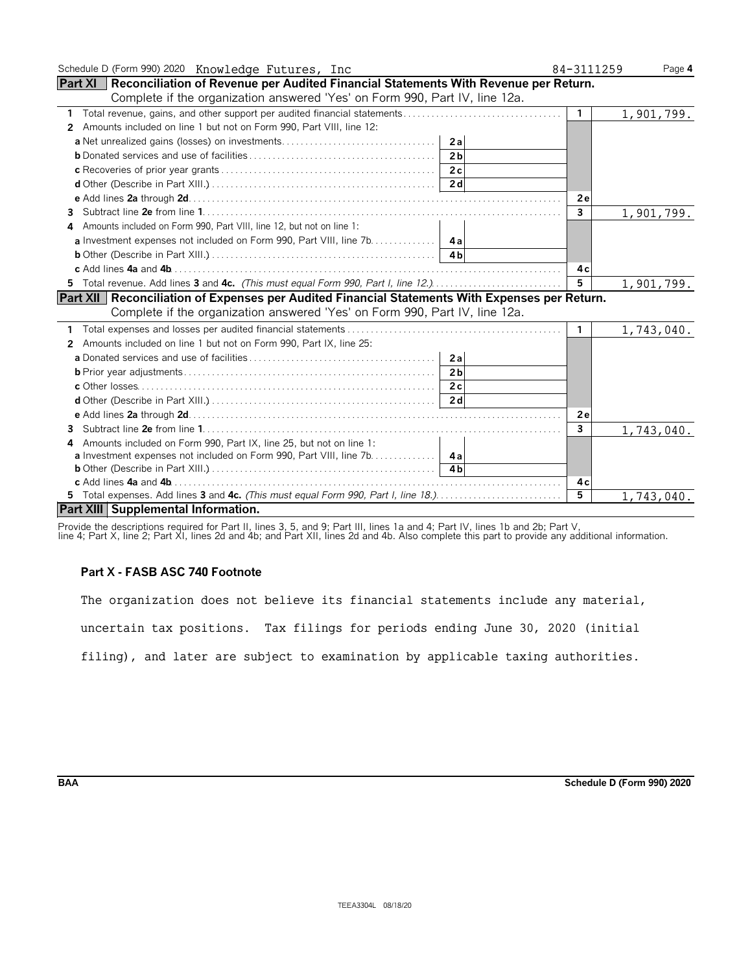| Schedule D (Form 990) 2020 Knowledge Futures, Inc                                                | 84-3111259     | Page 4     |
|--------------------------------------------------------------------------------------------------|----------------|------------|
| Part XI   Reconciliation of Revenue per Audited Financial Statements With Revenue per Return.    |                |            |
| Complete if the organization answered 'Yes' on Form 990, Part IV, line 12a.                      |                |            |
| $\mathbf{1}$                                                                                     | $\mathbf{1}$   | 1,901,799. |
| Amounts included on line 1 but not on Form 990, Part VIII, line 12:<br>2                         |                |            |
| 2al                                                                                              |                |            |
| 2 <sub>b</sub>                                                                                   |                |            |
| 2c                                                                                               |                |            |
| 2d                                                                                               |                |            |
|                                                                                                  | 2e             |            |
| 3                                                                                                | $\overline{3}$ | 1,901,799. |
| Amounts included on Form 990, Part VIII, line 12, but not on line 1:                             |                |            |
|                                                                                                  |                |            |
| 4 <sub>b</sub>                                                                                   |                |            |
|                                                                                                  | 4с             |            |
| 5 Total revenue. Add lines 3 and 4c. (This must equal Form 990, Part I, line 12.)                | 5              | 1,901,799. |
| Part XII   Reconciliation of Expenses per Audited Financial Statements With Expenses per Return. |                |            |
| Complete if the organization answered 'Yes' on Form 990, Part IV, line 12a.                      |                |            |
| 1.                                                                                               | $\mathbf{1}$   | 1,743,040. |
| Amounts included on line 1 but not on Form 990, Part IX, line 25:<br>2                           |                |            |
| 2a                                                                                               |                |            |
| 2 <sub>b</sub>                                                                                   |                |            |
| 2c                                                                                               |                |            |
| 2d                                                                                               |                |            |
|                                                                                                  | 2e             |            |
| 3                                                                                                | 3              | 1,743,040. |
| Amounts included on Form 990, Part IX, line 25, but not on line 1:<br>4                          |                |            |
| a Investment expenses not included on Form 990, Part VIII, line 7b.   4a                         |                |            |
| 4 <sub>h</sub>                                                                                   |                |            |
|                                                                                                  | 4 c            |            |
|                                                                                                  | 5              | 1,743,040. |
| Part XIII Supplemental Information.                                                              |                |            |

Provide the descriptions required for Part II, lines 3, 5, and 9; Part III, lines 1a and 4; Part IV, lines 1b and 2b; Part V,<br>line 4; Part X, line 2; Part XI, lines 2d and 4b; and Part XII, lines 2d and 4b. Also complete t

#### **Part X - FASB ASC 740 Footnote**

The organization does not believe its financial statements include any material,

uncertain tax positions. Tax filings for periods ending June 30, 2020 (initial

filing), and later are subject to examination by applicable taxing authorities.

**BAA Schedule D (Form 990) 2020**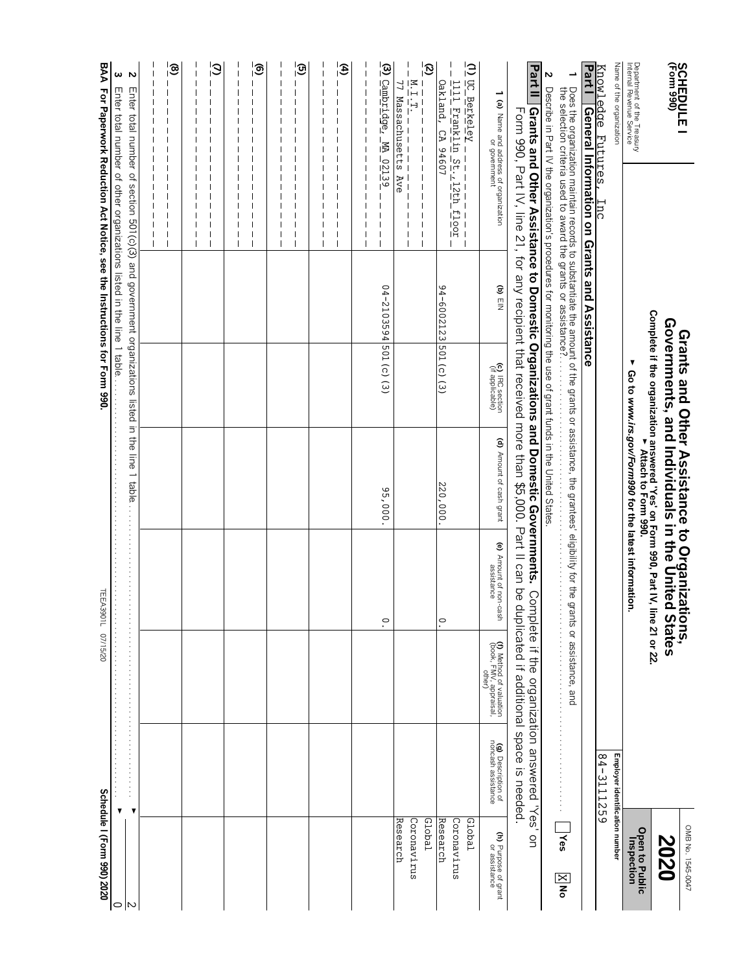|                                                                                        |                                                                                |                                                                        |                                    |                                                                                                                                                                                                                                                    |                                      |                                                             |                                          | OMB No. 1545-0047                     |
|----------------------------------------------------------------------------------------|--------------------------------------------------------------------------------|------------------------------------------------------------------------|------------------------------------|----------------------------------------------------------------------------------------------------------------------------------------------------------------------------------------------------------------------------------------------------|--------------------------------------|-------------------------------------------------------------|------------------------------------------|---------------------------------------|
| <b>SCHEDULE1</b><br>(Form 990)                                                         |                                                                                |                                                                        |                                    | Complete if the organization answered 'Yes' on Form 990, Part IV, line 21 or 22.<br>Complete if the organization answered 'Yes' on Form 990.<br>Grants and Other Assistance to Organizations,<br>Governments, and Individuals in the United States |                                      |                                                             |                                          | <b>2020</b>                           |
| Department of the Treasury<br>Internal Revenue Service                                 |                                                                                |                                                                        | ▼                                  | Go to www.irs.gov/Form990 for the latest information.                                                                                                                                                                                              |                                      |                                                             |                                          | <b>Open to Public</b><br>Inspection   |
| Name of the organization                                                               |                                                                                |                                                                        |                                    |                                                                                                                                                                                                                                                    |                                      |                                                             | Employer identification number           |                                       |
| <b>Part</b> I<br>Knowledge Futures,                                                    | Inc                                                                            | General Information on Grants and Assistance                           |                                    |                                                                                                                                                                                                                                                    |                                      |                                                             | 84-3111259                               |                                       |
| ∸                                                                                      |                                                                                |                                                                        |                                    | Does the organization maintain records to substantiate the amount of the grants or assistance, the grantees' eligibility for the grants or assistance, and<br>the selection criteria used to award the grants or assistance?                       |                                      |                                                             |                                          | Yes<br>$\frac{1}{2}$ No               |
| N                                                                                      |                                                                                |                                                                        |                                    | Describe in Part IV the organization's procedures for monitoring the use of grant funds in the United States                                                                                                                                       |                                      |                                                             |                                          |                                       |
| Part II                                                                                |                                                                                |                                                                        |                                    | Grants and Other Assistance to Domestic Organizations and Domestic Governments.<br>Form 990, Part IV, line 21, for any recipient that received more than \$5,000. Part II can be duplicated if additional space is needed                          | Con                                  | nplete if the organization answered 'Yes'                   |                                          | $\leq$                                |
| 1 (a) Name and address of organization<br>or government                                |                                                                                | (d) EIN                                                                | (c) IRC section<br>(if applicable) | (d) Amount of cash grant                                                                                                                                                                                                                           | (e) Amount of non-cash<br>assistance | (f) Method of valuation<br>(book, FMV, appraisal,<br>other) | (g) Description of<br>noncash assistance | (h) Purpose of grant<br>or assistance |
| <u>(1) UC Berkeley</u>                                                                 | $\frac{1}{12 \text{th}} = \frac{1}{1200}$<br>$\mathbf{I}$                      |                                                                        |                                    |                                                                                                                                                                                                                                                    |                                      |                                                             |                                          | Coronavirus<br>Cloba1                 |
| Oakland, CA 94607                                                                      |                                                                                | 94-6002123 501 (c) (3)                                                 |                                    | 220,000                                                                                                                                                                                                                                            | $\circ$                              |                                                             |                                          | Research                              |
| $\odot$<br>$\frac{1}{2} = \frac{1}{2} = \frac{1}{2}$<br>$\frac{1}{1}$<br>$\frac{1}{1}$ | $\mathbf{I}$<br>$\mathbf{I}$<br>$\mathbf I$<br>$\mathbf I$<br>Π<br>$\mathbf l$ |                                                                        |                                    |                                                                                                                                                                                                                                                    |                                      |                                                             |                                          | Lado <sub>13</sub><br>Coronavirus     |
| 77 Massachusetts Ave                                                                   |                                                                                |                                                                        |                                    |                                                                                                                                                                                                                                                    |                                      |                                                             |                                          | Research                              |
| $\odot$<br>Cambridge, MA                                                               | $-0.2139$                                                                      | $04 - 2103594$ 501 (c) (3)                                             |                                    | 95,000.                                                                                                                                                                                                                                            | $\circ$                              |                                                             |                                          |                                       |
|                                                                                        |                                                                                |                                                                        |                                    |                                                                                                                                                                                                                                                    |                                      |                                                             |                                          |                                       |
| $\widehat{\mathbf{f}}$                                                                 | ı<br>$\overline{\phantom{a}}$                                                  |                                                                        |                                    |                                                                                                                                                                                                                                                    |                                      |                                                             |                                          |                                       |
|                                                                                        | $\mathbf{I}$<br>$\mathbf{I}$                                                   |                                                                        |                                    |                                                                                                                                                                                                                                                    |                                      |                                                             |                                          |                                       |
| ි                                                                                      |                                                                                |                                                                        |                                    |                                                                                                                                                                                                                                                    |                                      |                                                             |                                          |                                       |
|                                                                                        | I<br>I                                                                         |                                                                        |                                    |                                                                                                                                                                                                                                                    |                                      |                                                             |                                          |                                       |
| $\odot$                                                                                |                                                                                |                                                                        |                                    |                                                                                                                                                                                                                                                    |                                      |                                                             |                                          |                                       |
|                                                                                        |                                                                                |                                                                        |                                    |                                                                                                                                                                                                                                                    |                                      |                                                             |                                          |                                       |
| $\overline{S}$                                                                         | $\mathbf{I}$                                                                   |                                                                        |                                    |                                                                                                                                                                                                                                                    |                                      |                                                             |                                          |                                       |
|                                                                                        |                                                                                |                                                                        |                                    |                                                                                                                                                                                                                                                    |                                      |                                                             |                                          |                                       |
| <u>ିତ</u>                                                                              |                                                                                |                                                                        |                                    |                                                                                                                                                                                                                                                    |                                      |                                                             |                                          |                                       |
|                                                                                        |                                                                                |                                                                        |                                    |                                                                                                                                                                                                                                                    |                                      |                                                             |                                          |                                       |
| ωΝ                                                                                     |                                                                                |                                                                        |                                    |                                                                                                                                                                                                                                                    |                                      | .                                                           | $\blacktriangledown$<br>▼                | $\sim$                                |
|                                                                                        |                                                                                | Enter total number of other organizations listed in the line 1 table.  |                                    |                                                                                                                                                                                                                                                    |                                      |                                                             |                                          | $\circ$                               |
| <b>BAA</b>                                                                             |                                                                                | For Paperwork Reduction Act Notice, see the Instructions for Form 990. |                                    |                                                                                                                                                                                                                                                    | TEEA3901L 07/15/20                   |                                                             |                                          | Schedule I (Form 990) 2020            |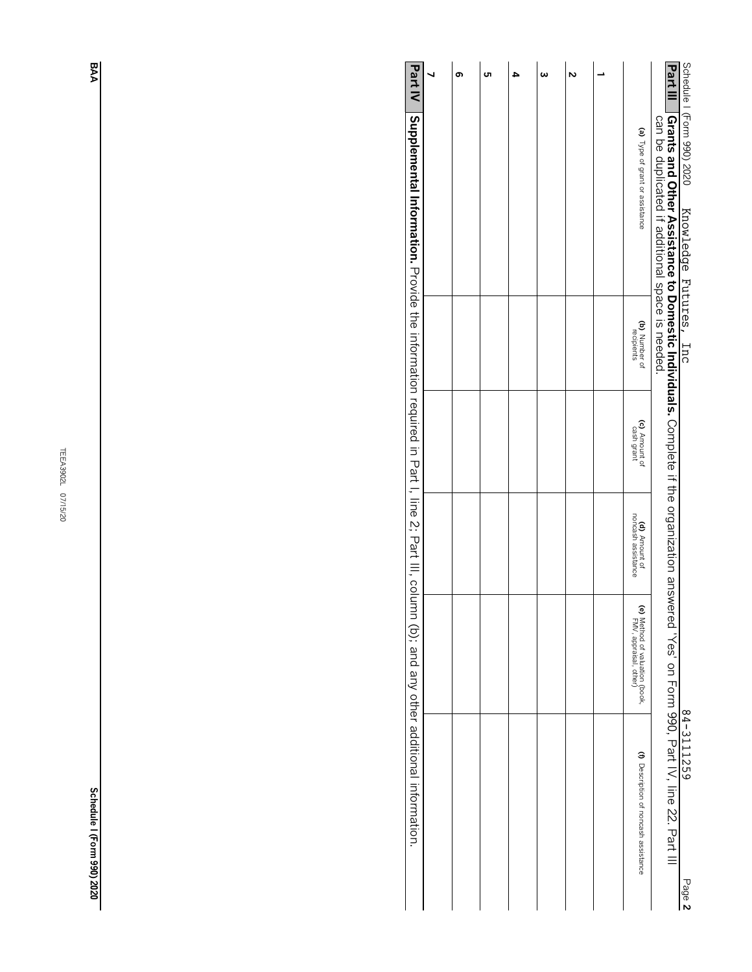|                                                                                                                                                     | თ | Gп | 4 | ω | N |                                                        | Part III                                                                                                                                                                                                                                                                                 |                                                      |
|-----------------------------------------------------------------------------------------------------------------------------------------------------|---|----|---|---|---|--------------------------------------------------------|------------------------------------------------------------------------------------------------------------------------------------------------------------------------------------------------------------------------------------------------------------------------------------------|------------------------------------------------------|
| Part IV   Supplemental Information. Provide the information required in Part I, line 2; Part III, column (b); and any other additional information. |   |    |   |   |   | (a) Type of grant or assistance                        | <b>Grants and Other Assistance to the S2</b> : Journ Server Server Sensive Scholle in the organization answered in the Server Server Server Server Server Server Server Server Server Server Server Server Server Server Server Serv<br>can be duplicated if additional space is needed. | Schedule I (Form 990) 2020<br>Knowledge Futures, Inc |
|                                                                                                                                                     |   |    |   |   |   | (b) Number of<br>recipients                            |                                                                                                                                                                                                                                                                                          |                                                      |
|                                                                                                                                                     |   |    |   |   |   | (c) Amount of<br>cash grant                            |                                                                                                                                                                                                                                                                                          |                                                      |
|                                                                                                                                                     |   |    |   |   |   | (d) Amount of<br>noncash assistance                    |                                                                                                                                                                                                                                                                                          |                                                      |
|                                                                                                                                                     |   |    |   |   |   | ) Method of valuation (book,<br>FMV, appraisal, other) |                                                                                                                                                                                                                                                                                          |                                                      |
|                                                                                                                                                     |   |    |   |   |   | (f) Description of noncash assistance                  |                                                                                                                                                                                                                                                                                          | 84-3111259<br>Page 2                                 |

**Schedule Schedule I (Form 990) 2020 (Form 990) 2020**